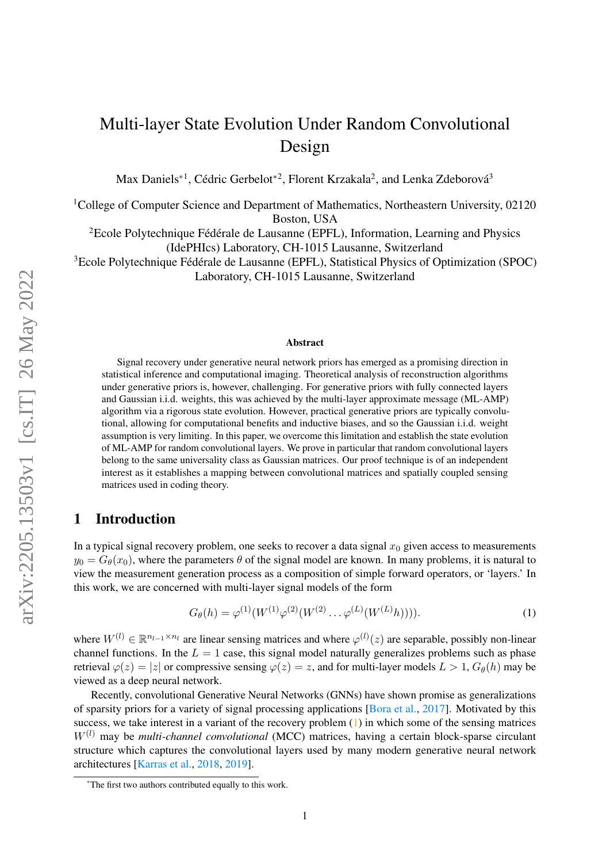# Multi-layer State Evolution Under Random Convolutional Design

Max Daniels<sup>\*1</sup>, Cédric Gerbelot<sup>\*2</sup>, Florent Krzakala<sup>2</sup>, and Lenka Zdeborová<sup>3</sup>

<sup>1</sup>College of Computer Science and Department of Mathematics, Northeastern University, 02120 Boston, USA

<sup>2</sup>Ecole Polytechnique Fédérale de Lausanne (EPFL), Information, Learning and Physics (IdePHIcs) Laboratory, CH-1015 Lausanne, Switzerland

<sup>3</sup>Ecole Polytechnique Fédérale de Lausanne (EPFL), Statistical Physics of Optimization (SPOC) Laboratory, CH-1015 Lausanne, Switzerland

#### Abstract

Signal recovery under generative neural network priors has emerged as a promising direction in statistical inference and computational imaging. Theoretical analysis of reconstruction algorithms under generative priors is, however, challenging. For generative priors with fully connected layers and Gaussian i.i.d. weights, this was achieved by the multi-layer approximate message (ML-AMP) algorithm via a rigorous state evolution. However, practical generative priors are typically convolutional, allowing for computational benefits and inductive biases, and so the Gaussian i.i.d. weight assumption is very limiting. In this paper, we overcome this limitation and establish the state evolution of ML-AMP for random convolutional layers. We prove in particular that random convolutional layers belong to the same universality class as Gaussian matrices. Our proof technique is of an independent interest as it establishes a mapping between convolutional matrices and spatially coupled sensing matrices used in coding theory.

# 1 Introduction

In a typical signal recovery problem, one seeks to recover a data signal  $x_0$  given access to measurements  $y_0 = G_\theta(x_0)$ , where the parameters  $\theta$  of the signal model are known. In many problems, it is natural to view the measurement generation process as a composition of simple forward operators, or 'layers.' In this work, we are concerned with multi-layer signal models of the form

<span id="page-0-0"></span>
$$
G_{\theta}(h) = \varphi^{(1)}(W^{(1)}\varphi^{(2)}(W^{(2)}\dots\varphi^{(L)}(W^{(L)}h))))
$$
 (1)

where  $W^{(l)} \in \mathbb{R}^{n_{l-1} \times n_l}$  are linear sensing matrices and where  $\varphi^{(l)}(z)$  are separable, possibly non-linear channel functions. In the  $L = 1$  case, this signal model naturally generalizes problems such as phase retrieval  $\varphi(z) = |z|$  or compressive sensing  $\varphi(z) = z$ , and for multi-layer models  $L > 1$ ,  $G_{\theta}(h)$  may be viewed as a deep neural network.

Recently, convolutional Generative Neural Networks (GNNs) have shown promise as generalizations of sparsity priors for a variety of signal processing applications [\[Bora et al.,](#page-10-0) [2017\]](#page-10-0). Motivated by this success, we take interest in a variant of the recovery problem  $(1)$  in which some of the sensing matrices  $W^{(l)}$  may be *multi-channel convolutional* (MCC) matrices, having a certain block-sparse circulant structure which captures the convolutional layers used by many modern generative neural network architectures [\[Karras et al.,](#page-11-0) [2018,](#page-11-0) [2019\]](#page-11-1).

<sup>\*</sup>The first two authors contributed equally to this work.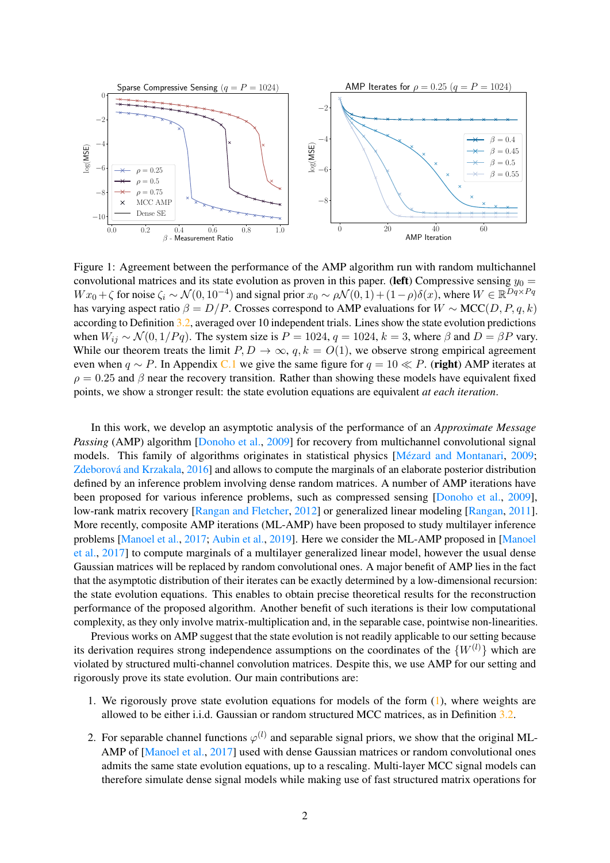<span id="page-1-0"></span>

Figure 1: Agreement between the performance of the AMP algorithm run with random multichannel convolutional matrices and its state evolution as proven in this paper. (left) Compressive sensing  $y_0 =$ W  $x_0 + \zeta$  for noise  $\zeta_i \sim \mathcal{N}(0, 10^{-4})$  and signal prior  $x_0 \sim \rho \mathcal{N}(0, 1) + (1 - \rho)\delta(x)$ , where  $W \in \mathbb{R}^{Dq \times Pq}$ has varying aspect ratio  $\beta = D/P$ . Crosses correspond to AMP evaluations for  $W \sim \text{MCC}(D, P, q, k)$ according to Definition [3.2,](#page-3-0) averaged over 10 independent trials. Lines show the state evolution predictions when  $W_{ij} \sim \mathcal{N}(0, 1/Pq)$ . The system size is  $P = 1024$ ,  $q = 1024$ ,  $k = 3$ , where  $\beta$  and  $D = \beta P$  vary. While our theorem treats the limit  $P, D \to \infty$ ,  $q, k = O(1)$ , we observe strong empirical agreement even when  $q \sim P$ . In Appendix [C.1](#page-30-0) we give the same figure for  $q = 10 \ll P$ . (right) AMP iterates at  $\rho = 0.25$  and  $\beta$  near the recovery transition. Rather than showing these models have equivalent fixed points, we show a stronger result: the state evolution equations are equivalent *at each iteration*.

In this work, we develop an asymptotic analysis of the performance of an *Approximate Message Passing* (AMP) algorithm [\[Donoho et al.,](#page-10-1) [2009\]](#page-10-1) for recovery from multichannel convolutional signal models. This family of algorithms originates in statistical physics [\[Mézard and Montanari,](#page-11-2) [2009;](#page-11-2) [Zdeborová and Krzakala,](#page-12-0) [2016\]](#page-12-0) and allows to compute the marginals of an elaborate posterior distribution defined by an inference problem involving dense random matrices. A number of AMP iterations have been proposed for various inference problems, such as compressed sensing [\[Donoho et al.,](#page-10-1) [2009\]](#page-10-1), low-rank matrix recovery [\[Rangan and Fletcher,](#page-12-1) [2012\]](#page-12-1) or generalized linear modeling [\[Rangan,](#page-11-3) [2011\]](#page-11-3). More recently, composite AMP iterations (ML-AMP) have been proposed to study multilayer inference problems [\[Manoel et al.,](#page-11-4) [2017;](#page-11-4) [Aubin et al.,](#page-10-2) [2019\]](#page-10-2). Here we consider the ML-AMP proposed in [\[Manoel](#page-11-4) [et al.,](#page-11-4) [2017\]](#page-11-4) to compute marginals of a multilayer generalized linear model, however the usual dense Gaussian matrices will be replaced by random convolutional ones. A major benefit of AMP lies in the fact that the asymptotic distribution of their iterates can be exactly determined by a low-dimensional recursion: the state evolution equations. This enables to obtain precise theoretical results for the reconstruction performance of the proposed algorithm. Another benefit of such iterations is their low computational complexity, as they only involve matrix-multiplication and, in the separable case, pointwise non-linearities.

Previous works on AMP suggest that the state evolution is not readily applicable to our setting because its derivation requires strong independence assumptions on the coordinates of the  $\{W^{(l)}\}\$  which are violated by structured multi-channel convolution matrices. Despite this, we use AMP for our setting and rigorously prove its state evolution. Our main contributions are:

- 1. We rigorously prove state evolution equations for models of the form  $(1)$ , where weights are allowed to be either i.i.d. Gaussian or random structured MCC matrices, as in Definition [3.2.](#page-3-0)
- 2. For separable channel functions  $\varphi^{(l)}$  and separable signal priors, we show that the original ML-AMP of [\[Manoel et al.,](#page-11-4) [2017\]](#page-11-4) used with dense Gaussian matrices or random convolutional ones admits the same state evolution equations, up to a rescaling. Multi-layer MCC signal models can therefore simulate dense signal models while making use of fast structured matrix operations for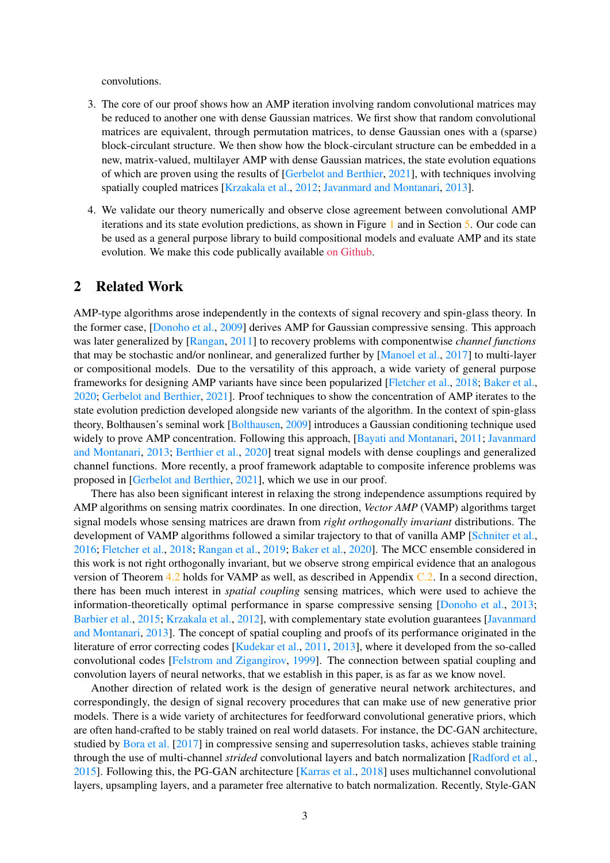convolutions.

- 3. The core of our proof shows how an AMP iteration involving random convolutional matrices may be reduced to another one with dense Gaussian matrices. We first show that random convolutional matrices are equivalent, through permutation matrices, to dense Gaussian ones with a (sparse) block-circulant structure. We then show how the block-circulant structure can be embedded in a new, matrix-valued, multilayer AMP with dense Gaussian matrices, the state evolution equations of which are proven using the results of [\[Gerbelot and Berthier,](#page-10-3) [2021\]](#page-10-3), with techniques involving spatially coupled matrices [\[Krzakala et al.,](#page-11-5) [2012;](#page-11-5) [Javanmard and Montanari,](#page-11-6) [2013\]](#page-11-6).
- 4. We validate our theory numerically and observe close agreement between convolutional AMP iterations and its state evolution predictions, as shown in Figure [1](#page-1-0) and in Section [5.](#page-8-0) Our code can be used as a general purpose library to build compositional models and evaluate AMP and its state evolution. We make this code publically available [on Github.](https://github.com/mdnls/conv-ml-amp)

### 2 Related Work

AMP-type algorithms arose independently in the contexts of signal recovery and spin-glass theory. In the former case, [\[Donoho et al.,](#page-10-1) [2009\]](#page-10-1) derives AMP for Gaussian compressive sensing. This approach was later generalized by [\[Rangan,](#page-11-3) [2011\]](#page-11-3) to recovery problems with componentwise *channel functions* that may be stochastic and/or nonlinear, and generalized further by [\[Manoel et al.,](#page-11-4) [2017\]](#page-11-4) to multi-layer or compositional models. Due to the versatility of this approach, a wide variety of general purpose frameworks for designing AMP variants have since been popularized [\[Fletcher et al.,](#page-10-4) [2018;](#page-10-4) [Baker et al.,](#page-10-5) [2020;](#page-10-5) [Gerbelot and Berthier,](#page-10-3) [2021\]](#page-10-3). Proof techniques to show the concentration of AMP iterates to the state evolution prediction developed alongside new variants of the algorithm. In the context of spin-glass theory, Bolthausen's seminal work [\[Bolthausen,](#page-10-6) [2009\]](#page-10-6) introduces a Gaussian conditioning technique used widely to prove AMP concentration. Following this approach, [\[Bayati and Montanari,](#page-10-7) [2011;](#page-10-7) [Javanmard](#page-11-6) [and Montanari,](#page-11-6) [2013;](#page-11-6) [Berthier et al.,](#page-10-8) [2020\]](#page-10-8) treat signal models with dense couplings and generalized channel functions. More recently, a proof framework adaptable to composite inference problems was proposed in [\[Gerbelot and Berthier,](#page-10-3) [2021\]](#page-10-3), which we use in our proof.

There has also been significant interest in relaxing the strong independence assumptions required by AMP algorithms on sensing matrix coordinates. In one direction, *Vector AMP* (VAMP) algorithms target signal models whose sensing matrices are drawn from *right orthogonally invariant* distributions. The development of VAMP algorithms followed a similar trajectory to that of vanilla AMP [\[Schniter et al.,](#page-12-2) [2016;](#page-12-2) [Fletcher et al.,](#page-10-4) [2018;](#page-10-4) [Rangan et al.,](#page-12-3) [2019;](#page-12-3) [Baker et al.,](#page-10-5) [2020\]](#page-10-5). The MCC ensemble considered in this work is not right orthogonally invariant, but we observe strong empirical evidence that an analogous version of Theorem [4.2](#page-7-0) holds for VAMP as well, as described in Appendix [C.2.](#page-31-0) In a second direction, there has been much interest in *spatial coupling* sensing matrices, which were used to achieve the information-theoretically optimal performance in sparse compressive sensing [\[Donoho et al.,](#page-10-9) [2013;](#page-10-9) [Barbier et al.,](#page-10-10) [2015;](#page-10-10) [Krzakala et al.,](#page-11-5) [2012\]](#page-11-5), with complementary state evolution guarantees [\[Javanmard](#page-11-6) [and Montanari,](#page-11-6) [2013\]](#page-11-6). The concept of spatial coupling and proofs of its performance originated in the literature of error correcting codes [\[Kudekar et al.,](#page-11-7) [2011,](#page-11-7) [2013\]](#page-11-8), where it developed from the so-called convolutional codes [\[Felstrom and Zigangirov,](#page-10-11) [1999\]](#page-10-11). The connection between spatial coupling and convolution layers of neural networks, that we establish in this paper, is as far as we know novel.

Another direction of related work is the design of generative neural network architectures, and correspondingly, the design of signal recovery procedures that can make use of new generative prior models. There is a wide variety of architectures for feedforward convolutional generative priors, which are often hand-crafted to be stably trained on real world datasets. For instance, the DC-GAN architecture, studied by [Bora et al.](#page-10-0) [\[2017\]](#page-10-0) in compressive sensing and superresolution tasks, achieves stable training through the use of multi-channel *strided* convolutional layers and batch normalization [\[Radford et al.,](#page-11-9) [2015\]](#page-11-9). Following this, the PG-GAN architecture [\[Karras et al.,](#page-11-0) [2018\]](#page-11-0) uses multichannel convolutional layers, upsampling layers, and a parameter free alternative to batch normalization. Recently, Style-GAN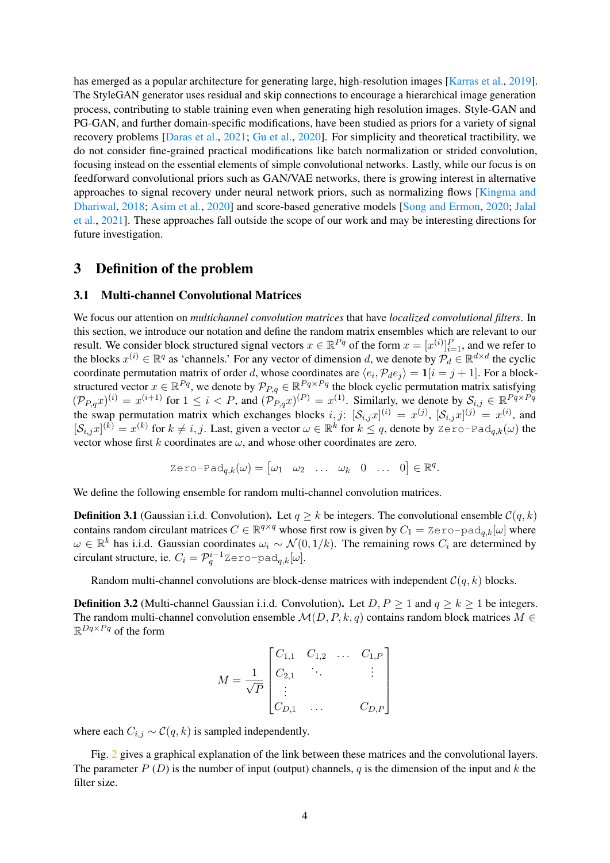has emerged as a popular architecture for generating large, high-resolution images [\[Karras et al.,](#page-11-1) [2019\]](#page-11-1). The StyleGAN generator uses residual and skip connections to encourage a hierarchical image generation process, contributing to stable training even when generating high resolution images. Style-GAN and PG-GAN, and further domain-specific modifications, have been studied as priors for a variety of signal recovery problems [\[Daras et al.,](#page-10-12) [2021;](#page-10-12) [Gu et al.,](#page-10-13) [2020\]](#page-10-13). For simplicity and theoretical tractibility, we do not consider fine-grained practical modifications like batch normalization or strided convolution, focusing instead on the essential elements of simple convolutional networks. Lastly, while our focus is on feedforward convolutional priors such as GAN/VAE networks, there is growing interest in alternative approaches to signal recovery under neural network priors, such as normalizing flows [\[Kingma and](#page-11-10) [Dhariwal,](#page-11-10) [2018;](#page-11-10) [Asim et al.,](#page-10-14) [2020\]](#page-10-14) and score-based generative models [\[Song and Ermon,](#page-12-4) [2020;](#page-12-4) [Jalal](#page-11-11) [et al.,](#page-11-11) [2021\]](#page-11-11). These approaches fall outside the scope of our work and may be interesting directions for future investigation.

### 3 Definition of the problem

#### 3.1 Multi-channel Convolutional Matrices

We focus our attention on *multichannel convolution matrices* that have *localized convolutional filters*. In this section, we introduce our notation and define the random matrix ensembles which are relevant to our result. We consider block structured signal vectors  $x \in \mathbb{R}^{Pq}$  of the form  $x = [x^{(i)}]_{i=1}^P$ , and we refer to the blocks  $x^{(i)} \in \mathbb{R}^q$  as 'channels.' For any vector of dimension d, we denote by  $\mathcal{P}_d \in \mathbb{R}^{d \times d}$  the cyclic coordinate permutation matrix of order d, whose coordinates are  $\langle e_i, \mathcal{P}_d e_j \rangle = \mathbf{1}[i = j + 1]$ . For a blockstructured vector  $x \in \mathbb{R}^{Pq}$ , we denote by  $\mathcal{P}_{P,q} \in \mathbb{R}^{Pq \times Pq}$  the block cyclic permutation matrix satisfying  $(\mathcal{P}_{P,q}x)^{(i)} = x^{(i+1)}$  for  $1 \leq i < P$ , and  $(\mathcal{P}_{P,q}x)^{(P)} = x^{(1)}$ . Similarly, we denote by  $S_{i,j} \in \mathbb{R}^{P_q \times P_q}$ the swap permutation matrix which exchanges blocks  $i, j$ :  $[\mathcal{S}_{i,j}x]^{(i)} = x^{(j)}$ ,  $[\mathcal{S}_{i,j}x]^{(j)} = x^{(i)}$ , and  $[\mathcal{S}_{i,j}x]^{(k)} = x^{(k)}$  for  $k \neq i, j$ . Last, given a vector  $\omega \in \mathbb{R}^k$  for  $k \leq q$ , denote by Zero-Pad<sub>q,k</sub>( $\omega$ ) the vector whose first k coordinates are  $\omega$ , and whose other coordinates are zero.

$$
\text{Zero-Pad}_{q,k}(\omega) = \begin{bmatrix} \omega_1 & \omega_2 & \dots & \omega_k & 0 & \dots & 0 \end{bmatrix} \in \mathbb{R}^q.
$$

We define the following ensemble for random multi-channel convolution matrices.

<span id="page-3-1"></span>**Definition 3.1** (Gaussian i.i.d. Convolution). Let  $q \geq k$  be integers. The convolutional ensemble  $C(q, k)$ contains random circulant matrices  $C \in \mathbb{R}^{q \times q}$  whose first row is given by  $C_1 = \text{Zero-pad}_{q,k}[\omega]$  where  $\omega \in \mathbb{R}^k$  has i.i.d. Gaussian coordinates  $\omega_i \sim \mathcal{N}(0, 1/k)$ . The remaining rows  $C_i$  are determined by circulant structure, ie.  $C_i = \mathcal{P}_q^{i-1}$ Zero-pad $_{q,k}[\omega]$ .

Random multi-channel convolutions are block-dense matrices with independent  $\mathcal{C}(q, k)$  blocks.

<span id="page-3-0"></span>**Definition 3.2** (Multi-channel Gaussian i.i.d. Convolution). Let  $D, P \ge 1$  and  $q \ge k \ge 1$  be integers. The random multi-channel convolution ensemble  $\mathcal{M}(D, P, k, q)$  contains random block matrices  $M \in$  $\mathbb{R}^{Dq \times Pq}$  of the form

$$
M = \frac{1}{\sqrt{P}} \begin{bmatrix} C_{1,1} & C_{1,2} & \dots & C_{1,P} \\ C_{2,1} & \ddots & & \vdots \\ \vdots & & & \vdots \\ C_{D,1} & \dots & & C_{D,P} \end{bmatrix}
$$

where each  $C_{i,j} \sim \mathcal{C}(q, k)$  is sampled independently.

Fig. [2](#page-4-0) gives a graphical explanation of the link between these matrices and the convolutional layers. The parameter  $P(D)$  is the number of input (output) channels, q is the dimension of the input and k the filter size.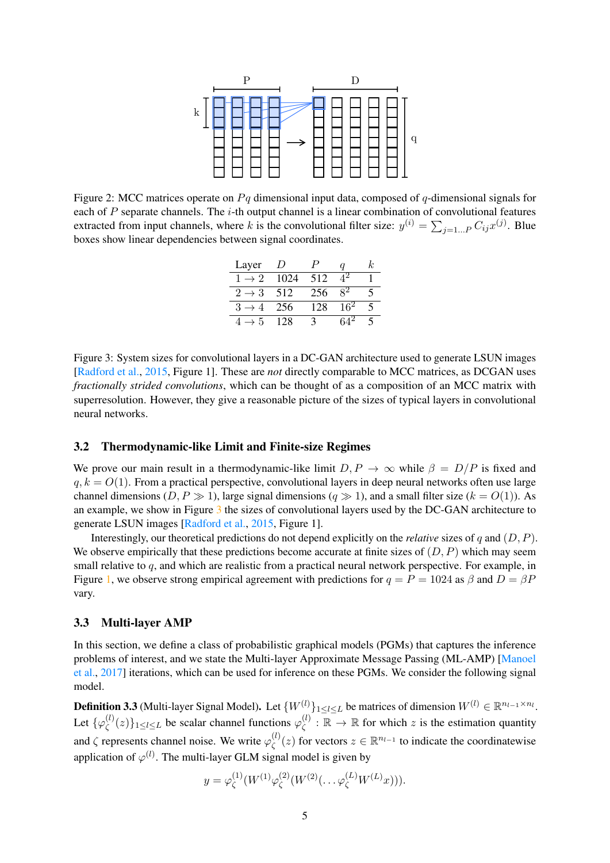<span id="page-4-0"></span>

<span id="page-4-1"></span>Figure 2: MCC matrices operate on  $P<sub>q</sub>$  dimensional input data, composed of q-dimensional signals for each of  $P$  separate channels. The  $i$ -th output channel is a linear combination of convolutional features extracted from input channels, where k is the convolutional filter size:  $y^{(i)} = \sum_{j=1...P} C_{ij} x^{(j)}$ . Blue boxes show linear dependencies between signal coordinates.

| Layer             | $\prime$ |     |        | k. |  |  |
|-------------------|----------|-----|--------|----|--|--|
| $1 \rightarrow 2$ | 1024     | 512 |        |    |  |  |
| $2 \rightarrow 3$ | 512      | 256 | 82     | 5  |  |  |
| $3 \rightarrow 4$ | 256      | 128 | $16^2$ | 5  |  |  |
| $\rightarrow$ 5   | 128      | 3   |        |    |  |  |

Figure 3: System sizes for convolutional layers in a DC-GAN architecture used to generate LSUN images [\[Radford et al.,](#page-11-9) [2015,](#page-11-9) Figure 1]. These are *not* directly comparable to MCC matrices, as DCGAN uses *fractionally strided convolutions*, which can be thought of as a composition of an MCC matrix with superresolution. However, they give a reasonable picture of the sizes of typical layers in convolutional neural networks.

### 3.2 Thermodynamic-like Limit and Finite-size Regimes

We prove our main result in a thermodynamic-like limit  $D, P \rightarrow \infty$  while  $\beta = D/P$  is fixed and  $q, k = O(1)$ . From a practical perspective, convolutional layers in deep neural networks often use large channel dimensions  $(D, P \gg 1)$ , large signal dimensions  $(q \gg 1)$ , and a small filter size  $(k = O(1))$ . As an example, we show in Figure [3](#page-4-1) the sizes of convolutional layers used by the DC-GAN architecture to generate LSUN images [\[Radford et al.,](#page-11-9) [2015,](#page-11-9) Figure 1].

Interestingly, our theoretical predictions do not depend explicitly on the *relative* sizes of q and (D, P). We observe empirically that these predictions become accurate at finite sizes of  $(D, P)$  which may seem small relative to  $q$ , and which are realistic from a practical neural network perspective. For example, in Figure [1,](#page-1-0) we observe strong empirical agreement with predictions for  $q = P = 1024$  as  $\beta$  and  $D = \beta P$ vary.

#### <span id="page-4-2"></span>3.3 Multi-layer AMP

In this section, we define a class of probabilistic graphical models (PGMs) that captures the inference problems of interest, and we state the Multi-layer Approximate Message Passing (ML-AMP) [\[Manoel](#page-11-4) [et al.,](#page-11-4) [2017\]](#page-11-4) iterations, which can be used for inference on these PGMs. We consider the following signal model.

**Definition 3.3** (Multi-layer Signal Model). Let  $\{W^{(l)}\}_{1 \leq l \leq L}$  be matrices of dimension  $W^{(l)} \in \mathbb{R}^{n_{l-1} \times n_l}$ . Let  $\{\varphi_{\zeta}^{(l)}\}$  $\varphi_{\zeta}^{(l)}(z)\}_{1\leq l\leq L}$  be scalar channel functions  $\varphi_{\zeta}^{(l)}$  $\zeta^{(l)}$ :  $\mathbb{R} \to \mathbb{R}$  for which z is the estimation quantity and  $\zeta$  represents channel noise. We write  $\varphi_{\zeta}^{(l)}$  $\zeta^{(l)}(z)$  for vectors  $z \in \mathbb{R}^{n_{l-1}}$  to indicate the coordinatewise application of  $\varphi^{(l)}$ . The multi-layer GLM signal model is given by

$$
y = \varphi_{\zeta}^{(1)}(W^{(1)}\varphi_{\zeta}^{(2)}(W^{(2)}(\ldots \varphi_{\zeta}^{(L)}W^{(L)}x))).
$$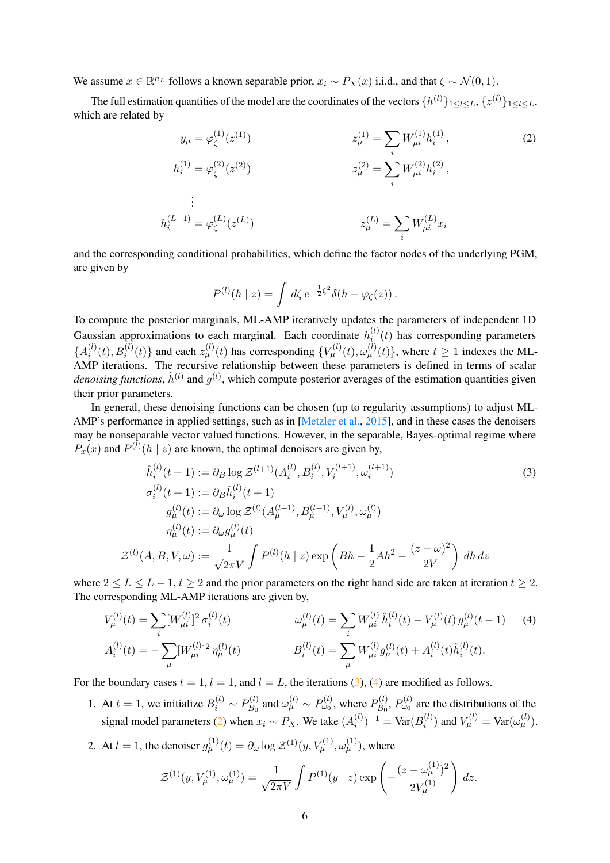We assume  $x \in \mathbb{R}^{n_L}$  follows a known separable prior,  $x_i \sim P_X(x)$  i.i.d., and that  $\zeta \sim \mathcal{N}(0, 1)$ .

The full estimation quantities of the model are the coordinates of the vectors  $\{h^{(l)}\}_{1\leq l\leq L}, \{z^{(l)}\}_{1\leq l\leq L}$ which are related by

$$
y_{\mu} = \varphi_{\zeta}^{(1)}(z^{(1)}) \qquad z_{\mu}^{(1)} = \sum_{i} W_{\mu i}^{(1)} h_{i}^{(1)},
$$
(2)  

$$
h_{i}^{(1)} = \varphi_{\zeta}^{(2)}(z^{(2)}) \qquad z_{\mu}^{(2)} = \sum_{i} W_{\mu i}^{(2)} h_{i}^{(2)},
$$
  

$$
\vdots
$$
  

$$
h_{i}^{(L-1)} = \varphi_{\zeta}^{(L)}(z^{(L)}) \qquad z_{\mu}^{(L)} = \sum_{i} W_{\mu i}^{(L)} x_{i}
$$

and the corresponding conditional probabilities, which define the factor nodes of the underlying PGM, are given by

<span id="page-5-2"></span><span id="page-5-0"></span>
$$
P^{(l)}(h \mid z) = \int d\zeta \, e^{-\frac{1}{2}\zeta^2} \delta(h - \varphi_{\zeta}(z)).
$$

To compute the posterior marginals, ML-AMP iteratively updates the parameters of independent 1D Gaussian approximations to each marginal. Each coordinate  $h_i^{(l)}$  $\sum_{i=1}^{(t)}(t)$  has corresponding parameters  ${A_i^{(l)}}$  $\{u_i^{(l)}(t), B_i^{(l)}(t)\}\$  and each  $z_\mu^{(l)}(t)$  has corresponding  $\{V_\mu^{(l)}(t), \omega_\mu^{(l)}(t)\}\)$ , where  $t \ge 1$  indexes the ML-AMP iterations. The recursive relationship between these parameters is defined in terms of scalar *denoising functions*,  $\hat{h}^{(l)}$  and  $g^{(l)}$ , which compute posterior averages of the estimation quantities given their prior parameters.

In general, these denoising functions can be chosen (up to regularity assumptions) to adjust ML-AMP's performance in applied settings, such as in [\[Metzler et al.,](#page-11-12) [2015\]](#page-11-12), and in these cases the denoisers may be nonseparable vector valued functions. However, in the separable, Bayes-optimal regime where  $P_x(x)$  and  $P^{(l)}(h \mid z)$  are known, the optimal denoisers are given by,

$$
\hat{h}_i^{(l)}(t+1) := \partial_B \log \mathcal{Z}^{(l+1)}(A_i^{(l)}, B_i^{(l)}, V_i^{(l+1)}, \omega_i^{(l+1)})
$$
\n
$$
\sigma_i^{(l)}(t+1) := \partial_B \hat{h}_i^{(l)}(t+1)
$$
\n
$$
g_\mu^{(l)}(t) := \partial_\omega \log \mathcal{Z}^{(l)}(A_\mu^{(l-1)}, B_\mu^{(l-1)}, V_\mu^{(l)}, \omega_\mu^{(l)})
$$
\n
$$
\eta_\mu^{(l)}(t) := \partial_\omega g_\mu^{(l)}(t)
$$
\n
$$
\mathcal{Z}^{(l)}(A, B, V, \omega) := \frac{1}{\sqrt{2\pi V}} \int P^{(l)}(h \mid z) \exp\left(Bh - \frac{1}{2}Ah^2 - \frac{(z - \omega)^2}{2V}\right) dh \, dz
$$
\n(3)

where  $2 \leq L \leq L - 1$ ,  $t > 2$  and the prior parameters on the right hand side are taken at iteration  $t > 2$ . The corresponding ML-AMP iterations are given by,

$$
V_{\mu}^{(l)}(t) = \sum_{i} [W_{\mu i}^{(l)}]^2 \sigma_i^{(l)}(t) \qquad \omega_{\mu}^{(l)}(t) = \sum_{i} W_{\mu i}^{(l)} \hat{h}_i^{(l)}(t) - V_{\mu}^{(l)}(t) g_{\mu}^{(l)}(t-1) \qquad (4)
$$
  

$$
A_i^{(l)}(t) = -\sum_{\mu} [W_{\mu i}^{(l)}]^2 \eta_{\mu}^{(l)}(t) \qquad B_i^{(l)}(t) = \sum_{\mu} W_{\mu i}^{(l)} g_{\mu}^{(l)}(t) + A_i^{(l)}(t) \hat{h}_i^{(l)}(t).
$$

For the boundary cases  $t = 1$ ,  $l = 1$ , and  $l = L$ , the iterations [\(3\)](#page-5-0), [\(4\)](#page-5-1) are modified as follows.

- 1. At  $t = 1$ , we initialize  $B_i^{(l)} \sim P_{B_0}^{(l)}$  $P_{B_0}^{(l)}$  and  $\omega_{\mu}^{(l)} \sim P_{\omega_0}^{(l)}$ , where  $P_{B_0}^{(l)}$  $P_{B_0}^{(l)}$ ,  $P_{\omega_0}^{(l)}$  are the distributions of the signal model parameters [\(2\)](#page-5-2) when  $x_i \sim P_X$ . We take  $(A_i^{(l)})$  $\binom{l}{i}$ <sup>-1</sup> = Var $(B_i^{(l)}$  $v_i^{(l)}$ ) and  $V_{\mu}^{(l)} = \text{Var}(\omega_{\mu}^{(l)})$ .
- 2. At  $l = 1$ , the denoiser  $g_{\mu}^{(1)}(t) = \partial_{\omega} \log \mathcal{Z}^{(1)}(y, V_{\mu}^{(1)}, \omega_{\mu}^{(1)})$ , where

<span id="page-5-1"></span>
$$
\mathcal{Z}^{(1)}(y, V_{\mu}^{(1)}, \omega_{\mu}^{(1)}) = \frac{1}{\sqrt{2\pi V}} \int P^{(1)}(y \mid z) \exp\left(-\frac{(z - \omega_{\mu}^{(1)})^2}{2V_{\mu}^{(1)}}\right) dz.
$$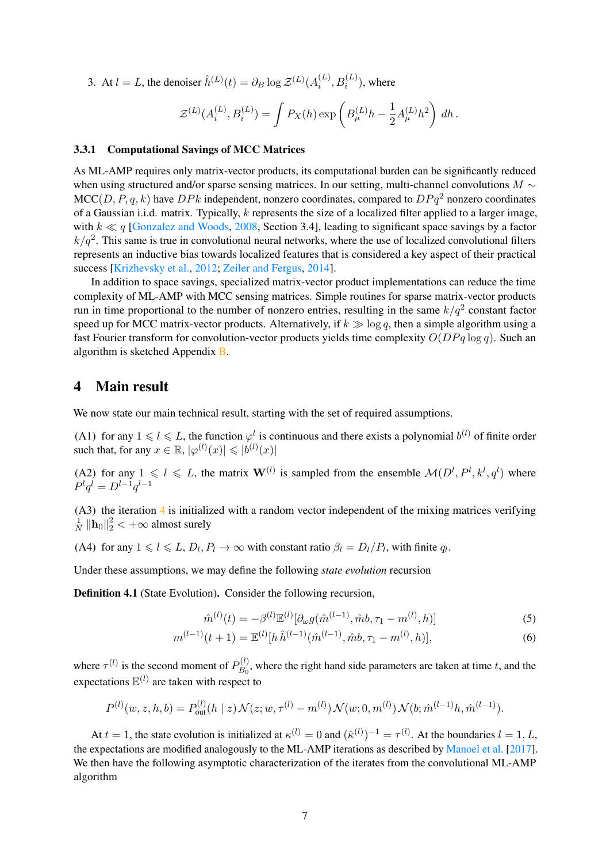3. At  $l = L$ , the denoiser  $\hat{h}^{(L)}(t) = \partial_B \log \mathcal{Z}^{(L)}(A_i^{(L)})$  $i^{(L)}$ ,  $B_i^{(L)}$ ), where

$$
\mathcal{Z}^{(L)}(A_i^{(L)},B_i^{(L)}) = \int P_X(h) \exp\left(B_\mu^{(L)}h - \frac{1}{2}A_\mu^{(L)}h^2\right) dh.
$$

#### 3.3.1 Computational Savings of MCC Matrices

As ML-AMP requires only matrix-vector products, its computational burden can be significantly reduced when using structured and/or sparse sensing matrices. In our setting, multi-channel convolutions  $M \sim$  $MCC(D, P, q, k)$  have  $DPk$  independent, nonzero coordinates, compared to  $DPq^2$  nonzero coordinates of a Gaussian i.i.d. matrix. Typically, k represents the size of a localized filter applied to a larger image, with  $k \ll q$  [\[Gonzalez and Woods,](#page-10-15) [2008,](#page-10-15) Section 3.4], leading to significant space savings by a factor  $k/q^2$ . This same is true in convolutional neural networks, where the use of localized convolutional filters represents an inductive bias towards localized features that is considered a key aspect of their practical success [\[Krizhevsky et al.,](#page-11-13) [2012;](#page-11-13) [Zeiler and Fergus,](#page-12-5) [2014\]](#page-12-5).

In addition to space savings, specialized matrix-vector product implementations can reduce the time complexity of ML-AMP with MCC sensing matrices. Simple routines for sparse matrix-vector products run in time proportional to the number of nonzero entries, resulting in the same  $k/q^2$  constant factor speed up for MCC matrix-vector products. Alternatively, if  $k \gg \log q$ , then a simple algorithm using a fast Fourier transform for convolution-vector products yields time complexity  $O(DPa \log q)$ . Such an algorithm is sketched Appendix [B.](#page-30-1)

### 4 Main result

We now state our main technical result, starting with the set of required assumptions.

(A1) for any  $1 \leq l \leq L$ , the function  $\varphi^l$  is continuous and there exists a polynomial  $b^{(l)}$  of finite order such that, for any  $x \in \mathbb{R}$ ,  $|\varphi^{(l)}(x)| \leqslant |b^{(l)}(x)|$ 

(A2) for any  $1 \leq l \leq L$ , the matrix  $\mathbf{W}^{(l)}$  is sampled from the ensemble  $\mathcal{M}(D^l, P^l, k^l, q^l)$  where  $P^{l}q^{l} = D^{l-1}q^{l-1}$ 

(A3) the iteration [4](#page-5-1) is initialized with a random vector independent of the mixing matrices verifying 1  $\frac{1}{N} \left\| \mathbf{h}_0 \right\|_2^2 < +\infty$  almost surely

(A4) for any  $1 \le l \le L$ ,  $D_l$ ,  $P_l \to \infty$  with constant ratio  $\beta_l = D_l/P_l$ , with finite  $q_l$ .

Under these assumptions, we may define the following *state evolution* recursion

Definition 4.1 (State Evolution). Consider the following recursion,

$$
\hat{m}^{(l)}(t) = -\beta^{(l)} \mathbb{E}^{(l)}[\partial_{\omega} g(\hat{m}^{(l-1)}, \hat{m}b, \tau_1 - m^{(l)}, h)] \tag{5}
$$

$$
m^{(l-1)}(t+1) = \mathbb{E}^{(l)}[h\,\hat{h}^{(l-1)}(\hat{m}^{(l-1)},\hat{m}b,\tau_1 - m^{(l)},h)],\tag{6}
$$

where  $\tau^{(l)}$  is the second moment of  $P_{B_0}^{(l)}$  $B_0^{(t)}$ , where the right hand side parameters are taken at time t, and the expectations  $\mathbb{E}^{(l)}$  are taken with respect to

$$
P^{(l)}(w, z, h, b) = P^{(l)}_{out}(h \mid z) \mathcal{N}(z; w, \tau^{(l)} - m^{(l)}) \mathcal{N}(w; 0, m^{(l)}) \mathcal{N}(b; \hat{m}^{(l-1)}h, \hat{m}^{(l-1)}).
$$

At  $t = 1$ , the state evolution is initialized at  $\kappa^{(l)} = 0$  and  $(\hat{\kappa}^{(l)})^{-1} = \tau^{(l)}$ . At the boundaries  $l = 1, L$ , the expectations are modified analogously to the ML-AMP iterations as described by [Manoel et al.](#page-11-4) [\[2017\]](#page-11-4). We then have the following asymptotic characterization of the iterates from the convolutional ML-AMP algorithm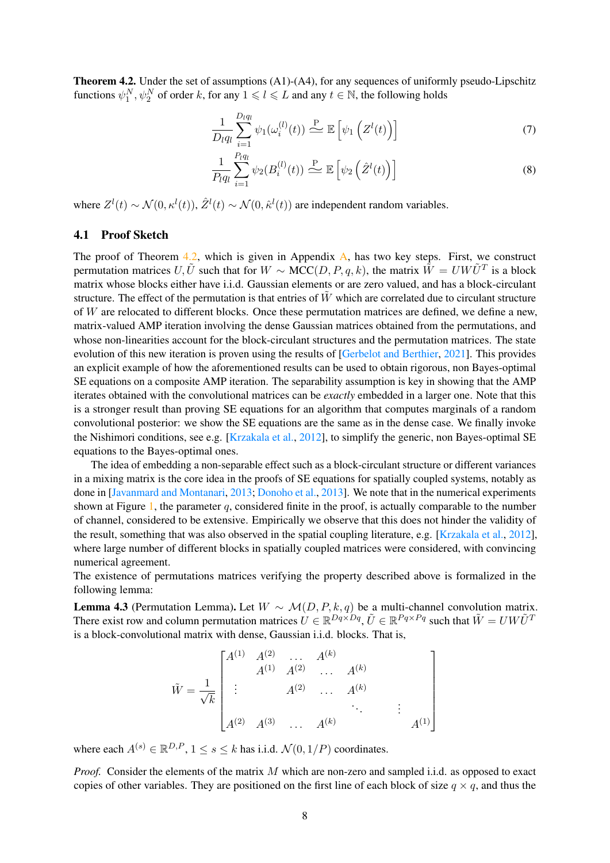<span id="page-7-0"></span>Theorem 4.2. Under the set of assumptions (A1)-(A4), for any sequences of uniformly pseudo-Lipschitz functions  $\psi_1^N, \psi_2^N$  of order k, for any  $1 \leq l \leq L$  and any  $t \in \mathbb{N}$ , the following holds

$$
\frac{1}{D_l q_l} \sum_{i=1}^{D_l q_l} \psi_1(\omega_i^{(l)}(t)) \stackrel{\text{P}}{\sim} \mathbb{E}\left[\psi_1\left(Z^l(t)\right)\right] \tag{7}
$$

$$
\frac{1}{P_l q_l} \sum_{i=1}^{P_l q_l} \psi_2(B_i^{(l)}(t)) \stackrel{\text{P}}{\sim} \mathbb{E}\left[\psi_2\left(\hat{Z}^l(t)\right)\right]
$$
\n(8)

where  $Z^l(t) \sim \mathcal{N}(0, \kappa^l(t)), \hat{Z}^l(t) \sim \mathcal{N}(0, \hat{\kappa}^l(t))$  are independent random variables.

### 4.1 Proof Sketch

The proof of Theorem [4.2,](#page-7-0) which is given in Appendix [A,](#page-13-0) has two key steps. First, we construct permutation matrices U,  $\tilde{U}$  such that for  $W \sim \text{MCC}(D, P, q, k)$ , the matrix  $\tilde{W} = U W \tilde{U}^T$  is a block matrix whose blocks either have i.i.d. Gaussian elements or are zero valued, and has a block-circulant structure. The effect of the permutation is that entries of  $W$  which are correlated due to circulant structure of W are relocated to different blocks. Once these permutation matrices are defined, we define a new, matrix-valued AMP iteration involving the dense Gaussian matrices obtained from the permutations, and whose non-linearities account for the block-circulant structures and the permutation matrices. The state evolution of this new iteration is proven using the results of [\[Gerbelot and Berthier,](#page-10-3) [2021\]](#page-10-3). This provides an explicit example of how the aforementioned results can be used to obtain rigorous, non Bayes-optimal SE equations on a composite AMP iteration. The separability assumption is key in showing that the AMP iterates obtained with the convolutional matrices can be *exactly* embedded in a larger one. Note that this is a stronger result than proving SE equations for an algorithm that computes marginals of a random convolutional posterior: we show the SE equations are the same as in the dense case. We finally invoke the Nishimori conditions, see e.g. [\[Krzakala et al.,](#page-11-5) [2012\]](#page-11-5), to simplify the generic, non Bayes-optimal SE equations to the Bayes-optimal ones.

The idea of embedding a non-separable effect such as a block-circulant structure or different variances in a mixing matrix is the core idea in the proofs of SE equations for spatially coupled systems, notably as done in [\[Javanmard and Montanari,](#page-11-6) [2013;](#page-11-6) [Donoho et al.,](#page-10-9) [2013\]](#page-10-9). We note that in the numerical experiments shown at Figure [1,](#page-1-0) the parameter q, considered finite in the proof, is actually comparable to the number of channel, considered to be extensive. Empirically we observe that this does not hinder the validity of the result, something that was also observed in the spatial coupling literature, e.g. [\[Krzakala et al.,](#page-11-5) [2012\]](#page-11-5), where large number of different blocks in spatially coupled matrices were considered, with convincing numerical agreement.

The existence of permutations matrices verifying the property described above is formalized in the following lemma:

<span id="page-7-1"></span>Lemma 4.3 (Permutation Lemma). Let  $W \sim \mathcal{M}(D, P, k, q)$  be a multi-channel convolution matrix. There exist row and column permutation matrices  $U \in \mathbb{R}^{Dq \times Dq}$ ,  $\tilde{U} \in \mathbb{R}^{Pq \times Pq}$  such that  $\tilde{W} = U W \tilde{U}^T$ is a block-convolutional matrix with dense, Gaussian i.i.d. blocks. That is,

$$
\tilde{W} = \frac{1}{\sqrt{k}} \begin{bmatrix} A^{(1)} & A^{(2)} & \dots & A^{(k)} \\ \vdots & & A^{(2)} & \dots & A^{(k)} \\ \vdots & & A^{(2)} & \dots & A^{(k)} \\ A^{(2)} & A^{(3)} & \dots & A^{(k)} & \vdots \\ \end{bmatrix}
$$

where each  $A^{(s)} \in \mathbb{R}^{D,P}$ ,  $1 \le s \le k$  has i.i.d.  $\mathcal{N}(0, 1/P)$  coordinates.

*Proof.* Consider the elements of the matrix M which are non-zero and sampled i.i.d. as opposed to exact copies of other variables. They are positioned on the first line of each block of size  $q \times q$ , and thus the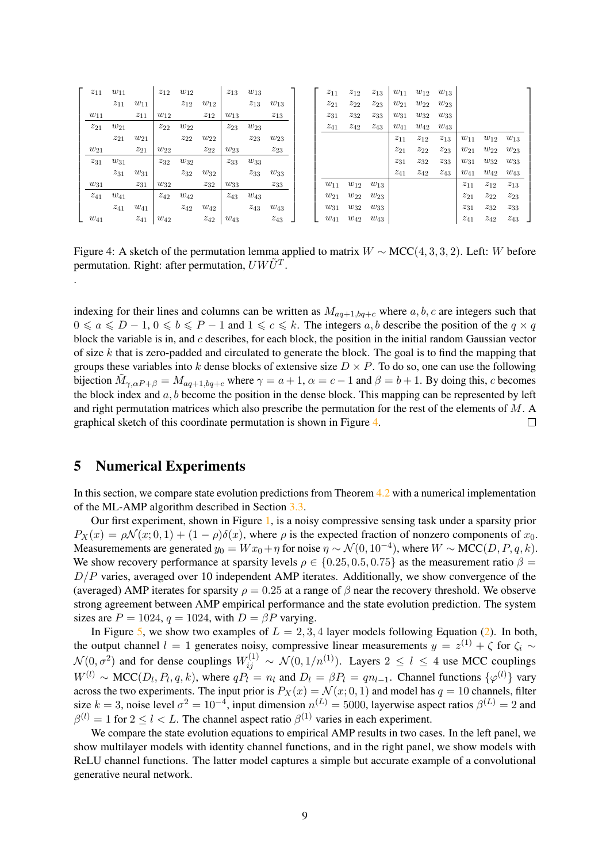<span id="page-8-1"></span>

| $z_{11}$ | $w_{11}$ |          | $z_{12}$ | $w_{12}$ |          | $z_{13}$ | $w_{13}$ |          | $z_{11}$ | $z_{12}$ | $z_{13}$ | $w_{11}$ | $w_{12}$ | $w_{13}$ |          |          |          |
|----------|----------|----------|----------|----------|----------|----------|----------|----------|----------|----------|----------|----------|----------|----------|----------|----------|----------|
|          | $z_{11}$ | $w_{11}$ |          | $z_{12}$ | $w_{12}$ |          | $z_{13}$ | $w_{13}$ | $z_{21}$ | $z_{22}$ | $z_{23}$ | $w_{21}$ | $w_{22}$ | $w_{23}$ |          |          |          |
| $w_{11}$ |          | $z_{11}$ | $w_{12}$ |          | $z_{12}$ | $w_{13}$ |          | $z_{13}$ | $z_{31}$ | $z_{32}$ | $z_{33}$ | $w_{31}$ | $w_{32}$ | $w_{33}$ |          |          |          |
| $z_{21}$ | $w_{21}$ |          | $z_{22}$ | $w_{22}$ |          | $z_{23}$ | $w_{23}$ |          | $z_{41}$ | $z_{42}$ | $z_{43}$ | $w_{41}$ | $w_{42}$ | $w_{43}$ |          |          |          |
|          | $z_{21}$ | $w_{21}$ |          | $z_{22}$ | $w_{22}$ |          | $z_{23}$ | $w_{23}$ |          |          |          | $z_{11}$ | $z_{12}$ | $z_{13}$ | $w_{11}$ | $w_{12}$ | $w_{13}$ |
| $w_{21}$ |          | $z_{21}$ | $w_{22}$ |          | $z_{22}$ | $w_{23}$ |          | $z_{23}$ |          |          |          | $z_{21}$ | $z_{22}$ | $z_{23}$ | $w_{21}$ | $w_{22}$ | $w_{23}$ |
| $z_{31}$ | $w_{31}$ |          | $z_{32}$ | $w_{32}$ |          | $z_{33}$ | $w_{33}$ |          |          |          |          | $z_{31}$ | $z_{32}$ | $z_{33}$ | $w_{31}$ | $w_{32}$ | $w_{33}$ |
|          | $z_{31}$ | $w_{31}$ |          | $z_{32}$ | $w_{32}$ |          | $z_{33}$ | $w_{33}$ |          |          |          | $z_{41}$ | $z_{42}$ | $z_{43}$ | $w_{41}$ | $w_{42}$ | $w_{43}$ |
| $w_{31}$ |          | $z_{31}$ | $w_{32}$ |          | $z_{32}$ | $w_{33}$ |          | $z_{33}$ | $w_{11}$ | $w_{12}$ | $w_{13}$ |          |          |          | $z_{11}$ | $z_{12}$ | $z_{13}$ |
| $z_{41}$ | $w_{41}$ |          | $z_{42}$ | $w_{42}$ |          | $z_{43}$ | $w_{43}$ |          | $w_{21}$ | $w_{22}$ | $w_{23}$ |          |          |          | $z_{21}$ | $z_{22}$ | $z_{23}$ |
|          | $z_{41}$ | $w_{41}$ |          | $z_{42}$ | $w_{42}$ |          | $z_{43}$ | $w_{43}$ | $w_{31}$ | $w_{32}$ | $w_{33}$ |          |          |          | $z_{31}$ | $z_{32}$ | $z_{33}$ |
| $w_{41}$ |          | $z_{41}$ | $w_{42}$ |          | $z_{42}$ | $w_{43}$ |          | $z_{43}$ | $w_{41}$ | $w_{42}$ | $w_{43}$ |          |          |          | $z_{41}$ | $z_{42}$ | $z_{43}$ |

Figure 4: A sketch of the permutation lemma applied to matrix  $W \sim \text{MCC}(4, 3, 3, 2)$ . Left: W before permutation. Right: after permutation,  $U W \tilde{U}^T$ .

indexing for their lines and columns can be written as  $M_{aq+1,bq+c}$  where  $a, b, c$  are integers such that  $0 \le a \le D-1, 0 \le b \le P-1$  and  $1 \le c \le k$ . The integers a, b describe the position of the  $q \times q$ block the variable is in, and c describes, for each block, the position in the initial random Gaussian vector of size  $k$  that is zero-padded and circulated to generate the block. The goal is to find the mapping that groups these variables into k dense blocks of extensive size  $D \times P$ . To do so, one can use the following bijection  $\tilde{M}_{\gamma,\alpha P+\beta} = M_{aq+1,bq+c}$  where  $\gamma = a+1$ ,  $\alpha = c-1$  and  $\beta = b+1$ . By doing this, c becomes the block index and  $a, b$  become the position in the dense block. This mapping can be represented by left and right permutation matrices which also prescribe the permutation for the rest of the elements of M. A graphical sketch of this coordinate permutation is shown in Figure [4.](#page-8-1)  $\Box$ 

# <span id="page-8-0"></span>5 Numerical Experiments

.

In this section, we compare state evolution predictions from Theorem [4.2](#page-7-0) with a numerical implementation of the ML-AMP algorithm described in Section [3.3.](#page-4-2)

Our first experiment, shown in Figure [1,](#page-1-0) is a noisy compressive sensing task under a sparsity prior  $P_X(x) = \rho \mathcal{N}(x; 0, 1) + (1 - \rho)\delta(x)$ , where  $\rho$  is the expected fraction of nonzero components of  $x_0$ . Measuremements are generated  $y_0 = Wx_0 + \eta$  for noise  $\eta \sim \mathcal{N}(0, 10^{-4})$ , where  $W \sim \text{MCC}(D, P, q, k)$ . We show recovery performance at sparsity levels  $\rho \in \{0.25, 0.5, 0.75\}$  as the measurement ratio  $\beta =$  $D/P$  varies, averaged over 10 independent AMP iterates. Additionally, we show convergence of the (averaged) AMP iterates for sparsity  $\rho = 0.25$  at a range of  $\beta$  near the recovery threshold. We observe strong agreement between AMP empirical performance and the state evolution prediction. The system sizes are  $P = 1024$ ,  $q = 1024$ , with  $D = \beta P$  varying.

In Figure [5,](#page-9-0) we show two examples of  $L = 2, 3, 4$  layer models following Equation [\(2\)](#page-5-2). In both, the output channel  $l = 1$  generates noisy, compressive linear measurements  $y = z^{(1)} + \zeta$  for  $\zeta_i \sim$  $\mathcal{N}(0, \sigma^2)$  and for dense couplings  $W_{ij}^{(1)} \sim \mathcal{N}(0, 1/n^{(1)})$ . Layers  $2 \le l \le 4$  use MCC couplings  $W^{(l)} \sim \text{MCC}(D_l, P_l, q, k)$ , where  $qP_l = n_l$  and  $D_l = \beta P_l = qn_{l-1}$ . Channel functions  $\{\varphi^{(l)}\}$  vary across the two experiments. The input prior is  $P_X(x) = \mathcal{N}(x; 0, 1)$  and model has  $q = 10$  channels, filter size  $k = 3$ , noise level  $\sigma^2 = 10^{-4}$ , input dimension  $n^{(L)} = 5000$ , layerwise aspect ratios  $\beta^{(L)} = 2$  and  $\beta^{(l)} = 1$  for  $2 \le l < L$ . The channel aspect ratio  $\beta^{(1)}$  varies in each experiment.

We compare the state evolution equations to empirical AMP results in two cases. In the left panel, we show multilayer models with identity channel functions, and in the right panel, we show models with ReLU channel functions. The latter model captures a simple but accurate example of a convolutional generative neural network.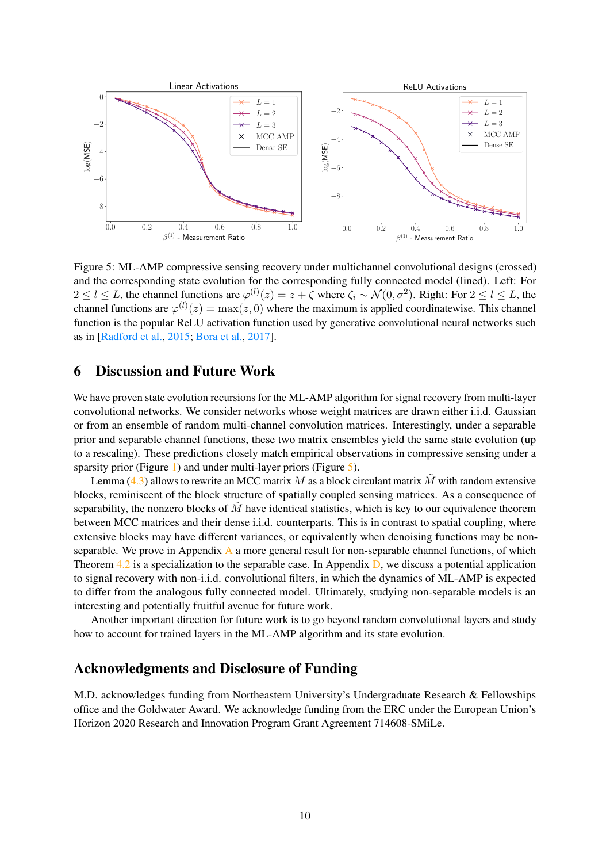<span id="page-9-0"></span>

Figure 5: ML-AMP compressive sensing recovery under multichannel convolutional designs (crossed) and the corresponding state evolution for the corresponding fully connected model (lined). Left: For  $2 \leq l \leq L$ , the channel functions are  $\varphi^{(l)}(z) = z + \zeta$  where  $\zeta_i \sim \mathcal{N}(0, \sigma^2)$ . Right: For  $2 \leq l \leq L$ , the channel functions are  $\varphi^{(l)}(z) = \max(z, 0)$  where the maximum is applied coordinatewise. This channel function is the popular ReLU activation function used by generative convolutional neural networks such as in [\[Radford et al.,](#page-11-9) [2015;](#page-11-9) [Bora et al.,](#page-10-0) [2017\]](#page-10-0).

# 6 Discussion and Future Work

We have proven state evolution recursions for the ML-AMP algorithm for signal recovery from multi-layer convolutional networks. We consider networks whose weight matrices are drawn either i.i.d. Gaussian or from an ensemble of random multi-channel convolution matrices. Interestingly, under a separable prior and separable channel functions, these two matrix ensembles yield the same state evolution (up to a rescaling). These predictions closely match empirical observations in compressive sensing under a sparsity prior (Figure [1\)](#page-1-0) and under multi-layer priors (Figure [5\)](#page-9-0).

Lemma [\(4.3\)](#page-7-1) allows to rewrite an MCC matrix M as a block circulant matrix  $\tilde{M}$  with random extensive blocks, reminiscent of the block structure of spatially coupled sensing matrices. As a consequence of separability, the nonzero blocks of  $M$  have identical statistics, which is key to our equivalence theorem between MCC matrices and their dense i.i.d. counterparts. This is in contrast to spatial coupling, where extensive blocks may have different variances, or equivalently when denoising functions may be nonseparable. We prove in Appendix [A](#page-13-0) a more general result for non-separable channel functions, of which Theorem  $4.2$  is a specialization to the separable case. In Appendix  $D$ , we discuss a potential application to signal recovery with non-i.i.d. convolutional filters, in which the dynamics of ML-AMP is expected to differ from the analogous fully connected model. Ultimately, studying non-separable models is an interesting and potentially fruitful avenue for future work.

Another important direction for future work is to go beyond random convolutional layers and study how to account for trained layers in the ML-AMP algorithm and its state evolution.

# Acknowledgments and Disclosure of Funding

M.D. acknowledges funding from Northeastern University's Undergraduate Research & Fellowships office and the Goldwater Award. We acknowledge funding from the ERC under the European Union's Horizon 2020 Research and Innovation Program Grant Agreement 714608-SMiLe.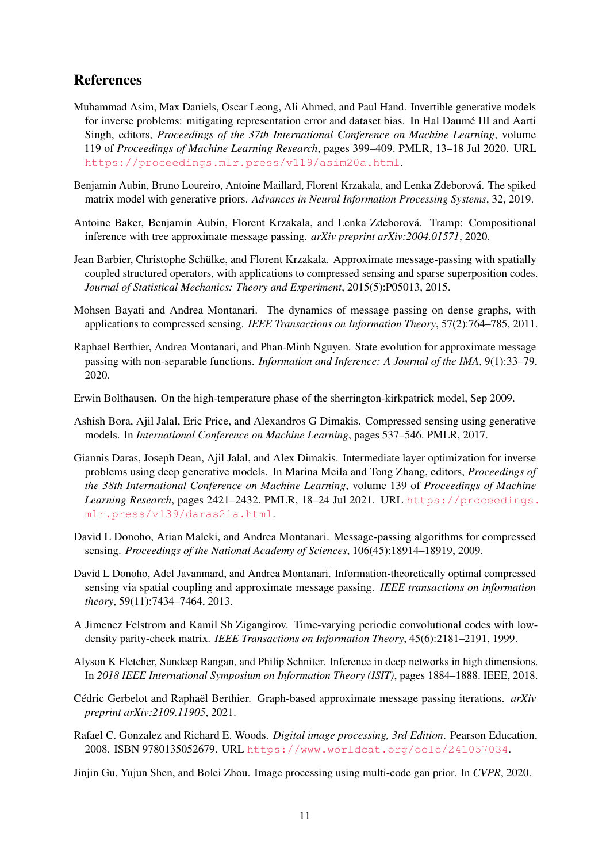# References

- <span id="page-10-14"></span>Muhammad Asim, Max Daniels, Oscar Leong, Ali Ahmed, and Paul Hand. Invertible generative models for inverse problems: mitigating representation error and dataset bias. In Hal Daumé III and Aarti Singh, editors, *Proceedings of the 37th International Conference on Machine Learning*, volume 119 of *Proceedings of Machine Learning Research*, pages 399–409. PMLR, 13–18 Jul 2020. URL <https://proceedings.mlr.press/v119/asim20a.html>.
- <span id="page-10-2"></span>Benjamin Aubin, Bruno Loureiro, Antoine Maillard, Florent Krzakala, and Lenka Zdeborová. The spiked matrix model with generative priors. *Advances in Neural Information Processing Systems*, 32, 2019.
- <span id="page-10-5"></span>Antoine Baker, Benjamin Aubin, Florent Krzakala, and Lenka Zdeborová. Tramp: Compositional inference with tree approximate message passing. *arXiv preprint arXiv:2004.01571*, 2020.
- <span id="page-10-10"></span>Jean Barbier, Christophe Schülke, and Florent Krzakala. Approximate message-passing with spatially coupled structured operators, with applications to compressed sensing and sparse superposition codes. *Journal of Statistical Mechanics: Theory and Experiment*, 2015(5):P05013, 2015.
- <span id="page-10-7"></span>Mohsen Bayati and Andrea Montanari. The dynamics of message passing on dense graphs, with applications to compressed sensing. *IEEE Transactions on Information Theory*, 57(2):764–785, 2011.
- <span id="page-10-8"></span>Raphael Berthier, Andrea Montanari, and Phan-Minh Nguyen. State evolution for approximate message passing with non-separable functions. *Information and Inference: A Journal of the IMA*, 9(1):33–79, 2020.
- <span id="page-10-6"></span>Erwin Bolthausen. On the high-temperature phase of the sherrington-kirkpatrick model, Sep 2009.
- <span id="page-10-0"></span>Ashish Bora, Ajil Jalal, Eric Price, and Alexandros G Dimakis. Compressed sensing using generative models. In *International Conference on Machine Learning*, pages 537–546. PMLR, 2017.
- <span id="page-10-12"></span>Giannis Daras, Joseph Dean, Ajil Jalal, and Alex Dimakis. Intermediate layer optimization for inverse problems using deep generative models. In Marina Meila and Tong Zhang, editors, *Proceedings of the 38th International Conference on Machine Learning*, volume 139 of *Proceedings of Machine Learning Research*, pages 2421–2432. PMLR, 18–24 Jul 2021. URL [https://proceedings.](https://proceedings.mlr.press/v139/daras21a.html) [mlr.press/v139/daras21a.html](https://proceedings.mlr.press/v139/daras21a.html).
- <span id="page-10-1"></span>David L Donoho, Arian Maleki, and Andrea Montanari. Message-passing algorithms for compressed sensing. *Proceedings of the National Academy of Sciences*, 106(45):18914–18919, 2009.
- <span id="page-10-9"></span>David L Donoho, Adel Javanmard, and Andrea Montanari. Information-theoretically optimal compressed sensing via spatial coupling and approximate message passing. *IEEE transactions on information theory*, 59(11):7434–7464, 2013.
- <span id="page-10-11"></span>A Jimenez Felstrom and Kamil Sh Zigangirov. Time-varying periodic convolutional codes with lowdensity parity-check matrix. *IEEE Transactions on Information Theory*, 45(6):2181–2191, 1999.
- <span id="page-10-4"></span>Alyson K Fletcher, Sundeep Rangan, and Philip Schniter. Inference in deep networks in high dimensions. In *2018 IEEE International Symposium on Information Theory (ISIT)*, pages 1884–1888. IEEE, 2018.
- <span id="page-10-3"></span>Cédric Gerbelot and Raphaël Berthier. Graph-based approximate message passing iterations. *arXiv preprint arXiv:2109.11905*, 2021.
- <span id="page-10-15"></span>Rafael C. Gonzalez and Richard E. Woods. *Digital image processing, 3rd Edition*. Pearson Education, 2008. ISBN 9780135052679. URL <https://www.worldcat.org/oclc/241057034>.
- <span id="page-10-13"></span>Jinjin Gu, Yujun Shen, and Bolei Zhou. Image processing using multi-code gan prior. In *CVPR*, 2020.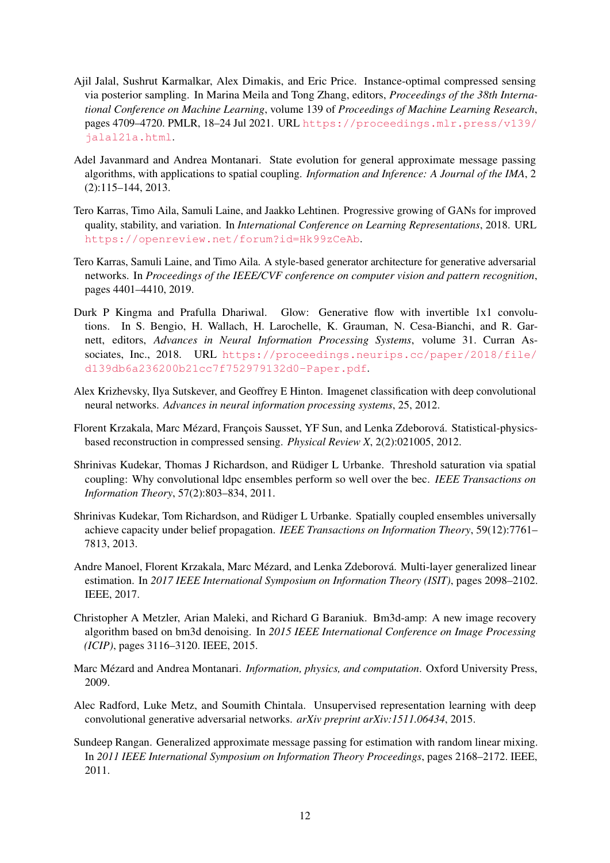- <span id="page-11-11"></span>Ajil Jalal, Sushrut Karmalkar, Alex Dimakis, and Eric Price. Instance-optimal compressed sensing via posterior sampling. In Marina Meila and Tong Zhang, editors, *Proceedings of the 38th International Conference on Machine Learning*, volume 139 of *Proceedings of Machine Learning Research*, pages 4709–4720. PMLR, 18–24 Jul 2021. URL [https://proceedings.mlr.press/v139/](https://proceedings.mlr.press/v139/jalal21a.html) [jalal21a.html](https://proceedings.mlr.press/v139/jalal21a.html).
- <span id="page-11-6"></span>Adel Javanmard and Andrea Montanari. State evolution for general approximate message passing algorithms, with applications to spatial coupling. *Information and Inference: A Journal of the IMA*, 2 (2):115–144, 2013.
- <span id="page-11-0"></span>Tero Karras, Timo Aila, Samuli Laine, and Jaakko Lehtinen. Progressive growing of GANs for improved quality, stability, and variation. In *International Conference on Learning Representations*, 2018. URL <https://openreview.net/forum?id=Hk99zCeAb>.
- <span id="page-11-1"></span>Tero Karras, Samuli Laine, and Timo Aila. A style-based generator architecture for generative adversarial networks. In *Proceedings of the IEEE/CVF conference on computer vision and pattern recognition*, pages 4401–4410, 2019.
- <span id="page-11-10"></span>Durk P Kingma and Prafulla Dhariwal. Glow: Generative flow with invertible 1x1 convolutions. In S. Bengio, H. Wallach, H. Larochelle, K. Grauman, N. Cesa-Bianchi, and R. Garnett, editors, *Advances in Neural Information Processing Systems*, volume 31. Curran Associates, Inc., 2018. URL [https://proceedings.neurips.cc/paper/2018/file/](https://proceedings.neurips.cc/paper/2018/file/d139db6a236200b21cc7f752979132d0-Paper.pdf) [d139db6a236200b21cc7f752979132d0-Paper.pdf](https://proceedings.neurips.cc/paper/2018/file/d139db6a236200b21cc7f752979132d0-Paper.pdf).
- <span id="page-11-13"></span>Alex Krizhevsky, Ilya Sutskever, and Geoffrey E Hinton. Imagenet classification with deep convolutional neural networks. *Advances in neural information processing systems*, 25, 2012.
- <span id="page-11-5"></span>Florent Krzakala, Marc Mézard, François Sausset, YF Sun, and Lenka Zdeborová. Statistical-physicsbased reconstruction in compressed sensing. *Physical Review X*, 2(2):021005, 2012.
- <span id="page-11-7"></span>Shrinivas Kudekar, Thomas J Richardson, and Rüdiger L Urbanke. Threshold saturation via spatial coupling: Why convolutional ldpc ensembles perform so well over the bec. *IEEE Transactions on Information Theory*, 57(2):803–834, 2011.
- <span id="page-11-8"></span>Shrinivas Kudekar, Tom Richardson, and Rüdiger L Urbanke. Spatially coupled ensembles universally achieve capacity under belief propagation. *IEEE Transactions on Information Theory*, 59(12):7761– 7813, 2013.
- <span id="page-11-4"></span>Andre Manoel, Florent Krzakala, Marc Mézard, and Lenka Zdeborová. Multi-layer generalized linear estimation. In *2017 IEEE International Symposium on Information Theory (ISIT)*, pages 2098–2102. IEEE, 2017.
- <span id="page-11-12"></span>Christopher A Metzler, Arian Maleki, and Richard G Baraniuk. Bm3d-amp: A new image recovery algorithm based on bm3d denoising. In *2015 IEEE International Conference on Image Processing (ICIP)*, pages 3116–3120. IEEE, 2015.
- <span id="page-11-2"></span>Marc Mézard and Andrea Montanari. *Information, physics, and computation*. Oxford University Press, 2009.
- <span id="page-11-9"></span>Alec Radford, Luke Metz, and Soumith Chintala. Unsupervised representation learning with deep convolutional generative adversarial networks. *arXiv preprint arXiv:1511.06434*, 2015.
- <span id="page-11-3"></span>Sundeep Rangan. Generalized approximate message passing for estimation with random linear mixing. In *2011 IEEE International Symposium on Information Theory Proceedings*, pages 2168–2172. IEEE, 2011.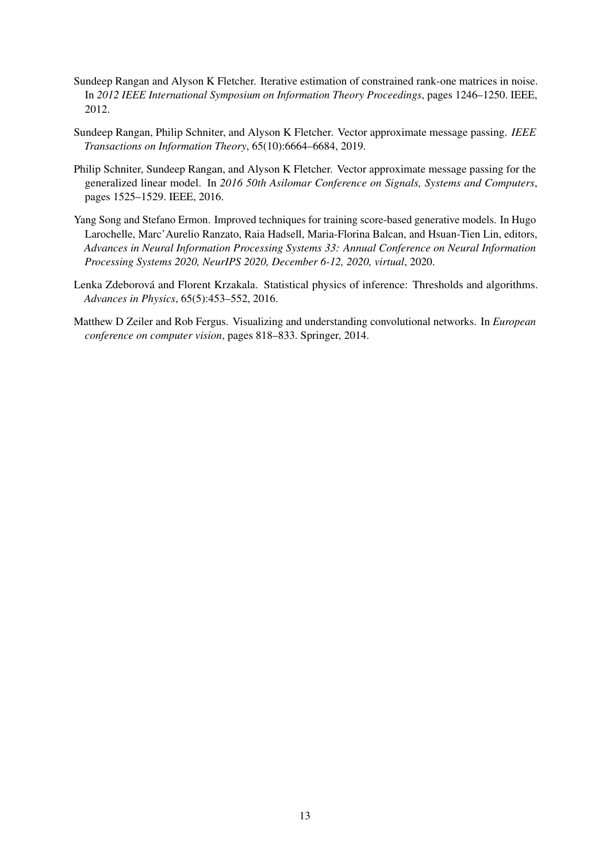- <span id="page-12-1"></span>Sundeep Rangan and Alyson K Fletcher. Iterative estimation of constrained rank-one matrices in noise. In *2012 IEEE International Symposium on Information Theory Proceedings*, pages 1246–1250. IEEE, 2012.
- <span id="page-12-3"></span>Sundeep Rangan, Philip Schniter, and Alyson K Fletcher. Vector approximate message passing. *IEEE Transactions on Information Theory*, 65(10):6664–6684, 2019.
- <span id="page-12-2"></span>Philip Schniter, Sundeep Rangan, and Alyson K Fletcher. Vector approximate message passing for the generalized linear model. In *2016 50th Asilomar Conference on Signals, Systems and Computers*, pages 1525–1529. IEEE, 2016.
- <span id="page-12-4"></span>Yang Song and Stefano Ermon. Improved techniques for training score-based generative models. In Hugo Larochelle, Marc'Aurelio Ranzato, Raia Hadsell, Maria-Florina Balcan, and Hsuan-Tien Lin, editors, *Advances in Neural Information Processing Systems 33: Annual Conference on Neural Information Processing Systems 2020, NeurIPS 2020, December 6-12, 2020, virtual*, 2020.
- <span id="page-12-0"></span>Lenka Zdeborová and Florent Krzakala. Statistical physics of inference: Thresholds and algorithms. *Advances in Physics*, 65(5):453–552, 2016.
- <span id="page-12-5"></span>Matthew D Zeiler and Rob Fergus. Visualizing and understanding convolutional networks. In *European conference on computer vision*, pages 818–833. Springer, 2014.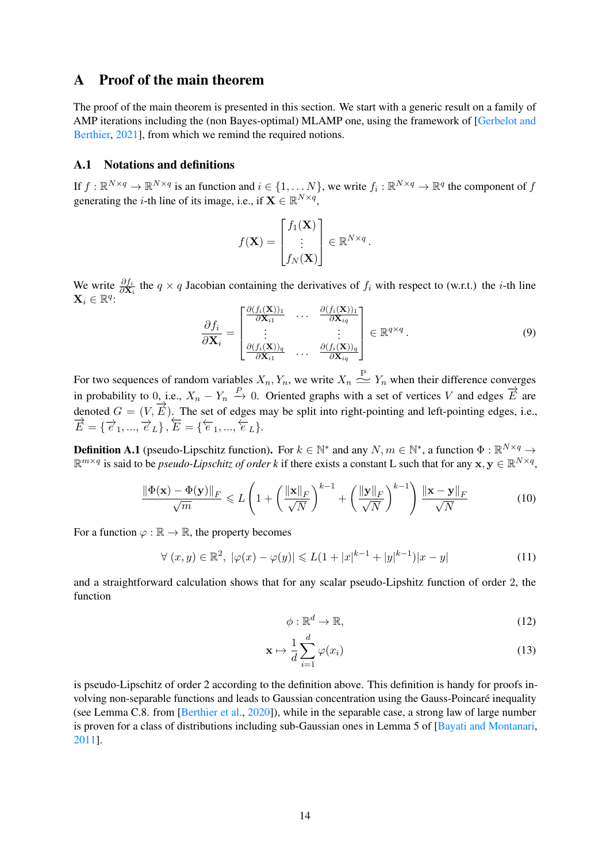# <span id="page-13-0"></span>A Proof of the main theorem

The proof of the main theorem is presented in this section. We start with a generic result on a family of AMP iterations including the (non Bayes-optimal) MLAMP one, using the framework of [\[Gerbelot and](#page-10-3) [Berthier,](#page-10-3) [2021\]](#page-10-3), from which we remind the required notions.

### A.1 Notations and definitions

If  $f : \mathbb{R}^{N \times q} \to \mathbb{R}^{N \times q}$  is an function and  $i \in \{1, ..., N\}$ , we write  $f_i : \mathbb{R}^{N \times q} \to \mathbb{R}^q$  the component of  $f$ generating the *i*-th line of its image, i.e., if  $\mathbf{X} \in \mathbb{R}^{N \times q}$ ,

$$
f(\mathbf{X}) = \begin{bmatrix} f_1(\mathbf{X}) \\ \vdots \\ f_N(\mathbf{X}) \end{bmatrix} \in \mathbb{R}^{N \times q}.
$$

We write  $\frac{\partial f_i}{\partial \mathbf{X}_i}$  the  $q \times q$  Jacobian containing the derivatives of  $f_i$  with respect to (w.r.t.) the *i*-th line  $\mathbf{X}_i \in \mathbb{R}^q$ 

$$
\frac{\partial f_i}{\partial \mathbf{X}_i} = \begin{bmatrix} \frac{\partial (f_i(\mathbf{X}))_1}{\partial \mathbf{X}_{i1}} & \cdots & \frac{\partial (f_i(\mathbf{X}))_1}{\partial \mathbf{X}_{iq}} \\ \vdots & \vdots & \vdots \\ \frac{\partial (f_i(\mathbf{X}))_q}{\partial \mathbf{X}_{i1}} & \cdots & \frac{\partial (f_i(\mathbf{X}))_q}{\partial \mathbf{X}_{iq}} \end{bmatrix} \in \mathbb{R}^{q \times q}.
$$
 (9)

For two sequences of random variables  $X_n, Y_n$ , we write  $X_n \stackrel{\text{P}}{\simeq} Y_n$  when their difference converges in probability to  $0,$  i.e.,  $X_n - Y_n \stackrel{P}{\to} 0$ . Oriented graphs with a set of vertices V and edges  $\overrightarrow{E}$  are denoted  $G = (V, \vec{E})$ . The set of edges may be split into right-pointing and left-pointing edges, i.e.,  $\overrightarrow{E} = {\overrightarrow{e}_1, ..., \overrightarrow{e}_L}, \overleftarrow{E} = {\overleftarrow{e}_1, ..., \overleftarrow{e}_L}.$ 

**Definition A.1** (pseudo-Lipschitz function). For  $k \in \mathbb{N}^*$  and any  $N, m \in \mathbb{N}^*$ , a function  $\Phi : \mathbb{R}^{N \times q} \to$  $\mathbb{R}^{m \times q}$  is said to be *pseudo-Lipschitz of order k* if there exists a constant L such that for any  $x, y \in \mathbb{R}^{N \times q}$ ,

$$
\frac{\|\Phi(\mathbf{x}) - \Phi(\mathbf{y})\|_F}{\sqrt{m}} \le L \left( 1 + \left( \frac{\|\mathbf{x}\|_F}{\sqrt{N}} \right)^{k-1} + \left( \frac{\|\mathbf{y}\|_F}{\sqrt{N}} \right)^{k-1} \right) \frac{\|\mathbf{x} - \mathbf{y}\|_F}{\sqrt{N}} \tag{10}
$$

For a function  $\varphi : \mathbb{R} \to \mathbb{R}$ , the property becomes

$$
\forall (x, y) \in \mathbb{R}^2, \ |\varphi(x) - \varphi(y)| \leq L(1 + |x|^{k-1} + |y|^{k-1})|x - y| \tag{11}
$$

and a straightforward calculation shows that for any scalar pseudo-Lipshitz function of order 2, the function

$$
\phi: \mathbb{R}^d \to \mathbb{R},\tag{12}
$$

$$
\mathbf{x} \mapsto \frac{1}{d} \sum_{i=1}^{d} \varphi(x_i)
$$
 (13)

is pseudo-Lipschitz of order 2 according to the definition above. This definition is handy for proofs involving non-separable functions and leads to Gaussian concentration using the Gauss-Poincaré inequality (see Lemma C.8. from [\[Berthier et al.,](#page-10-8) [2020\]](#page-10-8)), while in the separable case, a strong law of large number is proven for a class of distributions including sub-Gaussian ones in Lemma 5 of [\[Bayati and Montanari,](#page-10-7) [2011\]](#page-10-7).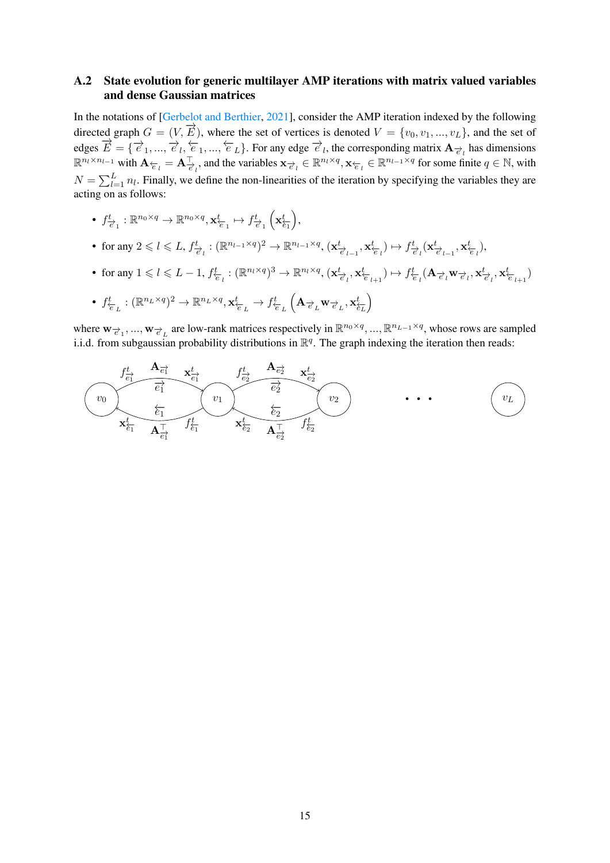### A.2 State evolution for generic multilayer AMP iterations with matrix valued variables and dense Gaussian matrices

In the notations of [\[Gerbelot and Berthier,](#page-10-3) [2021\]](#page-10-3), consider the AMP iteration indexed by the following directed graph  $G = (V, \vec{E})$ , where the set of vertices is denoted  $V = \{v_0, v_1, ..., v_L\}$ , and the set of edges  $\vec{E} = \{\vec{e}_1, ..., \vec{e}_l, \frac{\epsilon}{e}_1, ..., \frac{\epsilon}{e}_L\}$ . For any edge  $\vec{e}_l$ , the corresponding matrix  $\mathbf{A}_{\vec{e}_l}$  has dimensions  $\mathbb{R}^{n_l \times n_{l-1}}$  with  $\mathbf{A}_{\overleftarrow{e}_l} = \mathbf{A}_{\overrightarrow{e}_l}^{\top}$ , and the variables  $\mathbf{x}_{\overrightarrow{e}_l} \in \mathbb{R}^{n_l \times q}$ ,  $\mathbf{x}_{\overleftarrow{e}_l} \in \mathbb{R}^{n_{l-1} \times q}$  for some finite  $q \in \mathbb{N}$ , with  $N = \sum_{l=1}^{L} n_l$ . Finally, we define the non-linearities of the iteration by specifying the variables they are acting on as follows:

- $\bullet~~f^t_{\overrightarrow{e}_1}:\mathbb{R}^{n_0\times q}\rightarrow\mathbb{R}^{n_0\times q},\mathbf{x}^t_{\overleftarrow{e}_1}\mapsto f^t_{\overrightarrow{e}_1}\left(\mathbf{x}^t_{\overleftarrow{e_1}}\right)\!,$
- for any  $2 \leq l \leq L$ ,  $f_{\overrightarrow{e}_l}^t : (\mathbb{R}^{n_{l-1} \times q})^2 \to \mathbb{R}^{n_{l-1} \times q}$ ,  $(\mathbf{x}_{\overrightarrow{e}_{l-1}}^t, \mathbf{x}_{\overleftarrow{e}_l}) \mapsto f_{\overrightarrow{e}_l}^t(\mathbf{x}_{\overrightarrow{e}_{l-1}}^t, \mathbf{x}_{\overleftarrow{e}_l}^t)$ ,
- for any  $1 \leq l \leq L-1$ ,  $f_{\overleftarrow{e}_l}^t : (\mathbb{R}^{n_l \times q})^3 \to \mathbb{R}^{n_l \times q}$ ,  $(\mathbf{x}_{\overrightarrow{e}_l}^t, \mathbf{x}_{\overleftarrow{e}_{l+1}}^t) \mapsto f_{\overleftarrow{e}_l}^t (\mathbf{A}_{\overrightarrow{e}_l} \mathbf{w}_{\overrightarrow{e}_l}, \mathbf{x}_{\overleftarrow{e}_l}^t, \mathbf{x}_{\overleftarrow{e}_{l+1}}^t)$

• 
$$
f_{\overline{e}_L}^t : (\mathbb{R}^{n_L \times q})^2 \to \mathbb{R}^{n_L \times q}, \mathbf{x}_{\overline{e}_L}^t \to f_{\overline{e}_L}^t (\mathbf{A}_{\overrightarrow{e}_L} \mathbf{w}_{\overrightarrow{e}_L}, \mathbf{x}_{\overline{e}_L}^t)
$$

where  $w_{\vec{e}_1},...,w_{\vec{e}_L}$  are low-rank matrices respectively in  $\mathbb{R}^{n_0 \times q},..., \mathbb{R}^{n_{L-1} \times q}$ , whose rows are sampled i.i.d. from subgaussian probability distributions in  $\mathbb{R}^q$ . The graph indexing the iteration then reads:

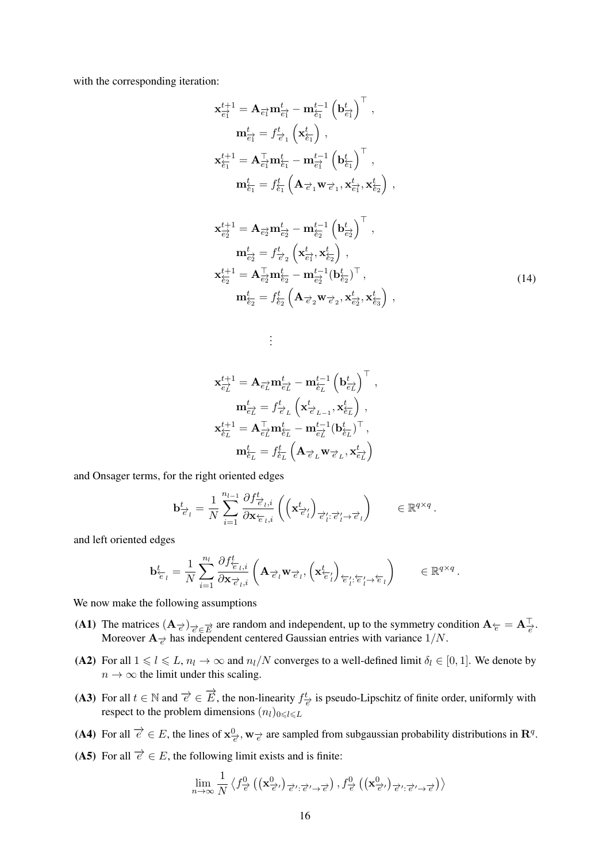with the corresponding iteration:

$$
\mathbf{x}_{\overrightarrow{e_{1}}}^{t+1} = \mathbf{A}_{\overrightarrow{e_{1}}} \mathbf{m}_{\overrightarrow{e_{1}}}^{t} - \mathbf{m}_{\overleftarrow{e_{1}}}^{t-1} \left(\mathbf{b}_{\overrightarrow{e_{1}}}^{t}\right)^{\top},
$$
\n
$$
\mathbf{m}_{\overrightarrow{e_{1}}}^{t} = f_{\overrightarrow{e_{1}}}^{t} \left(\mathbf{x}_{\overleftarrow{e_{1}}}^{t}\right),
$$
\n
$$
\mathbf{x}_{\overleftarrow{e_{1}}}^{t+1} = \mathbf{A}_{\overrightarrow{e_{1}}}^{\top} \mathbf{m}_{\overleftarrow{e_{1}}}^{t} - \mathbf{m}_{\overrightarrow{e_{1}}}^{t-1} \left(\mathbf{b}_{\overleftarrow{e_{1}}}^{t}\right)^{\top},
$$
\n
$$
\mathbf{m}_{\overleftarrow{e_{1}}}^{t} = f_{\overleftarrow{e_{1}}}^{t} \left(\mathbf{A}_{\overrightarrow{e_{1}}} \mathbf{w}_{\overrightarrow{e_{1}}}, \mathbf{x}_{\overrightarrow{e_{1}}}^{t}, \mathbf{x}_{\overleftarrow{e_{2}}}^{t}\right),
$$

$$
\mathbf{x}_{\overline{e_{2}^{1}}}^{t+1} = \mathbf{A}_{\overline{e_{2}^{1}}} \mathbf{m}_{\overline{e_{2}^{1}}}^{t} - \mathbf{m}_{\overline{e_{2}}}^{t-1} \left( \mathbf{b}_{\overline{e_{2}^{1}}}^{t} \right)^{\top},
$$
\n
$$
\mathbf{m}_{\overline{e_{2}^{1}}}^{t} = f_{\overline{e_{2}}}^{t} \left( \mathbf{x}_{\overline{e_{1}}}^{t}, \mathbf{x}_{\overline{e_{2}}}^{t} \right),
$$
\n
$$
\mathbf{x}_{\overline{e_{2}}}^{t+1} = \mathbf{A}_{\overline{e_{2}}}^{\top} \mathbf{m}_{\overline{e_{2}}}^{t} - \mathbf{m}_{\overline{e_{2}}}^{t-1} (\mathbf{b}_{\overline{e_{2}}}^{t})^{\top},
$$
\n
$$
\mathbf{m}_{\overline{e_{2}}}^{t} = f_{\overline{e_{2}}}^{t} \left( \mathbf{A}_{\overline{e_{2}}} \mathbf{w}_{\overline{e_{2}}} \mathbf{x}_{\overline{e_{2}}}^{t}, \mathbf{x}_{\overline{e_{2}}}^{t} \right),
$$
\n(14)

$$
\label{eq:1} \begin{aligned} \mathbf{x}_{\overrightarrow{e_L}}^{t+1} &= \mathbf{A}_{\overrightarrow{e_L}} \mathbf{m}_{\overrightarrow{e_L}}^t - \mathbf{m}_{\overleftarrow{e_L}}^{t-1} \left(\mathbf{b}_{\overrightarrow{e_L}}^t\right)^\top\,, \\ \mathbf{m}_{\overrightarrow{e_L}}^t &= f_{\overrightarrow{e_L}}^t \left(\mathbf{x}_{\overrightarrow{e_{L-1}}}^t, \mathbf{x}_{\overleftarrow{e_L}}^t\right)\,, \\ \mathbf{x}_{\overleftarrow{e_L}}^{t+1} &= \mathbf{A}_{\overrightarrow{e_L}}^\top \mathbf{m}_{\overleftarrow{e_L}}^t - \mathbf{m}_{\overrightarrow{e_L}}^{t-1} (\mathbf{b}_{\overleftarrow{e_L}}^t)^\top\,, \\ \mathbf{m}_{\overleftarrow{e_L}}^t &= f_{\overleftarrow{e_L}}^t \left(\mathbf{A}_{\overrightarrow{e_L}} \mathbf{w}_{\overrightarrow{e_L}}, \mathbf{x}_{\overrightarrow{e_L}}^t\right)\end{aligned}
$$

. . .

and Onsager terms, for the right oriented edges

$$
\mathbf{b}^t_{\overrightarrow{e}_l} = \frac{1}{N} \sum_{i=1}^{n_{l-1}} \frac{\partial f^t_{\overrightarrow{e}_l,i}}{\partial \mathbf{x}_{\overleftarrow{e}_l,i}} \left( \left( \mathbf{x}^t_{\overrightarrow{e}'_l} \right)_{\overrightarrow{e}'_l:\overrightarrow{e}'_l \rightarrow \overrightarrow{e}_l} \right) \qquad \in \mathbb{R}^{q \times q}.
$$

and left oriented edges

$$
\mathbf{b}^t_{\overleftarrow{e}_l} = \frac{1}{N} \sum_{i=1}^{n_l} \frac{\partial f^t_{\overleftarrow{e}_l,i}}{\partial \mathbf{x}_{\overrightarrow{e}_l,i}} \left( \mathbf{A}_{\overrightarrow{e}_l} \mathbf{w}_{\overrightarrow{e}_l}, \left( \mathbf{x}^t_{\overleftarrow{e}'_l} \right)_{\overleftarrow{e}'_l:\overleftarrow{e}'_l \rightarrow \overleftarrow{e}_l} \right) \right) \qquad \in \mathbb{R}^{q \times q}.
$$

We now make the following assumptions

- <span id="page-15-0"></span>(A1) The matrices  $(A_{\vec{e}})_{\vec{e} \in \vec{E}}$  are random and independent, up to the symmetry condition  $A_{\vec{e}} = A_{\vec{e}}^\top$ . Moreover  $\mathbf{A}_{\overrightarrow{e}}$  has independent centered Gaussian entries with variance  $1/N$ .
- (A2) For all  $1 \leq l \leq L$ ,  $n_l \to \infty$  and  $n_l/N$  converges to a well-defined limit  $\delta_l \in [0, 1]$ . We denote by  $n \to \infty$  the limit under this scaling.
- (A3) For all  $t \in \mathbb{N}$  and  $\overrightarrow{e} \in \overrightarrow{E}$ , the non-linearity  $f^t_{\overrightarrow{e}}$  is pseudo-Lipschitz of finite order, uniformly with respect to the problem dimensions  $(n_l)_{0 \leq l \leq L}$
- (A4) For all  $\overrightarrow{e} \in E$ , the lines of  $\mathbf{x}^0_{\overrightarrow{e}}$ ,  $\mathbf{w}_{\overrightarrow{e}}$  are sampled from subgaussian probability distributions in  $\mathbf{R}^q$ .
- (A5) For all  $\overrightarrow{e} \in E$ , the following limit exists and is finite:

$$
\lim_{n \to \infty} \frac{1}{N} \left\langle f^0_{\vec{e}} \left( \left( \mathbf{x}^0_{\vec{e}'} \right)_{\vec{e}' : \vec{e}' \to \vec{e}} \right), f^0_{\vec{e}} \left( \left( \mathbf{x}^0_{\vec{e}'} \right)_{\vec{e}': \vec{e}' \to \vec{e}} \right) \right\rangle
$$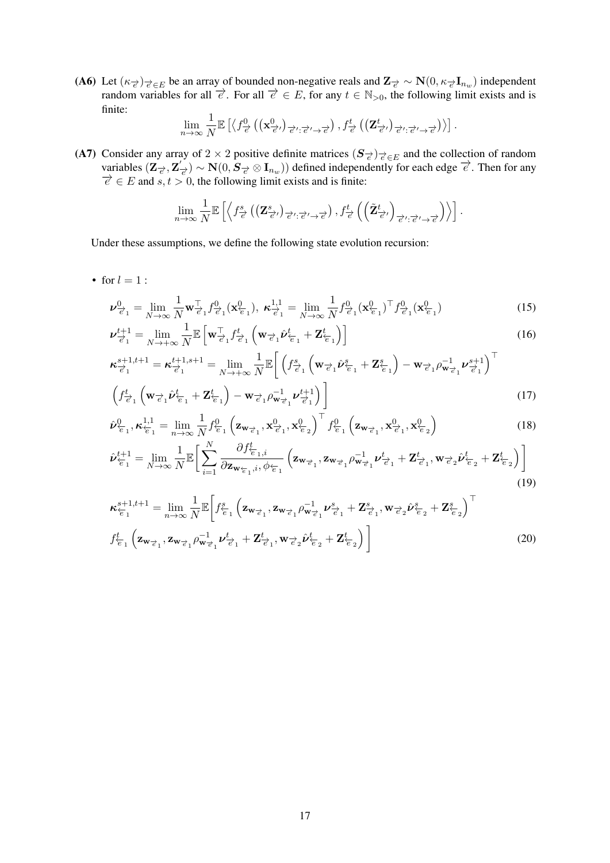(A6) Let  $(\kappa_{\vec{e}})_{\vec{e} \in E}$  be an array of bounded non-negative reals and  $\mathbf{Z}_{\vec{e}} \sim \mathbf{N}(0, \kappa_{\vec{e}} \mathbf{I}_{n_w})$  independent random variables for all  $\vec{e}$ . For all  $\vec{e} \in E$ , for any  $t \in \mathbb{N}_{>0}$ , the following limit exists and is finite:

$$
\lim_{n\to\infty}\frac{1}{N}\mathbb{E}\left[\left\langle f_{\overrightarrow{e}}^0\left(\left(\mathbf{x}^0_{\overrightarrow{e}'}\right)_{\overrightarrow{e}':\overrightarrow{e}'\rightarrow\overrightarrow{e}}\right),f_{\overrightarrow{e}}^t\left(\left(\mathbf{Z}^t_{\overrightarrow{e}'}\right)_{\overrightarrow{e}':\overrightarrow{e}'\rightarrow\overrightarrow{e}}\right)\right\rangle\right].
$$

<span id="page-16-0"></span>(A7) Consider any array of 2  $\times$  2 positive definite matrices  $(S_{\vec{e}})_{\vec{e} \in E}$  and the collection of random variables  $(\mathbf{Z}_{\vec{e}}, \mathbf{Z}_{\vec{e}}^{\prime}) \sim \mathbf{N}(0, \mathbf{S}_{\vec{e}} \otimes \mathbf{I}_{n_w})$  defined independently for each edge  $\vec{e}$ . Then for any  $\overrightarrow{e} \in E$  and  $s, t > 0$ , the following limit exists and is finite:

$$
\lim_{n\to\infty}\frac{1}{N}\mathbb{E}\left[\left\langle f^s_{\overrightarrow{e}}\left(\left(\mathbf{Z}^s_{\overrightarrow{e}'}\right)_{\overrightarrow{e}':\overrightarrow{e}'\rightarrow\overrightarrow{e}}\right),f^t_{\overrightarrow{e}}\left(\left(\tilde{\mathbf{Z}}^t_{\overrightarrow{e}'}\right)_{\overrightarrow{e}':\overrightarrow{e}'\rightarrow\overrightarrow{e}}\right)\right\rangle\right].
$$

Under these assumptions, we define the following state evolution recursion:

• for  $l = 1$  :

$$
\nu_{\vec{e}_1}^0 = \lim_{N \to \infty} \frac{1}{N} \mathbf{w}_{\vec{e}_1}^T f_{\vec{e}_1}^0(\mathbf{x}_{\vec{e}_1}^0), \ \kappa_{\vec{e}_1}^{1,1} = \lim_{N \to \infty} \frac{1}{N} f_{\vec{e}_1}^0(\mathbf{x}_{\vec{e}_1}^0)^T f_{\vec{e}_1}^0(\mathbf{x}_{\vec{e}_1}^0)
$$
(15)

$$
\boldsymbol{\nu}_{\overrightarrow{e}_1}^{t+1} = \lim_{N \to +\infty} \frac{1}{N} \mathbb{E} \left[ \mathbf{w}_{\overrightarrow{e}_1}^{\top} f_{\overrightarrow{e}_1}^t \left( \mathbf{w}_{\overrightarrow{e}_1} \hat{\boldsymbol{\nu}}_{\overleftarrow{e}_1}^t + \mathbf{Z}_{\overleftarrow{e}_1}^t \right) \right] \right]
$$
(16)

$$
\boldsymbol{\kappa}_{\overrightarrow{e}_1}^{s+1,t+1} = \boldsymbol{\kappa}_{\overrightarrow{e}_1}^{t+1,s+1} = \lim_{N \to +\infty} \frac{1}{N} \mathbb{E} \bigg[ \left( f_{\overrightarrow{e}_1}^s \left( \mathbf{w}_{\overrightarrow{e}_1} \hat{\boldsymbol{\nu}}_{\overleftarrow{e}_1}^s + \mathbf{Z}_{\overleftarrow{e}_1}^s \right) - \mathbf{w}_{\overrightarrow{e}_1} \rho_{\mathbf{w}_{\overrightarrow{e}_1}}^{-1} \boldsymbol{\nu}_{\overrightarrow{e}_1}^{s+1} \right)^\top \n \left( f_{\overrightarrow{e}_1}^t \left( \mathbf{w}_{\overrightarrow{e}_1} \hat{\boldsymbol{\nu}}_{\overleftarrow{e}_1}^t + \mathbf{Z}_{\overleftarrow{e}_1}^t \right) - \mathbf{w}_{\overrightarrow{e}_1} \rho_{\mathbf{w}_{\overrightarrow{e}_1}}^{-1} \boldsymbol{\nu}_{\overrightarrow{e}_1}^{t+1} \right) \bigg] \tag{17}
$$

$$
\hat{\nu}_{\epsilon_1}^0, \kappa_{\epsilon_1}^{1,1} = \lim_{n \to \infty} \frac{1}{N} f_{\epsilon_1}^0 \left( \mathbf{z}_{\mathbf{w}_{\vec{\epsilon}_1}}, \mathbf{x}_{\vec{\epsilon}_1}^0, \mathbf{x}_{\epsilon_2}^0 \right)^\top f_{\epsilon_1}^0 \left( \mathbf{z}_{\mathbf{w}_{\vec{\epsilon}_1}}, \mathbf{x}_{\vec{\epsilon}_1}^0, \mathbf{x}_{\epsilon_2}^0 \right)
$$
(18)

$$
\hat{\nu}_{\overleftarrow{e}_1}^{t+1} = \lim_{N \to \infty} \frac{1}{N} \mathbb{E} \bigg[ \sum_{i=1}^N \frac{\partial f_{\overleftarrow{e}_1, i}^t}{\partial \mathbf{z}_{\mathbf{w}_{\overleftarrow{e}_1}, i}, \phi_{\overleftarrow{e}_1}} \left( \mathbf{z}_{\mathbf{w}_{\overrightarrow{e}_1}, \mathbf{z}_{\mathbf{w}_{\overrightarrow{e}_1}} \rho_{\mathbf{w}_{\overrightarrow{e}_1}}^{-1} \nu_{\overrightarrow{e}_1}^t + \mathbf{Z}_{\overrightarrow{e}_1}^t, \mathbf{w}_{\overrightarrow{e}_2} \hat{\nu}_{\overleftarrow{e}_2}^t + \mathbf{Z}_{\overleftarrow{e}_2}^t \right) \bigg] \tag{19}
$$

$$
\boldsymbol{\kappa}_{\epsilon_1}^{s+1,t+1} = \lim_{n \to \infty} \frac{1}{N} \mathbb{E} \bigg[ f_{\epsilon_1}^s \left( \mathbf{z}_{\mathbf{w}_{\vec{\epsilon}_1}}, \mathbf{z}_{\mathbf{w}_{\vec{\epsilon}_1}} \rho_{\mathbf{w}_{\vec{\epsilon}_1}}^{-1} \boldsymbol{\nu}_{\vec{\epsilon}_1}^s + \mathbf{Z}_{\vec{\epsilon}_1}^s, \mathbf{w}_{\vec{\epsilon}_2} \hat{\boldsymbol{\nu}}_{\epsilon_2}^s + \mathbf{Z}_{\epsilon_2}^s \right)^\top
$$
  

$$
f_{\epsilon_1}^t \left( \mathbf{z}_{\mathbf{w}_{\vec{\epsilon}_1}}, \mathbf{z}_{\mathbf{w}_{\vec{\epsilon}_1}} \rho_{\mathbf{w}_{\vec{\epsilon}_1}}^{-1} \boldsymbol{\nu}_{\vec{\epsilon}_1}^t + \mathbf{Z}_{\vec{\epsilon}_1}^t, \mathbf{w}_{\vec{\epsilon}_2} \hat{\boldsymbol{\nu}}_{\epsilon_2}^t + \mathbf{Z}_{\epsilon_2}^t \right) \bigg]
$$
(20)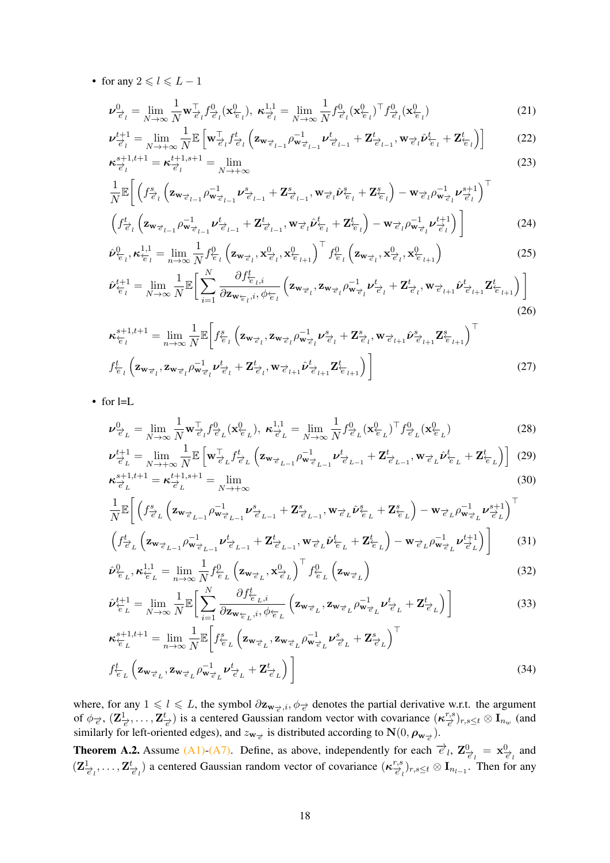• for any  $2 \leq l \leq L - 1$ 

$$
\boldsymbol{\nu}_{\overrightarrow{e}_l}^0 = \lim_{N \to \infty} \frac{1}{N} \mathbf{w}_{\overrightarrow{e}_l}^\top f_{\overrightarrow{e}_l}^0(\mathbf{x}_{\overleftarrow{e}_l}^0), \ \boldsymbol{\kappa}_{\overrightarrow{e}_l}^{1,1} = \lim_{N \to \infty} \frac{1}{N} f_{\overrightarrow{e}_l}^0(\mathbf{x}_{\overleftarrow{e}_l}^0)^\top f_{\overrightarrow{e}_l}^0(\mathbf{x}_{\overleftarrow{e}_l}^0)
$$
(21)

$$
\boldsymbol{\nu}_{\overrightarrow{e}_l}^{t+1} = \lim_{N \to +\infty} \frac{1}{N} \mathbb{E} \left[ \mathbf{w}_{\overrightarrow{e}_l}^{\top} f_{\overrightarrow{e}_l}^t \left( \mathbf{z}_{\mathbf{w}_{\overrightarrow{e}_{l-1}}} \rho_{\mathbf{w}_{\overrightarrow{e}_{l-1}}}^{-1} \boldsymbol{\nu}_{\overrightarrow{e}_{l-1}}^t + \mathbf{Z}_{\overrightarrow{e}_{l-1}}^t, \mathbf{w}_{\overrightarrow{e}_l} \hat{\boldsymbol{\nu}}_{\overleftarrow{e}_l}^t + \mathbf{Z}_{\overleftarrow{e}_l}^t \right) \right] \tag{22}
$$
\n
$$
\boldsymbol{\kappa}_{\overrightarrow{e}_l}^{s+1, t+1} = \boldsymbol{\kappa}_{\overrightarrow{e}_l}^{t+1, s+1} = \lim_{N \to +\infty} \tag{23}
$$

$$
\frac{1}{N} \mathbb{E}\bigg[\left(f_{\vec{e}_l}^s \left(\mathbf{z}_{\mathbf{w}_{\vec{e}_{l-1}}}\rho_{\mathbf{w}_{\vec{e}_{l-1}}}^{-1} \boldsymbol{\nu}_{\vec{e}_{l-1}}^s + \mathbf{Z}_{\vec{e}_{l-1}}^s, \mathbf{w}_{\vec{e}_l}\hat{\boldsymbol{\nu}}_{\vec{e}_l}^s + \mathbf{Z}_{\vec{e}_l}^s\right) - \mathbf{w}_{\vec{e}_l}\rho_{\mathbf{w}_{\vec{e}_l}}^{-1} \boldsymbol{\nu}_{\vec{e}_l}^{s+1}\bigg)^{\top} \left(f_{\vec{e}_l}^t \left(\mathbf{z}_{\mathbf{w}_{\vec{e}_{l-1}}}\rho_{\mathbf{w}_{\vec{e}_{l-1}}}^{-1} \boldsymbol{\nu}_{\vec{e}_{l-1}}^t + \mathbf{Z}_{\vec{e}_{l-1}}^t, \mathbf{w}_{\vec{e}_l}\hat{\boldsymbol{\nu}}_{\vec{e}_l}^t + \mathbf{Z}_{\vec{e}_l}^t\right) - \mathbf{w}_{\vec{e}_l}\rho_{\mathbf{w}_{\vec{e}_l}}^{-1} \boldsymbol{\nu}_{\vec{e}_l}^{t+1}\bigg)^{\top} \tag{24}
$$

$$
\left(J_{\vec{e}_l}^{\perp} \left( \mathbf{z}_{\mathbf{w}_{\vec{e}_{l-1}}} \rho_{\mathbf{w}_{\vec{e}_{l-1}}} \nu_{\vec{e}_{l-1}}^{\perp} + \mathbf{z}_{\vec{e}_{l-1}}^{\perp}, \mathbf{w}_{\vec{e}_{l}} \nu_{\vec{e}_{l}}^{\perp} + \mathbf{z}_{\vec{e}_{l}}^{\perp} \right) - \mathbf{w}_{\vec{e}_{l}} \rho_{\mathbf{w}_{\vec{e}_{l}}} \nu_{\vec{e}_{l}}^{\perp} \right) \tag{24}
$$
\n
$$
\hat{\nu}_{\vec{e}_{l}}^0, \kappa_{\vec{e}_{l}}^{1,1} = \lim_{n \to \infty} \frac{1}{N} f_{\vec{e}_{l}}^0 \left( \mathbf{z}_{\mathbf{w}_{\vec{e}_{l}}}, \mathbf{x}_{\vec{e}_{l+1}}^0 \right)^{\top} f_{\vec{e}_{l}}^0 \left( \mathbf{z}_{\mathbf{w}_{\vec{e}_{l}}}, \mathbf{x}_{\vec{e}_{l}}^0, \mathbf{x}_{\vec{e}_{l+1}}^0 \right) \tag{25}
$$

$$
\hat{\nu}_{\epsilon_l}^{t+1} = \lim_{N \to \infty} \frac{1}{N} \mathbb{E} \bigg[ \sum_{i=1}^N \frac{\partial f_{\epsilon_l, i}^t}{\partial \mathbf{z}_{\mathbf{w}_{\epsilon_l}, i, \phi_{\epsilon_l}}} \left( \mathbf{z}_{\mathbf{w}_{\epsilon_l}, \mathbf{z}_{\mathbf{w}_{\epsilon_l}, \phi_{\epsilon_l}}} \rho_{\mathbf{w}_{\epsilon_l}}^{-1} \nu_{\epsilon_l}^t + \mathbf{Z}_{\epsilon_l, \mathbf{w}_{\epsilon_l}, \phi_{\epsilon_{l+1}}}^t \hat{\nu}_{\epsilon_{l+1}}^t \mathbf{Z}_{\epsilon_{l+1}}^t \right) \bigg]
$$
\n
$$
(26)
$$

$$
\boldsymbol{\kappa}_{\epsilon_l}^{s+1,t+1} = \lim_{n \to \infty} \frac{1}{N} \mathbb{E} \bigg[ f_{\epsilon_l}^s \left( \mathbf{z}_{\mathbf{w}_{\vec{\epsilon}_l}}, \mathbf{z}_{\mathbf{w}_{\vec{\epsilon}_l}} \rho_{\mathbf{w}_{\vec{\epsilon}_l}}^{-1} \boldsymbol{\nu}_{\vec{\epsilon}_l}^s + \mathbf{Z}_{\vec{\epsilon}_l}^s, \mathbf{w}_{\vec{\epsilon}_{l+1}} \hat{\boldsymbol{\nu}}_{\vec{\epsilon}_{l+1}}^s \mathbf{Z}_{\epsilon_{l+1}}^s \right)^\top
$$
  

$$
f_{\epsilon_l}^t \left( \mathbf{z}_{\mathbf{w}_{\vec{\epsilon}_l}}, \mathbf{z}_{\mathbf{w}_{\vec{\epsilon}_l}} \rho_{\mathbf{w}_{\vec{\epsilon}_l}}^{-1} \boldsymbol{\nu}_{\vec{\epsilon}_l}^t + \mathbf{Z}_{\vec{\epsilon}_l}^t, \mathbf{w}_{\vec{\epsilon}_{l+1}} \hat{\boldsymbol{\nu}}_{\vec{\epsilon}_{l+1}}^t \mathbf{Z}_{\epsilon_{l+1}}^t \right) \bigg]
$$
(27)

• for l=L

$$
\nu_{\vec{e}_L}^0 = \lim_{N \to \infty} \frac{1}{N} \mathbf{w}_{\vec{e}_L}^\top f_{\vec{e}_L}^0(\mathbf{x}_{\vec{e}_L}^0), \ \kappa_{\vec{e}_L}^{1,1} = \lim_{N \to \infty} \frac{1}{N} f_{\vec{e}_L}^0(\mathbf{x}_{\vec{e}_L}^0)^\top f_{\vec{e}_L}^0(\mathbf{x}_{\vec{e}_L}^0)
$$
(28)

$$
\nu_{\overrightarrow{e}_L}^{t+1} = \lim_{N \to +\infty} \frac{1}{N} \mathbb{E} \left[ \mathbf{w}_{\overrightarrow{e}_L}^{\top} f_{\overrightarrow{e}_L}^t \left( \mathbf{z}_{\mathbf{w}_{\overrightarrow{e}_{L-1}}} \rho_{\mathbf{w}_{\overrightarrow{e}_{L-1}}}^{-1} \nu_{\overrightarrow{e}_{L-1}}^t + \mathbf{Z}_{\overrightarrow{e}_{L-1}}^t, \mathbf{w}_{\overrightarrow{e}_L} \hat{\nu}_{\overleftarrow{e}_L}^t + \mathbf{Z}_{\overleftarrow{e}_L}^t \right) \right] (29)
$$
  

$$
\kappa_{\overrightarrow{e}_L}^{s+1, t+1} = \kappa_{\overrightarrow{e}_L}^{t+1, s+1} = \lim_{N \to +\infty} (30)
$$

$$
\frac{1}{N} \mathbb{E}\Bigg[\Big(f_{\vec{e}_L}^s \Big(\mathbf{z}_{\mathbf{w}_{\vec{e}_L-1}} \rho_{\mathbf{w}_{\vec{e}_L-1}}^{-1} \nu_{\vec{e}_{L-1}}^s + \mathbf{Z}_{\vec{e}_{L-1}}^s, \mathbf{w}_{\vec{e}_L} \hat{\nu}_{\vec{e}_L}^s + \mathbf{Z}_{\vec{e}_L}^s\Big) - \mathbf{w}_{\vec{e}_L} \rho_{\mathbf{w}_{\vec{e}_L}}^{-1} \nu_{\vec{e}_L}^{s+1}\Bigg)^\top \Big(f_{\vec{e}_L}^t \Big(\mathbf{z}_{\mathbf{w}_{\vec{e}_{L-1}}} \rho_{\mathbf{w}_{\vec{e}_{L-1}}}^{-1} \nu_{\vec{e}_{L-1}}^t + \mathbf{Z}_{\vec{e}_{L-1}}^t, \mathbf{w}_{\vec{e}_L} \hat{\nu}_{\vec{e}_L}^t + \mathbf{Z}_{\vec{e}_L}^t\Big) - \mathbf{w}_{\vec{e}_L} \rho_{\mathbf{w}_{\vec{e}_L}}^{-1} \nu_{\vec{e}_L}^{t+1}\Bigg]\Bigg]
$$
(31)

$$
\left(J_{\vec{e}_L}^1 \left(\mathbf{z}_{\mathbf{w}_{\vec{e}_L-1}} \rho_{\mathbf{w}_{\vec{e}_L-1}} \mathbf{z}_{L-1} + \mathbf{z}_{\vec{e}_L-1}, \mathbf{w}_{\vec{e}_L}^2 \nu_{\vec{e}_L} + \mathbf{z}_{\vec{e}_L}^2\right) - \mathbf{w}_{\vec{e}_L}^2 \rho_{\mathbf{w}_{\vec{e}_L}} \mathbf{z}_{L}^2 J \right]
$$
\n
$$
\hat{\nu}_{\vec{e}_L}^0, \kappa_{\vec{e}_L}^{1,1} = \lim_{n \to \infty} \frac{1}{N} f_{\vec{e}_L}^0 \left(\mathbf{z}_{\mathbf{w}_{\vec{e}_L}}, \mathbf{x}_{\vec{e}_L}^0\right)^T f_{\vec{e}_L}^0 \left(\mathbf{z}_{\mathbf{w}_{\vec{e}_L}}\right)
$$
\n(32)

$$
\hat{\nu}_{\epsilon_L}^{t+1} = \lim_{N \to \infty} \frac{1}{N} \mathbb{E} \bigg[ \sum_{i=1}^N \frac{\partial f_{\epsilon_L, i}^t}{\partial \mathbf{z}_{\mathbf{w}_{\epsilon_L}, i}, \phi_{\epsilon_L}} \left( \mathbf{z}_{\mathbf{w}_{\vec{\epsilon}_L}, \mathbf{z}_{\mathbf{w}_{\vec{\epsilon}_L}} \rho_{\mathbf{w}_{\vec{\epsilon}_L}}^{-1} \nu_{\vec{\epsilon}_L}^t + \mathbf{Z}_{\vec{\epsilon}_L}^t \right) \bigg]
$$
(33)

$$
\boldsymbol{\kappa}_{\overleftarrow{e}_L}^{s+1,t+1} = \lim_{n \to \infty} \frac{1}{N} \mathbb{E} \bigg[ f_{\overleftarrow{e}_L}^s \left( \mathbf{z}_{\mathbf{w}_{\overrightarrow{e}_L}}, \mathbf{z}_{\mathbf{w}_{\overrightarrow{e}_L}} \rho_{\mathbf{w}_{\overrightarrow{e}_L}}^{-1} \boldsymbol{\nu}_{\overrightarrow{e}_L}^s + \mathbf{Z}_{\overrightarrow{e}_L}^s \right)^\top
$$
\n
$$
f_{\overleftarrow{e}_L}^t \left( \mathbf{z}_{\mathbf{w}_{\overrightarrow{e}_L}}, \mathbf{z}_{\mathbf{w}_{\overrightarrow{e}_L}} \rho_{\mathbf{w}_{\overrightarrow{e}_L}}^{-1} \boldsymbol{\nu}_{\overrightarrow{e}_L}^t + \mathbf{Z}_{\overrightarrow{e}_L}^t \right) \bigg] \tag{34}
$$

where, for any  $1 \leq l \leq L$ , the symbol  $\partial \mathbf{z}_{\mathbf{w}_{\vec{e}},i}, \phi_{\vec{e}}$  denotes the partial derivative w.r.t. the argument of  $\phi_{\vec{e}}$ ,  $(\mathbf{Z}_{\vec{e}}^1,\ldots,\mathbf{Z}_{\vec{e}}^t)$  is a centered Gaussian random vector with covariance  $(\kappa_{\vec{e}}^{r,s})_{r,s\leq t}\otimes I_{n_w}$  (and similarly for left-oriented edges), and  $z_{w_{\vec{e}}}$  is distributed according to  $\mathbf{N}(0, \boldsymbol{\rho}_{w_{\vec{e}}})$ .

<span id="page-17-0"></span>**Theorem A.2.** Assume [\(A1\)](#page-15-0)[-\(A7\).](#page-16-0) Define, as above, independently for each  $\vec{e}_l$ ,  $\mathbf{Z}_{\vec{e}_l}^0 = \mathbf{x}_{\vec{e}_l}^0$  and  $(\mathbf{Z}_{\vec{e}_l}^1,\ldots,\mathbf{Z}_{\vec{e}_l}^t)$  a centered Gaussian random vector of covariance  $(\kappa_{\vec{e}_l}^{r,s})_{r,s\leq t}\otimes \mathbf{I}_{n_{l-1}}$ . Then for any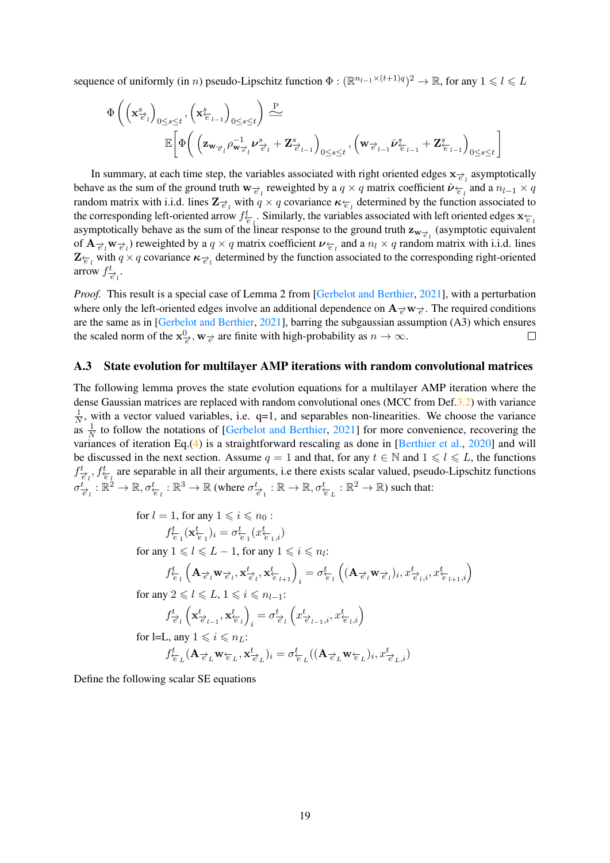sequence of uniformly (in *n*) pseudo-Lipschitz function  $\Phi : (\mathbb{R}^{n_{l-1} \times (t+1)q})^2 \to \mathbb{R}$ , for any  $1 \leq l \leq L$ 

$$
\begin{array}{ll}\Phi\left(\left(\mathbf{x}^s_{\overrightarrow{e}_l}\right)_{0\leq s\leq t},\left(\mathbf{x}^s_{\overleftarrow{e}_{l-1}}\right)_{0\leq s\leq t}\right)\stackrel{\text{P}}{\Leftarrow} \\ \mathbb{E}\bigg[\Phi\bigg(\left(\mathbf{z}_{\mathbf{w}_{\overrightarrow{e}_l}\rho_{\mathbf{w}_{\overrightarrow{e}_l}}\mathbf{v}_{\overrightarrow{e}_l}^s+\mathbf{Z}_{\overrightarrow{e}_{l-1}}^s\right)_{0\leq s\leq t},\left(\mathbf{w}_{\overrightarrow{e}_{l-1}}\hat{\mathbf{v}}_{\overleftarrow{e}_{l-1}}^s+\mathbf{Z}_{\overleftarrow{e}_{l-1}}^s\right)_{0\leq s\leq t}\bigg]\end{array}
$$

In summary, at each time step, the variables associated with right oriented edges  $\mathbf{x}_{\vec{e}_l}$  asymptotically behave as the sum of the ground truth  $w_{\vec{e}_l}$  reweighted by a  $q \times q$  matrix coefficient  $\hat{\nu}_{\vec{e}_l}$  and a  $n_{l-1} \times q$ random matrix with i.i.d. lines  $\mathbf{Z}_{e}$  with  $q \times q$  covariance  $\kappa_{e}$  determined by the function associated to the corresponding left-oriented arrow  $f_{\overline{e}_l}^t$ . Similarly, the variables associated with left oriented edges  $\mathbf{x}_{\overline{e}_l}$ asymptotically behave as the sum of the linear response to the ground truth  $z_{w_{\vec{e}}_l}$  (asymptotic equivalent of  $\mathbf{A}_{\vec{e}_l} \mathbf{w}_{\vec{e}_l}$  reweighted by a  $q \times q$  matrix coefficient  $\nu_{\vec{e}_l}$  and a  $n_l \times q$  random matrix with i.i.d. lines  $\mathbf{Z}_{\overline{e}_l}$  with  $q \times q$  covariance  $\kappa_{\overrightarrow{e}_l}$  determined by the function associated to the corresponding right-oriented arrow  $f_{\overrightarrow{e}_l}^t$ .

*Proof.* This result is a special case of Lemma 2 from [\[Gerbelot and Berthier,](#page-10-3) [2021\]](#page-10-3), with a perturbation where only the left-oriented edges involve an additional dependence on  $A_{\vec{e}}w_{\vec{e}}$ . The required conditions are the same as in [\[Gerbelot and Berthier,](#page-10-3) [2021\]](#page-10-3), barring the subgaussian assumption (A3) which ensures the scaled norm of the  $\mathbf{x}^0_{\vec{e}}, \mathbf{w}_{\vec{e}}$  are finite with high-probability as  $n \to \infty$ .

### <span id="page-18-0"></span>A.3 State evolution for multilayer AMP iterations with random convolutional matrices

The following lemma proves the state evolution equations for a multilayer AMP iteration where the dense Gaussian matrices are replaced with random convolutional ones (MCC from Def[.3.2\)](#page-3-0) with variance 1  $\frac{1}{N}$ , with a vector valued variables, i.e. q=1, and separables non-linearities. We choose the variance as  $\frac{1}{N}$  to follow the notations of [\[Gerbelot and Berthier,](#page-10-3) [2021\]](#page-10-3) for more convenience, recovering the variances of iteration Eq.[\(4\)](#page-5-1) is a straightforward rescaling as done in [\[Berthier et al.,](#page-10-8) [2020\]](#page-10-8) and will be discussed in the next section. Assume  $q = 1$  and that, for any  $t \in \mathbb{N}$  and  $1 \leq l \leq L$ , the functions  $f_{\vec{e}_l}^t$ ,  $f_{\vec{e}_l}^t$  are separable in all their arguments, i.e there exists scalar valued, pseudo-Lipschitz functions  $\sigma_{\overrightarrow{e}_l}^t : \mathbb{R}^2 \to \mathbb{R}, \sigma_{\overleftarrow{e}_l}^t : \mathbb{R}^3 \to \mathbb{R}$  (where  $\sigma_{\overrightarrow{e}_1}^t : \mathbb{R} \to \mathbb{R}, \sigma_{\overleftarrow{e}_L}^t : \mathbb{R}^2 \to \mathbb{R}$ ) such that:

for 
$$
l = 1
$$
, for any  $1 \leq i \leq n_0$ :\n
$$
f_{\overleftarrow{e}_1}^t(\mathbf{x}_{\overleftarrow{e}_1}^t)_i = \sigma_{\overleftarrow{e}_1}^t(x_{\overleftarrow{e}_{1,i}}^t)
$$
\nfor any  $1 \leq l \leq L - 1$ , for any  $1 \leq i \leq n_l$ :\n
$$
f_{\overleftarrow{e}_l}^t\left(\mathbf{A}_{\overrightarrow{e}_l}\mathbf{w}_{\overrightarrow{e}_l}, \mathbf{x}_{\overrightarrow{e}_l}^t, \mathbf{x}_{\overleftarrow{e}_{l+1}}^t\right)_i = \sigma_{\overleftarrow{e}_l}^t\left((\mathbf{A}_{\overrightarrow{e}_l}\mathbf{w}_{\overrightarrow{e}_l})_i, x_{\overleftarrow{e}_{l+1,i}}^t\right)_i\right)
$$
\nfor any  $2 \leq l \leq L$ ,  $1 \leq i \leq n_{l-1}$ :\n
$$
f_{\overrightarrow{e}_l}^t\left(\mathbf{x}_{\overrightarrow{e}_{l-1}}^t, \mathbf{x}_{\overleftarrow{e}_l}^t\right)_i = \sigma_{\overrightarrow{e}_l}^t\left(x_{\overrightarrow{e}_{l-1,i}}^t, x_{\overleftarrow{e}_{l,i}}^t\right)
$$
\nfor l=L, any  $1 \leq i \leq n_L$ :\n
$$
f_{\overleftarrow{e}_L}^t(\mathbf{A}_{\overrightarrow{e}_L}\mathbf{w}_{\overleftarrow{e}_L}, \mathbf{x}_{\overrightarrow{e}_L}^t)_i = \sigma_{\overleftarrow{e}_L}^t((\mathbf{A}_{\overrightarrow{e}_L}\mathbf{w}_{\overleftarrow{e}_L})_i, x_{\overrightarrow{e}_{L,i}}^t)
$$

Define the following scalar SE equations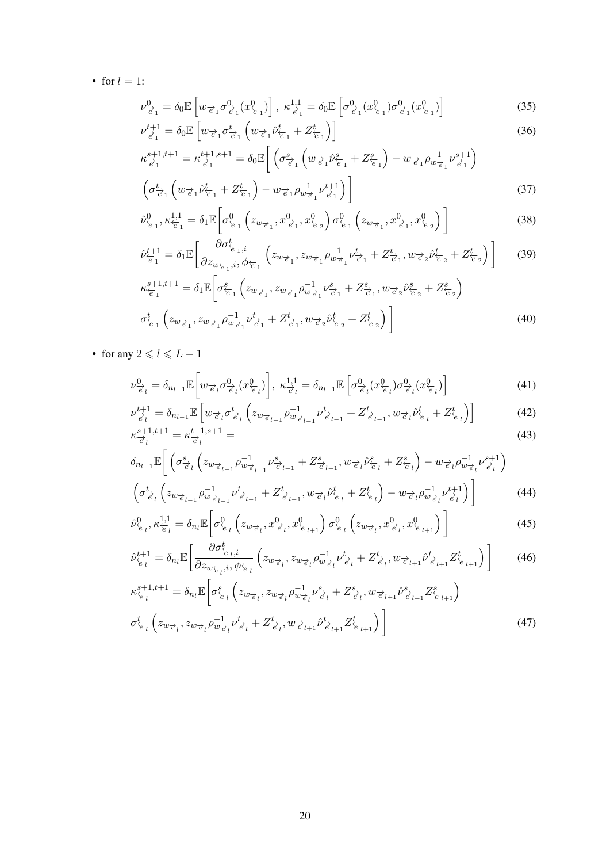• for  $l = 1$ :

$$
\nu_{\vec{e}_1}^0 = \delta_0 \mathbb{E} \left[ w_{\vec{e}_1} \sigma_{\vec{e}_1}^0(x_{\vec{e}_1}^0) \right], \ \kappa_{\vec{e}_1}^{1,1} = \delta_0 \mathbb{E} \left[ \sigma_{\vec{e}_1}^0(x_{\vec{e}_1}^0) \sigma_{\vec{e}_1}^0(x_{\vec{e}_1}^0) \right]
$$
\n
$$
\mu_{\vec{e}_1}^{t+1} \circ \mathbb{E} \left[ w_{\vec{e}_1} \sigma_{\vec{e}_1}^0(x_{\vec{e}_1}^0) \right]
$$
\n
$$
(35)
$$

$$
\nu_{\vec{e}_1}^{t+1} = \delta_0 \mathbb{E} \left[ w_{\vec{e}_1} \sigma_{\vec{e}_1}^t \left( w_{\vec{e}_1} \hat{\nu}_{\vec{e}_1}^t + Z_{\vec{e}_1}^t \right) \right]
$$
(36)

$$
\kappa_{\overrightarrow{e}_1}^{s+1,t+1} = \kappa_{\overrightarrow{e}_1}^{t+1,s+1} = \delta_0 \mathbb{E} \bigg[ \left( \sigma_{\overrightarrow{e}_1}^s \left( w_{\overrightarrow{e}_1} \hat{\nu}_{\overleftarrow{e}_1}^s + Z_{\overleftarrow{e}_1}^s \right) - w_{\overrightarrow{e}_1} \rho_{w_{\overrightarrow{e}_1}}^{-1} \nu_{\overrightarrow{e}_1}^{s+1} \right) \bigg]
$$
\n
$$
\left( \sigma_{\overrightarrow{e}_1}^t \left( w_{\overrightarrow{e}_1} \hat{\nu}_{\overleftarrow{e}_1}^t + Z_{\overleftarrow{e}_1}^t \right) - w_{\overrightarrow{e}_1} \rho_{w_{\overrightarrow{e}_1}}^{-1} \nu_{\overrightarrow{e}_1}^{t+1} \right) \bigg| \tag{37}
$$

$$
\hat{\nu}_{\overleftarrow{e}_1}^0, \kappa_{\overleftarrow{e}_1}^{1,1} = \delta_1 \mathbb{E} \bigg[ \sigma_{\overleftarrow{e}_1}^0 \left( z_{w_{\overrightarrow{e}_1}}, x_{\overrightarrow{e}_1}^0, x_{\overleftarrow{e}_2}^0 \right) \sigma_{\overleftarrow{e}_1}^0 \left( z_{w_{\overrightarrow{e}_1}}, x_{\overrightarrow{e}_1}^0, x_{\overleftarrow{e}_2}^0 \right) \right) \bigg]
$$
(38)

νˆ t+1 ←−e 1 = δ1E ∂σt←−<sup>e</sup> <sup>1</sup>,i ∂zw←−<sup>e</sup> <sup>1</sup> ,i, φ←−<sup>e</sup> <sup>1</sup> zw−→<sup>e</sup> <sup>1</sup> , zw−→<sup>e</sup> <sup>1</sup> ρ −1 <sup>w</sup>−→<sup>e</sup> <sup>1</sup> ν t−→e 1 + Z t−→e 1 , w−→<sup>e</sup> <sup>2</sup> νˆ t←−e 2 + Z t←−e 2 (39) 

$$
\kappa_{\overleftarrow{e}_1}^{s+1,t+1} = \delta_1 \mathbb{E} \left[ \sigma_{\overleftarrow{e}_1}^s \left( z_{w_{\overrightarrow{e}_1}}, z_{w_{\overrightarrow{e}_1}} \rho_{w_{\overrightarrow{e}_1}}^{-1} \nu_{\overrightarrow{e}_1}^s + Z_{\overrightarrow{e}_1}^s, w_{\overrightarrow{e}_2} \hat{\nu}_{\overleftarrow{e}_2}^s + Z_{\overleftarrow{e}_2}^s \right) \right] \right]
$$
\n
$$
\sigma_{\overleftarrow{e}_1}^t \left( z_{w_{\overrightarrow{e}_1}}, z_{w_{\overrightarrow{e}_1}} \rho_{w_{\overrightarrow{e}_1}}^{-1} \nu_{\overrightarrow{e}_1}^t + Z_{\overrightarrow{e}_1}^t, w_{\overrightarrow{e}_2} \hat{\nu}_{\overleftarrow{e}_2}^t + Z_{\overleftarrow{e}_2}^t \right) \right] \tag{40}
$$

• for any  $2 \leq l \leq L - 1$ 

$$
\nu_{\overrightarrow{e}_l}^0 = \delta_{n_{l-1}} \mathbb{E}\bigg[w_{\overrightarrow{e}_l} \sigma_{\overrightarrow{e}_l}^0(x_{\overleftarrow{e}_l}^0)\bigg], \ \kappa_{\overrightarrow{e}_l}^{1,1} = \delta_{n_{l-1}} \mathbb{E}\left[\sigma_{\overrightarrow{e}_l}^0(x_{\overleftarrow{e}_l}^0)\sigma_{\overrightarrow{e}_l}^0(x_{\overleftarrow{e}_l}^0)\right)\right] \tag{41}
$$

$$
\nu_{\vec{e}_l}^{t+1} = \delta_{n_{l-1}} \mathbb{E} \left[ w_{\vec{e}_l} \sigma_{\vec{e}_l}^t \left( z_{w_{\vec{e}_{l-1}}} \rho_{w_{\vec{e}_{l-1}}}^{-1} \nu_{\vec{e}_{l-1}}^t + Z_{\vec{e}_{l-1}}^t, w_{\vec{e}_l} \hat{\nu}_{\vec{e}_l}^t + Z_{\vec{e}_l}^t \right) \right]
$$
(42)  

$$
\kappa_{\vec{e}_l}^{s+1, t+1} = \kappa_{\vec{e}_l}^{t+1, s+1} =
$$
(43)

$$
\delta_{n_{l-1}}\mathbb{E}\bigg[\left(\sigma_{\vec{e}_l}^s\left(z_{w_{\vec{e}_{l-1}}}\rho_{w_{\vec{e}_{l-1}}}^{-1}\nu_{\vec{e}_{l-1}}^s + Z_{\vec{e}_{l-1}}^s, w_{\vec{e}_l}\hat{\nu}_{\vec{e}_l}^s + Z_{\vec{e}_l}^s\right) - w_{\vec{e}_l}\rho_{w_{\vec{e}_l}}^{-1}\nu_{\vec{e}_l}^{s+1}\bigg]
$$

$$
\left(\sigma_{\vec{e}_l}^t \left( z_{w_{\vec{e}_{l-1}}} \rho_{w_{\vec{e}_{l-1}}}^{-1} \nu_{\vec{e}_{l-1}}^t + Z_{\vec{e}_{l-1}}^t, w_{\vec{e}_l} \hat{\nu}_{\vec{e}_l}^t + Z_{\vec{e}_l}^t \right) - w_{\vec{e}_l} \rho_{w_{\vec{e}_l}}^{-1} \nu_{\vec{e}_l}^{t+1} \right) \right]
$$
(44)

$$
\hat{\nu}_{\overleftarrow{e}_l}^0, \kappa_{\overleftarrow{e}_l}^{1,1} = \delta_{n_l} \mathbb{E}\bigg[\sigma_{\overleftarrow{e}_l}^0 \left(z_{w_{\overrightarrow{e}_l}}, x_{\overleftarrow{e}_l}^0, x_{\overleftarrow{e}_{l+1}}^0\right) \sigma_{\overleftarrow{e}_l}^0 \left(z_{w_{\overrightarrow{e}_l}}, x_{\overleftarrow{e}_l}^0, x_{\overleftarrow{e}_{l+1}}^0\right)\right)\right] \tag{45}
$$

$$
\hat{\nu}_{\overleftarrow{e}_l}^{t+1} = \delta_{n_l} \mathbb{E} \bigg[ \frac{\partial \sigma_{\overleftarrow{e}_l,i}^t}{\partial z_{w_{\overleftarrow{e}_l},i}, \phi_{\overleftarrow{e}_l}} \left( z_{w_{\overrightarrow{e}_l}, z_{w_{\overrightarrow{e}_l}} \rho_{w_{\overrightarrow{e}_l}}^{-1} \nu_{\overrightarrow{e}_l}^t + Z_{\overrightarrow{e}_l}^t, w_{\overrightarrow{e}_{l+1}} \hat{\nu}_{\overrightarrow{e}_{l+1}}^t Z_{\overleftarrow{e}_{l+1}}^t \right) \bigg] \tag{46}
$$

$$
\kappa_{\overleftarrow{e}_l}^{s+1,t+1} = \delta_{n_l} \mathbb{E} \bigg[ \sigma_{\overleftarrow{e}_l}^s \left( z_{w_{\overrightarrow{e}_l}}, z_{w_{\overrightarrow{e}_l}} \rho_{w_{\overrightarrow{e}_l}}^{-1} \nu_{\overrightarrow{e}_l}^s + Z_{\overrightarrow{e}_l}^s, w_{\overrightarrow{e}_{l+1}} \hat{\nu}_{\overrightarrow{e}_{l+1}}^s Z_{\overleftarrow{e}_{l+1}}^s \right) \bigg]
$$
\n
$$
\sigma_{\overleftarrow{e}_l}^t \left( z_{w_{\overrightarrow{e}_l}}, z_{w_{\overrightarrow{e}_l}} \rho_{w_{\overrightarrow{e}_l}}^{-1} \nu_{\overrightarrow{e}_l}^t + Z_{\overrightarrow{e}_l}^t, w_{\overrightarrow{e}_{l+1}} \hat{\nu}_{\overrightarrow{e}_{l+1}}^t Z_{\overleftarrow{e}_{l+1}}^t \right) \bigg] \tag{47}
$$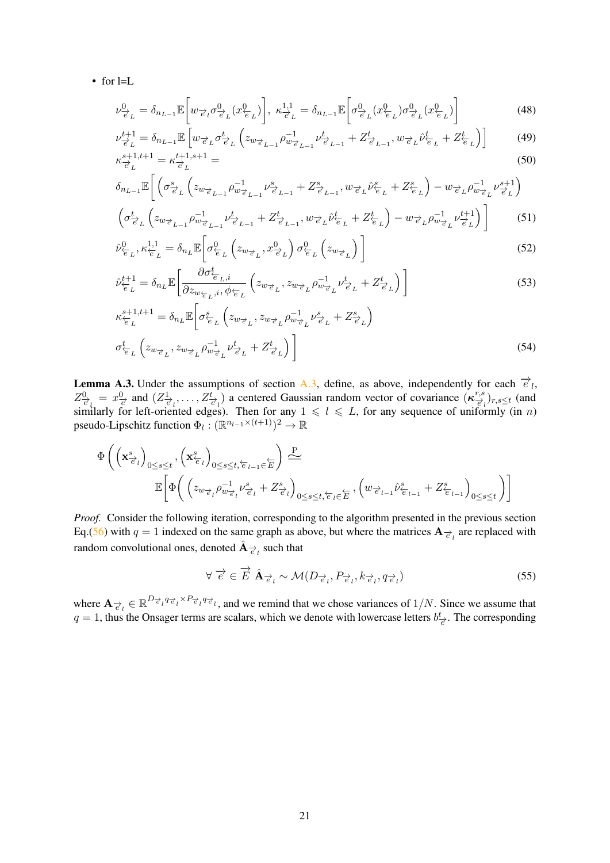• for l=L

$$
\nu_{\vec{e}_L}^0 = \delta_{n_{L-1}} \mathbb{E}\left[w_{\vec{e}_l} \sigma_{\vec{e}_L}^0(x_{\vec{e}_L}^0)\right], \ \kappa_{\vec{e}_L}^{1,1} = \delta_{n_{L-1}} \mathbb{E}\left[\sigma_{\vec{e}_L}^0(x_{\vec{e}_L}^0)\sigma_{\vec{e}_L}^0(x_{\vec{e}_L}^0)\right]
$$
(48)

$$
\nu_{\vec{e}_L}^{t+1} = \delta_{n_{L-1}} \mathbb{E} \left[ w_{\vec{e}_L} \sigma_{\vec{e}_L}^t \left( z_{w_{\vec{e}_{L-1}}} \rho_{w_{\vec{e}_{L-1}}}^{-1} \nu_{\vec{e}_{L-1}}^t + Z_{\vec{e}_{L-1}}^t, w_{\vec{e}_L} \hat{\nu}_{\vec{e}_L}^t + Z_{\vec{e}_L}^t \right) \right]
$$
(49)  

$$
\kappa_{\vec{e}_L}^{s+1,t+1} = \kappa_{\vec{e}_L}^{t+1,s+1} =
$$

$$
\delta_{n_{L-1}}\mathbb{E}\bigg[\left(\sigma_{\vec{e}_L}^s\left(z_{w_{\vec{e}_L-1}}\rho_{w_{\vec{e}_L-1}}^{-1}\nu_{\vec{e}_L-1}^s + Z_{\vec{e}_{L-1}}^s, w_{\vec{e}_L}\hat{\nu}_{\vec{e}_L}^s + Z_{\vec{e}_L}^s\right) - w_{\vec{e}_L}\rho_{w_{\vec{e}_L}}^{-1}\nu_{\vec{e}_L}^{s+1}\bigg) \left(\sigma_{\vec{e}_L}^t\left(z_{w_{\vec{e}_L-1}}\rho_{w_{\vec{e}_L-1}}^{-1}\nu_{\vec{e}_L-1}^t + Z_{\vec{e}_{L-1}}^t, w_{\vec{e}_L}\hat{\nu}_{\vec{e}_L}^t + Z_{\vec{e}_L}^t\right) - w_{\vec{e}_L}\rho_{w_{\vec{e}_L}}^{-1}\nu_{\vec{e}_L}^{t+1}\right)\bigg]
$$
(51)

$$
\hat{\nu}_{\overline{e}_L}^0, \kappa_{\overline{e}_L}^{1,1} = \delta_{n_L} \mathbb{E} \left[ \sigma_{\overline{e}_L}^0 \left( z_{w_{\overline{e}_L}}, x_{\overline{e}_L}^0 \right) \sigma_{\overline{e}_L}^0 \left( z_{w_{\overline{e}_L}} \right) \right]
$$
(52)

$$
\hat{\nu}_{\overleftarrow{e}_L}^{t+1} = \delta_{n_L} \mathbb{E} \bigg[ \frac{\partial \sigma_{\overleftarrow{e}_L,i}^t}{\partial z_{w_{\overleftarrow{e}_L},i}, \phi_{\overleftarrow{e}_L}} \left( z_{w_{\overrightarrow{e}_L}, z_{w_{\overrightarrow{e}_L}} \rho_{w_{\overrightarrow{e}_L}}^{-1} \nu_{\overrightarrow{e}_L}^t + Z_{\overrightarrow{e}_L}^t \right) \bigg] \tag{53}
$$

$$
\kappa_{\overleftarrow{e}_L}^{s+1,t+1} = \delta_{n_L} \mathbb{E} \bigg[ \sigma_{\overleftarrow{e}_L}^s \left( z_{w_{\overrightarrow{e}_L}}, z_{w_{\overrightarrow{e}_L}} \rho_{w_{\overrightarrow{e}_L}}^{-1} \nu_{\overrightarrow{e}_L}^s + Z_{\overrightarrow{e}_L}^s \right) \bigg]
$$
\n
$$
\sigma_{\overleftarrow{e}_L}^t \left( z_{w_{\overrightarrow{e}_L}}, z_{w_{\overrightarrow{e}_L}} \rho_{w_{\overrightarrow{e}_L}}^{-1} \nu_{\overrightarrow{e}_L}^t + Z_{\overrightarrow{e}_L}^t \right) \bigg]
$$
\n
$$
(54)
$$

<span id="page-20-0"></span>**Lemma A.3.** Under the assumptions of section [A.3,](#page-18-0) define, as above, independently for each  $\vec{e}_l$ ,  $Z_{\vec{e}_l}^0 = x_{\vec{e}_l}^0$  and  $(Z_{\vec{e}_l}^1, \ldots, Z_{\vec{e}_l}^t)$  a centered Gaussian random vector of covariance  $(\kappa_{\vec{e}_l}^{r,s})_{r,s \le t}$  (and similarly for left-oriented edges). Then for any  $1 \leq l \leq L$ , for any sequence of uniformly (in n) pseudo-Lipschitz function  $\Phi_l : (\mathbb{R}^{n_{l-1} \times (t+1)})^2 \to \mathbb{R}$ 

$$
\Phi\left(\left(\mathbf{x}^s_{\overrightarrow{e}_l}\right)_{0\leq s\leq t}, \left(\mathbf{x}^s_{\overleftarrow{e}_l}\right)_{0\leq s\leq t, \overleftarrow{e}_{l-1}\in \overleftarrow{E}}\right) \xrightarrow{\mathbf{P}} \\\mathbb{E}\left[\Phi\left(\left(z_{w_{\overrightarrow{e}_l}}\rho_{w_{\overrightarrow{e}_l}}^{-1}\nu_{\overrightarrow{e}_l}^s + Z_{\overrightarrow{e}_l}^s\right)_{0\leq s\leq t, \overleftarrow{e}_l\in \overleftarrow{E}}, \left(w_{\overrightarrow{e}_{l-1}}\hat{\nu}_{\overleftarrow{e}_{l-1}}^s + Z_{\overleftarrow{e}_{l-1}}^s\right)_{0\leq s\leq t}\right)\right]
$$

*Proof.* Consider the following iteration, corresponding to the algorithm presented in the previous section Eq.[\(56\)](#page-21-0) with  $q = 1$  indexed on the same graph as above, but where the matrices  $A_{\vec{e}_l}$  are replaced with random convolutional ones, denoted  $\hat{\mathbf{A}}_{\overrightarrow{e}_l}$  such that

$$
\forall \vec{e} \in \vec{E} \; \hat{\mathbf{A}}_{\vec{e}_l} \sim \mathcal{M}(D_{\vec{e}_l}, P_{\vec{e}_l}, k_{\vec{e}_l}, q_{\vec{e}_l}) \tag{55}
$$

where  $\mathbf{A}_{\vec{e}_l} \in \mathbb{R}^{D_{\vec{e}_l} q_{\vec{e}_l} \times P_{\vec{e}_l} q_{\vec{e}_l}}$ , and we remind that we chose variances of  $1/N$ . Since we assume that  $q = 1$ , thus the Onsager terms are scalars, which we denote with lowercase letters  $b^t_{\vec{e}}$ . The corresponding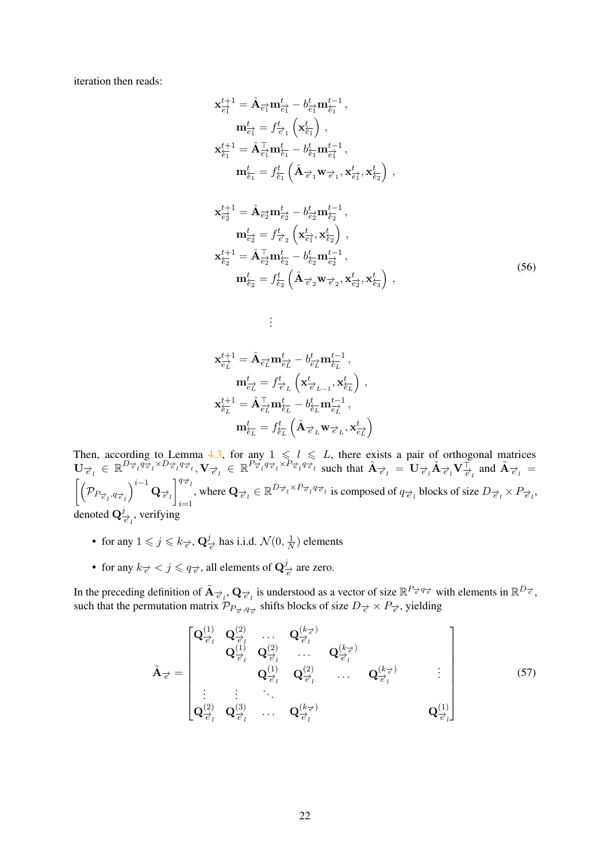iteration then reads:

$$
\mathbf{x}_{\overline{e_1}}^{t+1} = \hat{\mathbf{A}}_{\overline{e_1}} \mathbf{m}_{\overline{e_1}}^t - b_{\overline{e_1}}^t \mathbf{m}_{\overline{e_1}}^{t-1},
$$
\n
$$
\mathbf{m}_{\overline{e_1}}^t = f_{\overline{e_1}}^t \left( \mathbf{x}_{\overline{e_1}}^t \right),
$$
\n
$$
\mathbf{x}_{\overline{e_1}}^{t+1} = \hat{\mathbf{A}}_{\overline{e_1}}^{\top} \mathbf{m}_{\overline{e_1}}^t - b_{\overline{e_1}}^t \mathbf{m}_{\overline{e_1}}^{t-1},
$$
\n
$$
\mathbf{m}_{\overline{e_1}}^t = f_{\overline{e_1}}^t \left( \hat{\mathbf{A}}_{\overline{e_1}} \mathbf{w}_{\overline{e_1}}, \mathbf{x}_{\overline{e_1}}^t, \mathbf{x}_{\overline{e_2}}^t \right),
$$
\n
$$
\mathbf{x}_{\overline{e_2}}^{t+1} = \hat{\mathbf{A}}_{\overline{e_2}} \mathbf{m}_{\overline{e_2}}^t - b_{\overline{e_2}}^t \mathbf{m}_{\overline{e_2}}^{t-1},
$$
\n
$$
\mathbf{m}_{\overline{e_2}}^t = f_{\overline{e_2}}^t \left( \mathbf{x}_{\overline{e_1}}^t, \mathbf{x}_{\overline{e_2}}^t \right),
$$
\n
$$
\mathbf{x}_{\overline{e_2}}^{t+1} = \hat{\mathbf{A}}_{\overline{e_2}}^{\top} \mathbf{m}_{\overline{e_2}}^t - b_{\overline{e_2}}^t \mathbf{m}_{\overline{e_2}}^{t-1},
$$
\n
$$
\mathbf{m}_{\overline{e_2}}^t = f_{\overline{e_2}}^t \left( \hat{\mathbf{A}}_{\overline{e_2}} \mathbf{w}_{\overline{e_2}}^t, \mathbf{x}_{\overline{e_2}}^t \right),
$$
\n(56)

$$
\begin{aligned} \mathbf{x}_{\overrightarrow{e_L}}^{t+1} &= \hat{\mathbf{A}}_{\overrightarrow{e_L}} \mathbf{m}_{\overrightarrow{e_L}}^t - b_{\overrightarrow{e_L}}^t \mathbf{m}_{\overleftarrow{e_L}}^{t-1}\,,\\ \mathbf{m}_{\overrightarrow{e_L}}^t &= f_{\overrightarrow{e_L}}^t \left(\mathbf{x}_{\overrightarrow{e}_{L-1}}^t, \mathbf{x}_{\overleftarrow{e_L}}^t\right)\,,\\ \mathbf{x}_{\overleftarrow{e_L}}^{t+1} &= \hat{\mathbf{A}}_{\overrightarrow{e_L}}^\top \mathbf{m}_{\overleftarrow{e_L}}^t - b_{\overleftarrow{e_L}}^t \mathbf{m}_{\overrightarrow{e_L}}^{t-1}\,,\\ \mathbf{m}_{\overleftarrow{e_L}}^t &= f_{\overleftarrow{e_L}}^t \left(\hat{\mathbf{A}}_{\overrightarrow{e}_L} \mathbf{w}_{\overrightarrow{e}_L}, \mathbf{x}_{\overleftarrow{e_L}}^t\right)\right. \end{aligned}
$$

<span id="page-21-0"></span>. . .

Then, according to Lemma [4.3,](#page-7-1) for any  $1 \leq l \leq L$ , there exists a pair of orthogonal matrices  $\mathbf{U}_{\vec{e}_l} \in \mathbb{R}^{D_{\vec{e}_l} q_{\vec{e}_l} \times D_{\vec{e}_l} q_{\vec{e}_l}}$ ,  $\mathbf{V}_{\vec{e}_l} \in \mathbb{R}^{P_{\vec{e}_l} q_{\vec{e}_l} \times P_{\vec{e}_l} q_{\vec{e}_l}}$  such that  $\hat{\mathbf{A}}_{\vec{e}_l} = \mathbf{U}_{\vec{e}_l} \tilde{\mathbf{A}}_{\vec{e}_l} \mathbf{V}_{\vec{e}_l}^\top$  and  $\tilde{\mathbf{A}}_{\vec{e$  $\lceil$  $PP_{\overrightarrow{e}_l},q_{\overrightarrow{e}_l}$  $\Big)^{i-1} \, {\bf Q}_{\overrightarrow{e}_l}$  $\lceil \frac{q_{\overrightarrow{e}}}{k} \rceil$  $\sum_{i=1}^{n_e}$ , where  $\mathbf{Q}_{\vec{e}_l} \in \mathbb{R}^{D_{\vec{e}_l} \times P_{\vec{e}_l} q_{\vec{e}_l}}$  is composed of  $q_{\vec{e}_l}$  blocks of size  $D_{\vec{e}_l} \times P_{\vec{e}_l}$ , denoted  $\mathbf{Q}_{\overrightarrow{e}_l}^j$ , verifying

- for any  $1 \leqslant j \leqslant k_{\overrightarrow{e}}, \mathbf{Q}_{\overrightarrow{e}}^{j}$  has i.i.d.  $\mathcal{N}(0, \frac{1}{N})$  $\frac{1}{N}$ ) elements
- for any  $k_{\vec{e}} < j \leqslant q_{\vec{e}}$ , all elements of  $\mathbf{Q}_{\vec{e}}^j$  are zero.

In the preceding definition of  $\tilde{\mathbf{A}}_{\vec{\epsilon}_l}, \mathbf{Q}_{\vec{\epsilon}_l}$  is understood as a vector of size  $\mathbb{R}^{P_{\vec{\epsilon}} q_{\vec{\epsilon}}}$  with elements in  $\mathbb{R}^{D_{\vec{\epsilon}}}$ , such that the permutation matrix  $\mathcal{P}_{P_{\vec{e}},q_{\vec{e}}}$  shifts blocks of size  $D_{\vec{e}} \times P_{\vec{e}}$ , yielding

$$
\tilde{\mathbf{A}}_{\vec{\epsilon}} = \begin{bmatrix}\n\mathbf{Q}_{\vec{\epsilon}_{l}}^{(1)} & \mathbf{Q}_{\vec{\epsilon}_{l}}^{(2)} & \cdots & \mathbf{Q}_{\vec{\epsilon}_{l}}^{(k_{\vec{\epsilon}})} \\
\mathbf{Q}_{\vec{\epsilon}_{l}}^{(1)} & \mathbf{Q}_{\vec{\epsilon}_{l}}^{(2)} & \cdots & \mathbf{Q}_{\vec{\epsilon}_{l}}^{(k_{\vec{\epsilon}})} \\
\vdots & \vdots & \ddots & \vdots \\
\mathbf{Q}_{\vec{\epsilon}_{l}}^{(2)} & \mathbf{Q}_{\vec{\epsilon}_{l}}^{(3)} & \cdots & \mathbf{Q}_{\vec{\epsilon}_{l}}^{(k_{\vec{\epsilon}})}\n\end{bmatrix} \qquad (57)
$$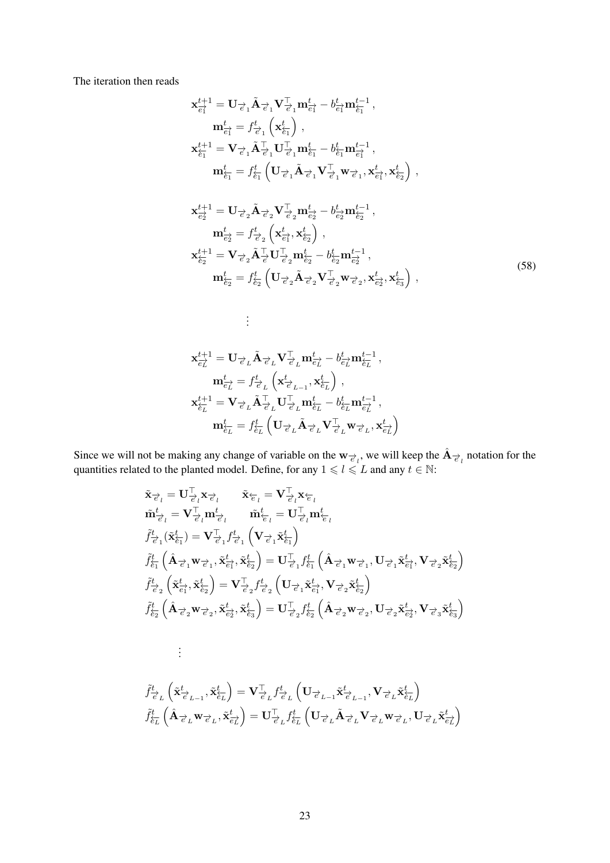The iteration then reads

$$
\mathbf{x}_{\vec{e}1}^{t+1} = \mathbf{U}_{\vec{e}_1} \tilde{\mathbf{A}}_{\vec{e}_1} \mathbf{V}_{\vec{e}_1}^{\top} \mathbf{m}_{\vec{e}_1}^t - b_{\vec{e}_1}^t \mathbf{m}_{\vec{e}_1}^{t-1},
$$
\n
$$
\mathbf{m}_{\vec{e}_1}^t = f_{\vec{e}_1}^t \left( \mathbf{x}_{\vec{e}_1}^t \right),
$$
\n
$$
\mathbf{x}_{\vec{e}_1}^{t+1} = \mathbf{V}_{\vec{e}_1} \tilde{\mathbf{A}}_{\vec{e}_1}^{\top} \mathbf{U}_{\vec{e}_1}^{\top} \mathbf{m}_{\vec{e}_1}^t - b_{\vec{e}_1}^t \mathbf{m}_{\vec{e}_1}^{t-1},
$$
\n
$$
\mathbf{m}_{\vec{e}_1}^t = f_{\vec{e}_1}^t \left( \mathbf{U}_{\vec{e}_1} \tilde{\mathbf{A}}_{\vec{e}_1} \mathbf{V}_{\vec{e}_1}^{\top} \mathbf{w}_{\vec{e}_1}, \mathbf{x}_{\vec{e}_1}^t, \mathbf{x}_{\vec{e}_2}^t \right),
$$
\n
$$
\mathbf{x}_{\vec{e}_2}^{t+1} = \mathbf{U}_{\vec{e}_2} \tilde{\mathbf{A}}_{\vec{e}_2} \mathbf{V}_{\vec{e}_2}^{\top} \mathbf{m}_{\vec{e}_2}^t - b_{\vec{e}_2}^t \mathbf{m}_{\vec{e}_2}^{t-1},
$$
\n
$$
\mathbf{m}_{\vec{e}_2}^t = f_{\vec{e}_2}^t \left( \mathbf{x}_{\vec{e}_1}^t, \mathbf{x}_{\vec{e}_2}^t \right),
$$
\n
$$
\mathbf{x}_{\vec{e}_2}^{t+1} = \mathbf{V}_{\vec{e}_2} \tilde{\mathbf{A}}_{\vec{e}_2}^{\top} \mathbf{U}_{\vec{e}_2}^{\top} \mathbf{m}_{\vec{e}_2}^t - b_{\vec{e}_2}^t \mathbf{m}_{\vec{e}_2}^{t-1},
$$
\n
$$
\mathbf{m}_{\vec{e}_2}^t = f_{
$$

$$
\label{eq:3.1} \begin{aligned} \mathbf{x}_{\overrightarrow{e_L}}^{t+1} &= \mathbf{U}_{\overrightarrow{e}_L}\tilde{\mathbf{A}}_{\overrightarrow{e}_L}\mathbf{V}_{\overrightarrow{e}_L}^\top \mathbf{m}_{\overrightarrow{e_L}}^t - b_{\overrightarrow{e_L}}^t \mathbf{m}_{\overleftarrow{e_L}}^{t-1}\,,\\ \mathbf{m}_{\overrightarrow{e_L}}^t &= f_{\overrightarrow{e}_L}^t\left(\mathbf{x}_{\overrightarrow{e}_{L-1}}^t,\mathbf{x}_{\overleftarrow{e_L}}^t\right)\,,\\ \mathbf{x}_{\overleftarrow{e_L}}^{t+1} &= \mathbf{V}_{\overrightarrow{e}_L}\tilde{\mathbf{A}}_{\overrightarrow{e}_L}^\top \mathbf{U}_{\overrightarrow{e}_L}^\top \mathbf{m}_{\overleftarrow{e_L}}^t - b_{\overleftarrow{e_L}}^t \mathbf{m}_{\overrightarrow{e_L}}^{t-1}\,,\\ \mathbf{m}_{\overleftarrow{e_L}}^t &= f_{\overleftarrow{e_L}}^t\left(\mathbf{U}_{\overrightarrow{e}_L}\tilde{\mathbf{A}}_{\overrightarrow{e}_L}\mathbf{V}_{\overrightarrow{e}_L}^\top \mathbf{w}_{\overrightarrow{e}_L},\mathbf{x}_{\overleftarrow{e_L}}^t\right)\right. \end{aligned}
$$

. . .

Since we will not be making any change of variable on the  $w_{\vec{e}_l}$ , we will keep the  $A_{\vec{e}_l}$  notation for the quantities related to the planted model. Define, for any  $1 \leq l \leq L$  and any  $t \in \mathbb{N}$ :

$$
\tilde{\mathbf{x}}_{\vec{e}_l} = \mathbf{U}_{\vec{e}_l}^{\top} \mathbf{x}_{\vec{e}_l} \qquad \tilde{\mathbf{x}}_{\vec{e}_l} = \mathbf{V}_{\vec{e}_l}^{\top} \mathbf{x}_{\vec{e}_l}
$$
\n
$$
\tilde{\mathbf{m}}_{\vec{e}_l}^t = \mathbf{V}_{\vec{e}_l}^{\top} \mathbf{m}_{\vec{e}_l}^t \qquad \tilde{\mathbf{m}}_{\vec{e}_l}^t = \mathbf{U}_{\vec{e}_l}^{\top} \mathbf{m}_{\vec{e}_l}^t
$$
\n
$$
\tilde{f}_{\vec{e}_1}^t (\tilde{\mathbf{x}}_{\vec{e}_1}^t) = \mathbf{V}_{\vec{e}_1}^{\top} f_{\vec{e}_1}^t \left( \mathbf{V}_{\vec{e}_1} \tilde{\mathbf{x}}_{\vec{e}_1}^t \right)
$$
\n
$$
\tilde{f}_{\vec{e}_1}^t (\hat{\mathbf{A}}_{\vec{e}_1} \mathbf{w}_{\vec{e}_1}, \tilde{\mathbf{x}}_{\vec{e}_1}^t, \tilde{\mathbf{x}}_{\vec{e}_2}^t) = \mathbf{U}_{\vec{e}_1}^{\top} f_{\vec{e}_1}^t (\hat{\mathbf{A}}_{\vec{e}_1} \mathbf{w}_{\vec{e}_1}, \mathbf{U}_{\vec{e}_1} \tilde{\mathbf{x}}_{\vec{e}_1}^t, \mathbf{V}_{\vec{e}_2} \tilde{\mathbf{x}}_{\vec{e}_2}^t)
$$
\n
$$
\tilde{f}_{\vec{e}_2}^t (\tilde{\mathbf{x}}_{\vec{e}_1}^t, \tilde{\mathbf{x}}_{\vec{e}_2}^t) = \mathbf{V}_{\vec{e}_2}^{\top} f_{\vec{e}_2}^t ( \mathbf{U}_{\vec{e}_1} \tilde{\mathbf{x}}_{\vec{e}_1}^t, \mathbf{V}_{\vec{e}_2} \tilde{\mathbf{x}}_{\vec{e}_2}^t )
$$
\n
$$
\tilde{f}_{\vec{e}_2}^t (\hat{\mathbf{A}}_{\vec{e}_1} \tilde{\mathbf{x}}_{\vec{e}_2} \mathbf{w}_{\vec{e}_2}, \tilde{\math
$$

$$
\begin{split} &\tilde{f}_{\overrightarrow{e}_L}^t\left(\tilde{\mathbf{x}}_{\overrightarrow{e}_{L-1}}^t,\tilde{\mathbf{x}}_{\overleftarrow{e}_L}^t\right)=\mathbf{V}_{\overrightarrow{e}_L}^\top f_{\overrightarrow{e}_L}^t\left(\mathbf{U}_{\overrightarrow{e}_{L-1}}\tilde{\mathbf{x}}_{\overrightarrow{e}_{L-1}}^t,\mathbf{V}_{\overrightarrow{e}_L}\tilde{\mathbf{x}}_{\overleftarrow{e}_L}^t\right)\\ &\tilde{f}_{\overleftarrow{e}_L}^t\left(\hat{\mathbf{A}}_{\overrightarrow{e}_L}\mathbf{w}_{\overrightarrow{e}_L},\tilde{\mathbf{x}}_{\overleftarrow{e}_L}^t\right)=\mathbf{U}_{\overrightarrow{e}_L}^\top f_{\overleftarrow{e}_L}^t\left(\mathbf{U}_{\overrightarrow{e}_L}\tilde{\mathbf{A}}_{\overrightarrow{e}_L}\mathbf{V}_{\overrightarrow{e}_L}\mathbf{w}_{\overrightarrow{e}_L},\mathbf{U}_{\overrightarrow{e}_L}\tilde{\mathbf{x}}_{\overleftarrow{e}_L}^t\right\}\right) \end{split}
$$

. . .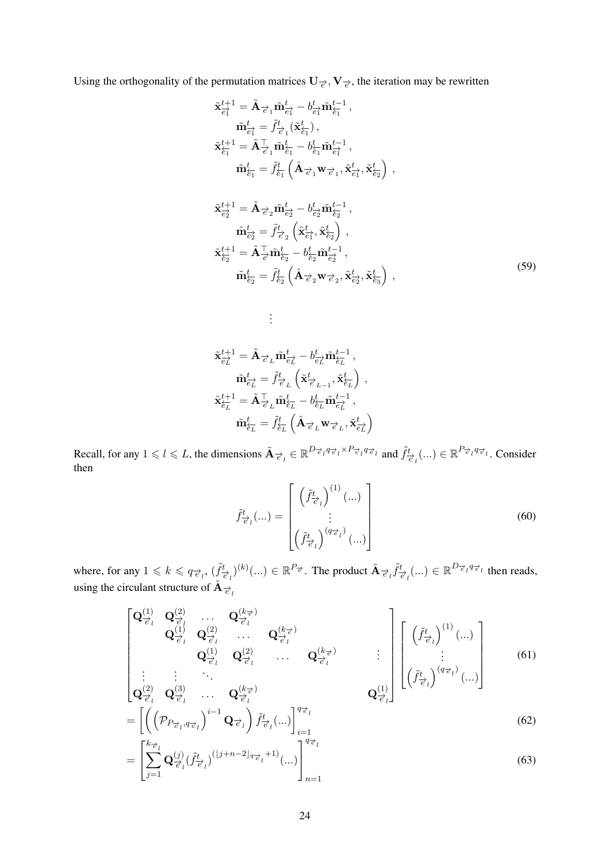Using the orthogonality of the permutation matrices  $U_{\vec{e}}, V_{\vec{e}},$  the iteration may be rewritten

$$
\tilde{\mathbf{x}}_{\hat{e}_{1}}^{t+1} = \tilde{\mathbf{A}}_{\vec{e}_{1}} \tilde{\mathbf{m}}_{\hat{e}_{1}}^{t} - b_{\hat{e}_{1}}^{t} \tilde{\mathbf{m}}_{\hat{e}_{1}}^{t-1}, \n\tilde{\mathbf{m}}_{\hat{e}_{1}}^{t} = \tilde{f}_{\vec{e}_{1}}^{t} (\tilde{\mathbf{x}}_{\hat{e}_{1}}^{t}), \n\tilde{\mathbf{x}}_{\hat{e}_{1}}^{t+1} = \tilde{\mathbf{A}}_{\vec{e}_{1}}^{\top} \tilde{\mathbf{m}}_{\hat{e}_{1}}^{t} - b_{\hat{e}_{1}}^{t} \tilde{\mathbf{m}}_{\hat{e}_{1}}^{t-1}, \n\tilde{\mathbf{m}}_{\hat{e}_{1}}^{t} = \tilde{f}_{\hat{e}_{1}}^{t} (\hat{\mathbf{A}}_{\vec{e}_{1}} \mathbf{w}_{\vec{e}_{1}}, \tilde{\mathbf{x}}_{\hat{e}_{1}}^{t}, \tilde{\mathbf{x}}_{\hat{e}_{2}}^{t}), \n\tilde{\mathbf{x}}_{\hat{e}_{2}}^{t+1} = \tilde{\mathbf{A}}_{\vec{e}_{2}} \tilde{\mathbf{m}}_{\vec{e}_{2}}^{t} - b_{\hat{e}_{2}}^{t} \tilde{\mathbf{m}}_{\hat{e}_{2}}^{t-1}, \n\tilde{\mathbf{m}}_{\hat{e}_{2}}^{t} = \tilde{f}_{\vec{e}_{2}}^{t} (\tilde{\mathbf{x}}_{\hat{e}_{1}}^{t}, \tilde{\mathbf{x}}_{\hat{e}_{2}}^{t}), \n\tilde{\mathbf{x}}_{\hat{e}_{2}}^{t+1} = \tilde{\mathbf{A}}_{\vec{e}_{1}}^{\top} \tilde{\mathbf{m}}_{\hat{e}_{2}}^{t} - b_{\hat{e}_{2}}^{t} \tilde{\mathbf{m}}_{\hat{e}_{2}}^{t-1}, \n\tilde{\mathbf{x}}_{\hat{e}_{2}}^{t+1} = \tilde{\mathbf{A}}_{\vec{e}_{1}}^{\top} \tilde{\mathbf{m}}_{\hat{e}_{2}}^{t} - b_{\hat{e}_{2}}^{t} \tilde{\mathbf{m}}_{\hat{e}_{2}}^{t-1}, \n\tilde{\mathbf{m}}_{\
$$

$$
\begin{aligned} \tilde{\mathbf{x}}_{\overrightarrow{e_L}}^{t+1} &= \tilde{\mathbf{A}}_{\overrightarrow{e_L}}\tilde{\mathbf{m}}_{\overrightarrow{e_L}}^t - b_{\overrightarrow{e_L}}^t\tilde{\mathbf{m}}_{\overleftarrow{e_L}}^{t-1}\,,\\ \tilde{\mathbf{m}}_{\overrightarrow{e_L}}^t &= \tilde{f}_{\overrightarrow{e_L}}^t\left(\tilde{\mathbf{x}}_{\overrightarrow{e_{L-1}}}, \tilde{\mathbf{x}}_{\overleftarrow{e_L}}^t\right)\,,\\ \tilde{\mathbf{x}}_{\overleftarrow{e_L}}^{t+1} &= \tilde{\mathbf{A}}_{\overrightarrow{e_L}}^\top\tilde{\mathbf{m}}_{\overleftarrow{e_L}}^t - b_{\overleftarrow{e_L}}^t\tilde{\mathbf{m}}_{\overrightarrow{e_L}}^{t-1}\,,\\ \tilde{\mathbf{m}}_{\overleftarrow{e_L}}^t &= \tilde{f}_{\overleftarrow{e_L}}^t\left(\hat{\mathbf{A}}_{\overrightarrow{e_L}}\mathbf{w}_{\overrightarrow{e_L}}, \tilde{\mathbf{x}}_{\overrightarrow{e_L}}^t\right)\right. \end{aligned}
$$

<span id="page-23-0"></span>. . .

Recall, for any  $1 \leq l \leq L$ , the dimensions  $\tilde{\mathbf{A}}_{\vec{\epsilon}_l} \in \mathbb{R}^{D_{\vec{\epsilon}_l} q_{\vec{\epsilon}_l} \times P_{\vec{\epsilon}_l} q_{\vec{\epsilon}_l}}$  and  $\tilde{f}_{\vec{\epsilon}_l}^t(...) \in \mathbb{R}^{P_{\vec{\epsilon}_l} q_{\vec{\epsilon}_l}}$ . Consider then

$$
\tilde{f}^{t}_{\vec{e}_l}(\ldots) = \begin{bmatrix} \left(\tilde{f}^{t}_{\vec{e}_l}\right)^{(1)}(\ldots) \\ \vdots \\ \left(\tilde{f}^{t}_{\vec{e}_l}\right)^{(q_{\vec{e}_l})}(\ldots) \end{bmatrix}
$$
\n(60)

where, for any  $1 \le k \le q_{\vec{e}_l}$ ,  $(\tilde{f}_{\vec{e}_l}^t)^{(k)}(\ldots) \in \mathbb{R}^{P_{\vec{e}}}$ . The product  $\tilde{A}_{\vec{e}_l} \tilde{f}_{\vec{e}_l}^t(\ldots) \in \mathbb{R}^{D_{\vec{e}_l} q_{\vec{e}_l}}$  then reads, using the circulant structure of  $\tilde{A}_{\vec{e}_l}$ 

$$
\begin{bmatrix}\n\mathbf{Q}_{\overrightarrow{e}_l}^{(1)} & \mathbf{Q}_{\overrightarrow{e}_l}^{(2)} & \cdots & \mathbf{Q}_{\overrightarrow{e}_l}^{(k_{\overrightarrow{e}})} & \\
 & \mathbf{Q}_{\overrightarrow{e}_l}^{(1)} & \mathbf{Q}_{\overrightarrow{e}_l}^{(2)} & \cdots & \mathbf{Q}_{\overrightarrow{e}_l}^{(k_{\overrightarrow{e}})} & \\
 & & \mathbf{Q}_{\overrightarrow{e}_l}^{(1)} & \mathbf{Q}_{\overrightarrow{e}_l}^{(2)} & \cdots & \mathbf{Q}_{\overrightarrow{e}_l}^{(k_{\overrightarrow{e}})} & \\
\vdots & \vdots & \ddots & \vdots & \vdots & \vdots & \vdots \\
\mathbf{Q}_{\overrightarrow{e}_l}^{(2)} & \mathbf{Q}_{\overrightarrow{e}_l}^{(3)} & \cdots & \mathbf{Q}_{\overrightarrow{e}_l}^{(k_{\overrightarrow{e}})} & \\
 & & & \mathbf{Q}_{\overrightarrow{e}_l}^{(1)}\n\end{bmatrix}\n\begin{bmatrix}\n(\tilde{f}_{\overrightarrow{e}_l}^t)^{(1)}(\cdots) \\
(\tilde{f}_{\overrightarrow{e}_l}^t)^{(q_{\overrightarrow{e}_l}^t)}(\cdots)\n\end{bmatrix}
$$
\n(61)

$$
= \left[ \left( \left( \mathcal{P}_{P_{\vec{e}_l}, q_{\vec{e}_l}} \right)^{i-1} \mathbf{Q}_{\vec{e}_l} \right) \tilde{f}_{\vec{e}_l}^t (\ldots) \right]_{i=1}^{q_{\vec{e}_l}}
$$
(62)

$$
= \left[ \sum_{j=1}^{n-1} \mathbf{Q}_{\vec{e}_l}^{(j)} (\tilde{f}_{\vec{e}_l}^t)^{(\lfloor j+n-2 \rfloor_{q_{\vec{e}_l}}+1)} (\dots) \right]_{n=1}^{\binom{n-1}{t}} \tag{63}
$$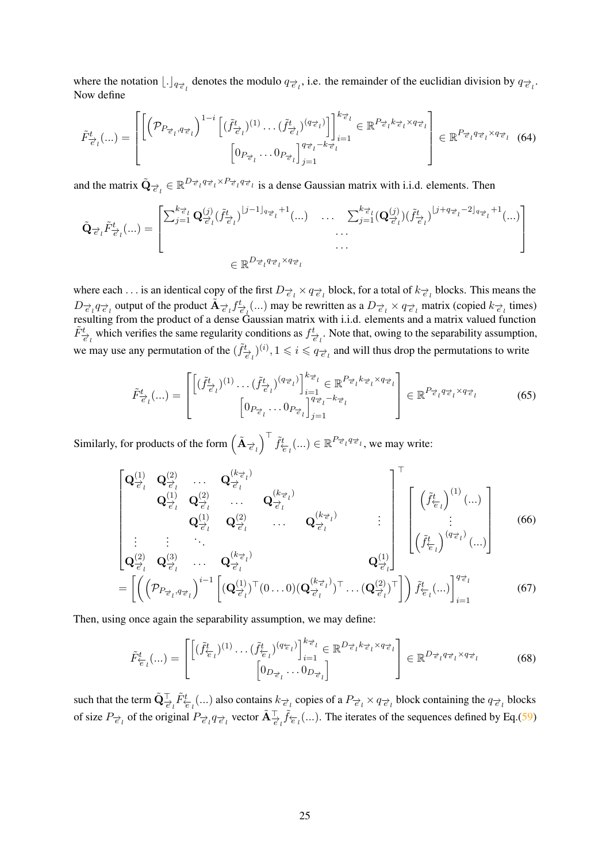where the notation  $\lfloor \cdot \rfloor_{q_{\vec{e}_l}}$  denotes the modulo  $q_{\vec{e}_l}$ , i.e. the remainder of the euclidian division by  $q_{\vec{e}_l}$ . Now define

$$
\tilde{F}_{\vec{e}_l}^t(\ldots) = \begin{bmatrix} \left[ \left( \mathcal{P}_{P_{\vec{e}_l}, q_{\vec{e}_l}} \right)^{1-i} \left[ (\tilde{f}_{\vec{e}_l}^t)^{(1)} \ldots (\tilde{f}_{\vec{e}_l}^t)^{(q_{\vec{e}_l})} \right] \right]_{i=1}^{k_{\vec{e}_l}} \in \mathbb{R}^{P_{\vec{e}_l} k_{\vec{e}_l} \times q_{\vec{e}_l}} \\ \left[ 0_{P_{\vec{e}_l}} \ldots 0_{P_{\vec{e}_l}} \right]_{j=1}^{q_{\vec{e}_l} - k_{\vec{e}_l}} \end{bmatrix} \in \mathbb{R}^{P_{\vec{e}_l} k_{\vec{e}_l} \times q_{\vec{e}_l}} \tag{64}
$$

and the matrix  $\tilde{Q}_{\vec{e}_l} \in \mathbb{R}^{D_{\vec{e}_l} q_{\vec{e}_l} \times P_{\vec{e}_l} q_{\vec{e}_l}}$  is a dense Gaussian matrix with i.i.d. elements. Then

$$
\tilde{\mathbf{Q}}_{\vec{e}_l} \tilde{F}_{\vec{e}_l}^t(\ldots) = \begin{bmatrix} \sum_{j=1}^{k_{\vec{e}_l}} \mathbf{Q}_{\vec{e}_l}^{(j)} (\tilde{f}_{\vec{e}_l}^t)^{\lfloor j-1 \rfloor_{q_{\vec{e}_l}}} + 1}(\ldots) & \ldots & \sum_{j=1}^{k_{\vec{e}_l}} (\mathbf{Q}_{\vec{e}_l}^{(j)}) (\tilde{f}_{\vec{e}_l}^t)^{\lfloor j+q_{\vec{e}_l}-2 \rfloor_{q_{\vec{e}_l}}} + 1}(\ldots) \\ \ldots & \ldots & \ldots \\ \vdots & \ldots & \ldots \end{bmatrix}
$$
\n
$$
\in \mathbb{R}^{D_{\vec{e}_l} q_{\vec{e}_l} \times q_{\vec{e}_l}}
$$

where each . . . is an identical copy of the first  $D_{\vec{e}_l} \times q_{\vec{e}_l}$  block, for a total of  $k_{\vec{e}_l}$  blocks. This means the  $D_{\vec{e}_l} q_{\vec{e}_l}$  output of the product  $\tilde{A}_{\vec{e}_l} f_{\vec{e}_l}^t$  (...) may be rewritten as a  $D_{\vec{e}_l} \times q_{\vec{e}_l}$  matrix (copied  $k_{\vec{e}_l}$  times) resulting from the product of a dense Gaussian matrix with i.i.d. elements and a matrix valued function  $\tilde{F}^t_{\vec{e}_l}$  which verifies the same regularity conditions as  $f^t_{\vec{e}_l}$ . Note that, owing to the separability assumption, we may use any permutation of the  $(\tilde{f}^t_{\vec{e}_l})^{(i)}, 1 \leq i \leq q_{\vec{e}_l}$  and will thus drop the permutations to write

$$
\tilde{F}^{t}_{\overrightarrow{e}_l}(\ldots) = \begin{bmatrix} \left[ (\tilde{f}^{t}_{\overrightarrow{e}_l})^{(1)} \cdots (\tilde{f}^{t}_{\overrightarrow{e}_l})^{(q_{\overrightarrow{e}_l})} \right]_{i=1}^{k_{\overrightarrow{e}_l}} \in \mathbb{R}^{P_{\overrightarrow{e}_l} k_{\overrightarrow{e}_l} \times q_{\overrightarrow{e}_l}} \\ \left[ 0_{P_{\overrightarrow{e}_l}} \cdots 0_{P_{\overrightarrow{e}_l}} \right]_{j=1}^{q_{\overrightarrow{e}_l} - k_{\overrightarrow{e}_l}} \end{bmatrix} \in \mathbb{R}^{P_{\overrightarrow{e}_l} q_{\overrightarrow{e}_l} \times q_{\overrightarrow{e}_l}} \qquad (65)
$$

Similarly, for products of the form  $(\tilde{A}_{\vec{e}_l})^{\top} \tilde{f}_{\overleftarrow{e}_l}^t(...) \in \mathbb{R}^{P_{\vec{e}_l} q_{\vec{e}_l}}$ , we may write:

$$
\begin{bmatrix}\n\mathbf{Q}_{\overrightarrow{e}_l}^{(1)} & \mathbf{Q}_{\overrightarrow{e}_l}^{(2)} & \dots & \mathbf{Q}_{\overrightarrow{e}_l}^{(k_{\overrightarrow{e}_l})} \\
\mathbf{Q}_{\overrightarrow{e}_l}^{(1)} & \mathbf{Q}_{\overrightarrow{e}_l}^{(2)} & \dots & \mathbf{Q}_{\overrightarrow{e}_l}^{(k_{\overrightarrow{e}_l})} \\
\vdots & \vdots & \ddots & \vdots \\
\mathbf{Q}_{\overrightarrow{e}_l}^{(2)} & \mathbf{Q}_{\overrightarrow{e}_l}^{(3)} & \dots & \mathbf{Q}_{\overrightarrow{e}_l}^{(k_{\overrightarrow{e}_l})}^{(k_{\overrightarrow{e}_l})} \\
\vdots & \vdots & \ddots & \vdots \\
\mathbf{Q}_{\overrightarrow{e}_l}^{(2)} & \mathbf{Q}_{\overrightarrow{e}_l}^{(3)} & \dots & \mathbf{Q}_{\overrightarrow{e}_l}^{(k_{\overrightarrow{e}_l})}^{(k_{\overrightarrow{e}_l})} \\
\end{bmatrix}^{\top} \begin{bmatrix}\n(\tilde{f}_{\overleftarrow{e}_l}^{t})^{(1)}(\dots) \\
(\tilde{f}_{\overleftarrow{e}_l}^{t})^{(1)}(\dots)\n\end{bmatrix} (66)\n\end{bmatrix}
$$
\n
$$
=\left[\n\left(\left(\mathcal{P}_{P_{\overrightarrow{e}_l},q_{\overrightarrow{e}_l}}\right)^{i-1}\n\begin{bmatrix}\n(\mathbf{Q}_{\overrightarrow{e}_l}^{(1)})^\top(0\dots0)(\mathbf{Q}_{\overrightarrow{e}_l}^{(k_{\overrightarrow{e}_l})})^\top\dots(\mathbf{Q}_{\overrightarrow{e}_l}^{(2)})^\top\n\end{bmatrix}\right]\tilde{f}_{\overleftarrow{e}_l}^{t}(\dots)\right]_{i=1}^{q_{\overrightarrow{e}_l}}
$$
\n(67)

Then, using once again the separability assumption, we may define:

$$
\tilde{F}_{\overleftarrow{e}_l}^t(\ldots) = \begin{bmatrix} \left[ (\tilde{f}_{\overleftarrow{e}_l}^t)^{(1)} \cdots (\tilde{f}_{\overleftarrow{e}_l}^t)^{(q_{\overleftarrow{e}_l})} \right]_{i=1}^{k_{\overrightarrow{e}_l}} \in \mathbb{R}^{D_{\overrightarrow{e}_l} k_{\overrightarrow{e}_l} \times q_{\overrightarrow{e}_l}} \right] \\ \left[ 0_{D_{\overrightarrow{e}_l}} \cdots 0_{D_{\overrightarrow{e}_l}} \right] \end{bmatrix} \in \mathbb{R}^{D_{\overrightarrow{e}_l} q_{\overrightarrow{e}_l} \times q_{\overrightarrow{e}_l}} \qquad (68)
$$

such that the term  $\tilde{\mathbf{Q}}_{\vec{\epsilon}_l}^{\top} \tilde{F}_{\vec{\epsilon}_l}^t(...)$  also contains  $k_{\vec{\epsilon}_l}$  copies of a  $P_{\vec{\epsilon}_l} \times q_{\vec{\epsilon}_l}$  block containing the  $q_{\vec{\epsilon}_l}$  blocks of size  $P_{\vec{e}_l}$  of the original  $P_{\vec{e}_l} q_{\vec{e}_l}$  vector  $\tilde{A}^{\top}_{\vec{e}_l} \tilde{f}_{\vec{e}_l} (\ldots)$ . The iterates of the sequences defined by Eq.[\(59\)](#page-23-0)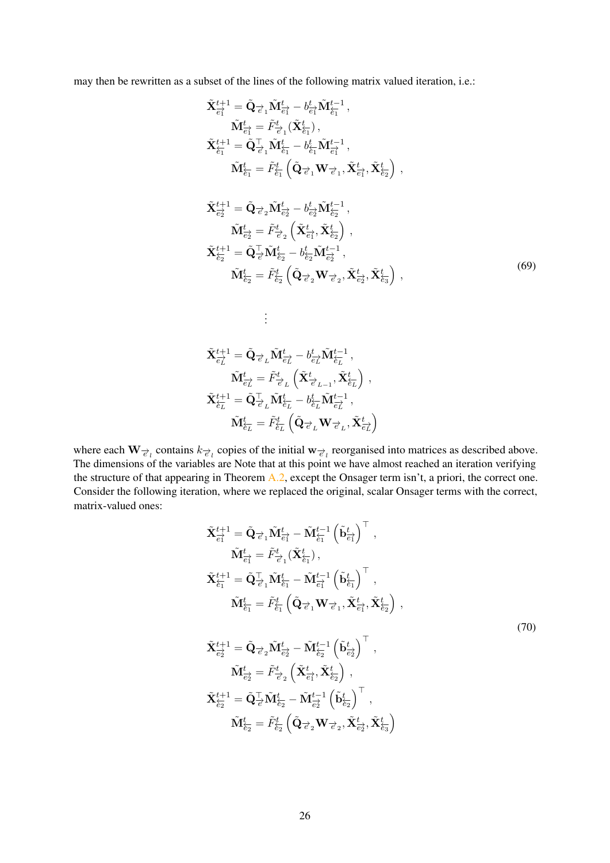may then be rewritten as a subset of the lines of the following matrix valued iteration, i.e.:

$$
\tilde{\mathbf{X}}_{\overline{e_{1}^{\dagger}}}^{t+1} = \tilde{\mathbf{Q}}_{\overline{e_{1}}}\tilde{\mathbf{M}}_{\overline{e_{1}^{\dagger}}}^{t} - b_{\overline{e_{1}^{\dagger}}}^{t}\tilde{\mathbf{M}}_{\overline{e_{1}^{\dagger}}}^{t-1}, \n\tilde{\mathbf{M}}_{\overline{e_{1}^{\dagger}}}^{t} = \tilde{F}_{\overline{e_{1}^{\dagger}}}^{t}(\tilde{\mathbf{X}}_{\overline{e_{1}^{\dagger}}}^{t}), \n\tilde{\mathbf{X}}_{\overline{e_{1}^{\dagger}}}^{t+1} = \tilde{\mathbf{Q}}_{\overline{e_{1}^{\dagger}}}\tilde{\mathbf{M}}_{\overline{e_{1}^{\dagger}}}^{t} - b_{\overline{e_{1}^{\dagger}}}\tilde{\mathbf{M}}_{\overline{e_{1}^{\dagger}}}^{t-1}, \n\tilde{\mathbf{M}}_{\overline{e_{1}^{\dagger}}}^{t} = \tilde{F}_{\overline{e_{1}^{\dagger}}}^{t}(\tilde{\mathbf{Q}}_{\overline{e_{1}^{\dagger}}}\mathbf{W}_{\overline{e_{1}^{\dagger}}}, \tilde{\mathbf{X}}_{\overline{e_{1}^{\dagger}}})^{\dagger}, \n\tilde{\mathbf{X}}_{\overline{e_{2}^{\dagger}}}^{t+1} = \tilde{\mathbf{Q}}_{\overline{e_{2}^{\dagger}}}\tilde{\mathbf{M}}_{\overline{e_{2}^{\dagger}}}^{t} - b_{\overline{e_{2}^{\dagger}}}\tilde{\mathbf{M}}_{\overline{e_{2}^{\dagger}}}^{t-1}, \n\tilde{\mathbf{M}}_{\overline{e_{2}^{\dagger}}}^{t} = \tilde{F}_{\overline{e_{2}^{\dagger}}}^{t}(\tilde{\mathbf{X}}_{\overline{e_{1}^{\dagger}}}^{t}, \tilde{\mathbf{X}}_{\overline{e_{2}^{\dagger}}}^{t}), \n\tilde{\mathbf{X}}_{\overline{e_{2}^{\dagger}}}^{t+1} = \tilde{\mathbf{Q}}_{\overline{e_{1}^{\dagger}}}\tilde{\mathbf{M}}_{\overline{e_{2}^{\
$$

$$
\begin{aligned} \tilde{\mathbf{X}}_{\overrightarrow{e_L}}^{t+1} &= \tilde{\mathbf{Q}}_{\overrightarrow{e}_L} \tilde{\mathbf{M}}_{\overrightarrow{e_L}}^{t} - b_{\overrightarrow{e_L}}^{t} \tilde{\mathbf{M}}_{\overleftarrow{e_L}}^{t-1}\,,\\ \tilde{\mathbf{M}}_{\overrightarrow{e_L}}^{t} &= \tilde{F}_{\overrightarrow{e}_L}^{t}\left(\tilde{\mathbf{X}}_{\overrightarrow{e}_{L-1}}^{t}, \tilde{\mathbf{X}}_{\overleftarrow{e_L}}^{t}\right)\,,\\ \tilde{\mathbf{X}}_{\overleftarrow{e_L}}^{t+1} &= \tilde{\mathbf{Q}}_{\overrightarrow{e}_L}^\top \tilde{\mathbf{M}}_{\overleftarrow{e_L}}^{t} - b_{\overleftarrow{e_L}}^{t} \tilde{\mathbf{M}}_{\overrightarrow{e_L}}^{t-1}\,,\\ \tilde{\mathbf{M}}_{\overleftarrow{e_L}}^{t} &= \tilde{F}_{\overleftarrow{e_L}}^{t}\left(\tilde{\mathbf{Q}}_{\overrightarrow{e}_L} \mathbf{W}_{\overrightarrow{e}_L}, \tilde{\mathbf{X}}_{\overrightarrow{e_L}}^{t}\right)\right. \end{aligned}
$$

. . .

where each  $W_{\vec{e}_l}$  contains  $k_{\vec{e}_l}$  copies of the initial w $_{\vec{e}_l}$  reorganised into matrices as described above. The dimensions of the variables are Note that at this point we have almost reached an iteration verifying the structure of that appearing in Theorem [A.2,](#page-17-0) except the Onsager term isn't, a priori, the correct one. Consider the following iteration, where we replaced the original, scalar Onsager terms with the correct, matrix-valued ones:

$$
\tilde{\mathbf{X}}_{\overline{e_{1}^{\prime}}}^{t+1} = \tilde{\mathbf{Q}}_{\overline{e_{1}}}\tilde{\mathbf{M}}_{\overline{e_{1}^{\prime}}}^{t} - \tilde{\mathbf{M}}_{\overline{e_{1}^{\prime}}}^{t-1} \left( \tilde{\mathbf{b}}_{\overline{e_{1}^{\prime}}}^{t} \right)^{\top}, \n\tilde{\mathbf{M}}_{\overline{e_{1}^{\prime}}}^{t} = \tilde{F}_{\overline{e_{1}^{\prime}}}^{t} (\tilde{\mathbf{X}}_{\overline{e_{1}}^{\prime}}^{t}), \n\tilde{\mathbf{X}}_{\overline{e_{1}^{\prime}}}^{t+1} = \tilde{\mathbf{Q}}_{\overline{e_{1}^{\prime}}}^{\top} \tilde{\mathbf{M}}_{\overline{e_{1}^{\prime}}}^{t} - \tilde{\mathbf{M}}_{\overline{e_{1}^{\prime}}}^{t-1} \left( \tilde{\mathbf{b}}_{\overline{e_{1}^{\prime}}}^{t} \right)^{\top}, \n\tilde{\mathbf{M}}_{\overline{e_{1}}}^{t} = \tilde{F}_{\overline{e_{1}}}^{t} \left( \tilde{\mathbf{Q}}_{\overline{e_{1}^{\prime}}} \mathbf{W}_{\overline{e_{1}^{\prime}}}, \tilde{\mathbf{X}}_{\overline{e_{1}^{\prime}}}^{t} \right), \n\tilde{\mathbf{X}}_{\overline{e_{2}^{\prime}}}^{t+1} = \tilde{\mathbf{Q}}_{\overline{e_{2}^{\prime}}} \tilde{\mathbf{M}}_{\overline{e_{2}^{\prime}}}^{t} - \tilde{\mathbf{M}}_{\overline{e_{2}^{\prime}}}^{t-1} \left( \tilde{\mathbf{b}}_{\overline{e_{2}^{\prime}}}^{t} \right)^{\top}, \n\tilde{\mathbf{M}}_{\overline{e_{2}^{\prime}}}^{t} = \tilde{F}_{\overline{e_{2}^{\prime}}}^{t} \left( \tilde{\mathbf{X}}_{\overline{e_{1}^{\prime}}}^{t}, \tilde{\mathbf{X}}_{\overline{e_{2}^{\prime}}}^{t} \right), \n\tilde{\mathbf{X}}_{\overline{e_{2}^{\prime}}}^{t+1} = \tilde{\mathbf{Q}}_{\
$$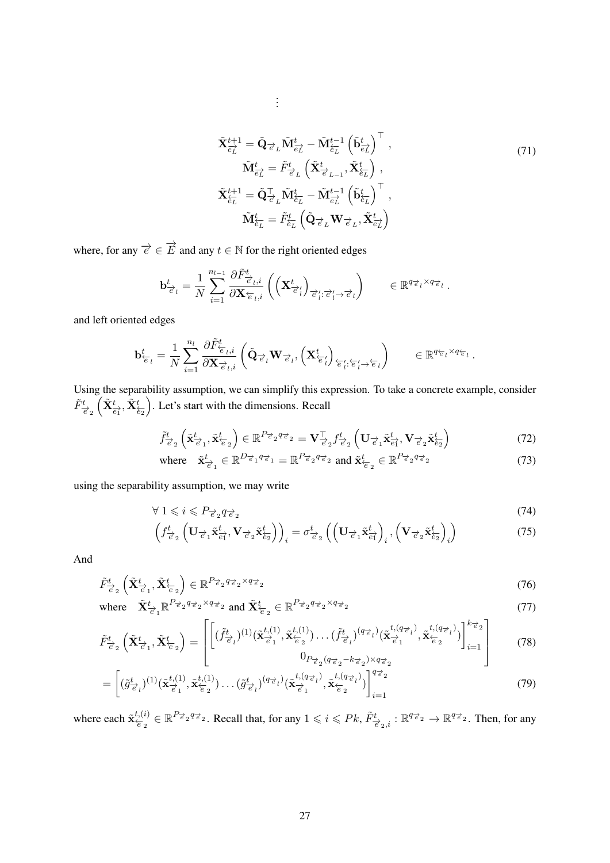$$
\tilde{\mathbf{X}}_{\overrightarrow{e_{L}}}^{t+1} = \tilde{\mathbf{Q}}_{\overrightarrow{e}_{L}} \tilde{\mathbf{M}}_{\overrightarrow{e_{L}}}^{t} - \tilde{\mathbf{M}}_{\overleftarrow{e_{L}}}^{t-1} \left( \tilde{\mathbf{b}}_{\overrightarrow{e_{L}}}^{t} \right)^{\top}, \n\tilde{\mathbf{M}}_{\overrightarrow{e_{L}}}^{t} = \tilde{F}_{\overrightarrow{e}_{L}}^{t} \left( \tilde{\mathbf{X}}_{\overrightarrow{e}_{L-1}}^{t} , \tilde{\mathbf{X}}_{\overleftarrow{e_{L}}}^{t} \right), \n\tilde{\mathbf{X}}_{\overleftarrow{e_{L}}}^{t+1} = \tilde{\mathbf{Q}}_{\overrightarrow{e}_{L}}^{\top} \tilde{\mathbf{M}}_{\overleftarrow{e_{L}}}^{t} - \tilde{\mathbf{M}}_{\overrightarrow{e_{L}}}^{t-1} \left( \tilde{\mathbf{b}}_{\overleftarrow{e_{L}}}^{t} \right)^{\top}, \n\tilde{\mathbf{M}}_{\overleftarrow{e_{L}}}^{t} = \tilde{F}_{\overleftarrow{e_{L}}}^{t} \left( \tilde{\mathbf{Q}}_{\overrightarrow{e}_{L}} \mathbf{W}_{\overrightarrow{e}_{L}}, \tilde{\mathbf{X}}_{\overrightarrow{e_{L}}}^{t} \right) \right)
$$
\n(71)

where, for any  $\overrightarrow{e} \in \overrightarrow{E}$  and any  $t \in \mathbb{N}$  for the right oriented edges

$$
\mathbf{b}^t_{\overrightarrow{e}_l} = \frac{1}{N} \sum_{i=1}^{n_{l-1}} \frac{\partial \widetilde{F}^t_{\overrightarrow{e}_l,i}}{\partial \mathbf{X}_{\overleftarrow{e}_l,i}} \left( \left( \mathbf{X}^t_{\overrightarrow{e}'_l} \right)_{\overrightarrow{e}'_l:\overrightarrow{e}'_l \to \overrightarrow{e}_l} \right) \qquad \in \mathbb{R}^{q_{\overrightarrow{e}_l} \times q_{\overrightarrow{e}_l}}.
$$

. . .

and left oriented edges

$$
\mathbf{b}^t_{\overleftarrow{e}_l} = \frac{1}{N} \sum_{i=1}^{n_l} \frac{\partial \tilde{F}^t_{\overleftarrow{e}_{l,i}}}{\partial \mathbf{X}_{\overrightarrow{e}_l,i}} \left( \tilde{\mathbf{Q}}_{\overrightarrow{e}_l} \mathbf{W}_{\overrightarrow{e}_l}, \left( \mathbf{X}^t_{\overleftarrow{e}'_l} \right)_{\overleftarrow{e}'_l : \overleftarrow{e}'_l \rightarrow \overleftarrow{e}_l} \right) \right) \qquad \in \mathbb{R}^{q_{\overleftarrow{e}_l} \times q_{\overleftarrow{e}_l}}.
$$

Using the separability assumption, we can simplify this expression. To take a concrete example, consider  $\tilde{F}^t_{\vec{e}_2}(\tilde{\mathbf{X}}_{\vec{e}_1}^t, \tilde{\mathbf{X}}_{\vec{e}_2}^t)$ . Let's start with the dimensions. Recall

$$
\tilde{f}_{\vec{e}_2}^t\left(\tilde{\mathbf{x}}_{\vec{e}_1}^t, \tilde{\mathbf{x}}_{\vec{e}_2}^t\right) \in \mathbb{R}^{P_{\vec{e}_2}q_{\vec{e}_2}} = \mathbf{V}_{\vec{e}_2}^\top f_{\vec{e}_2}^t\left(\mathbf{U}_{\vec{e}_1} \tilde{\mathbf{x}}_{\vec{e}_1}^t, \mathbf{V}_{\vec{e}_2} \tilde{\mathbf{x}}_{\vec{e}_2}^t\right)
$$
(72)

where 
$$
\tilde{\mathbf{x}}_{\vec{e}_1}^t \in \mathbb{R}^{D_{\vec{e}_1} q_{\vec{e}_1}} = \mathbb{R}^{P_{\vec{e}_2} q_{\vec{e}_2}}
$$
 and  $\tilde{\mathbf{x}}_{\vec{e}_2}^t \in \mathbb{R}^{P_{\vec{e}_2} q_{\vec{e}_2}}$  (73)

using the separability assumption, we may write

$$
\forall 1 \leqslant i \leqslant P_{\overrightarrow{e}_2} q_{\overrightarrow{e}_2} \tag{74}
$$

$$
\left(f_{\vec{e}_2}^t \left(\mathbf{U}_{\vec{e}_1} \tilde{\mathbf{x}}_{\vec{e}_1}^t, \mathbf{V}_{\vec{e}_2} \tilde{\mathbf{x}}_{\vec{e}_2}^t\right)\right)_i = \sigma_{\vec{e}_2}^t \left(\left(\mathbf{U}_{\vec{e}_1} \tilde{\mathbf{x}}_{\vec{e}_1}^t\right)_i, \left(\mathbf{V}_{\vec{e}_2} \tilde{\mathbf{x}}_{\vec{e}_2}^t\right)_i\right)
$$
(75)

And

$$
\tilde{F}_{\vec{e}_2}^t \left( \tilde{\mathbf{X}}_{\vec{e}_1}^t, \tilde{\mathbf{X}}_{\vec{e}_2}^t \right) \in \mathbb{R}^{P_{\vec{e}_2} q_{\vec{e}_2} \times q_{\vec{e}_2}} \tag{76}
$$

where 
$$
\tilde{\mathbf{X}}_{\overrightarrow{e}_1}^t \mathbb{R}^{P_{\overrightarrow{e}_2} q_{\overrightarrow{e}_2} \times q_{\overrightarrow{e}_2}} \text{ and } \tilde{\mathbf{X}}_{\overleftarrow{e}_2}^t \in \mathbb{R}^{P_{\overrightarrow{e}_2} q_{\overrightarrow{e}_2} \times q_{\overrightarrow{e}_2}}
$$
(77)

$$
\tilde{F}^t_{\vec{e}_2} \left( \tilde{\mathbf{X}}^t_{\vec{e}_1}, \tilde{\mathbf{X}}^t_{\vec{e}_2} \right) = \begin{bmatrix} \left[ (\tilde{f}^t_{\vec{e}_l})^{(1)} (\tilde{\mathbf{x}}^{t,(1)}_{\vec{e}_1}, \tilde{\mathbf{x}}^{t,(1)}_{\vec{e}_2}) \dots (\tilde{f}^t_{\vec{e}_l})^{(q_{\vec{e}_l})} (\tilde{\mathbf{x}}^{t,(q_{\vec{e}_l})}_{\vec{e}_1}, \tilde{\mathbf{x}}^{t,(q_{\vec{e}_l})}_{\vec{e}_2}) \right]_{i=1}^{k_{\vec{e}_2}} \right] & (78)
$$

$$
= \left[ (\tilde{g}_{\vec{e}_l}^t)^{(1)} (\tilde{\mathbf{x}}_{\vec{e}_1}^{t,(1)}, \tilde{\mathbf{x}}_{\vec{e}_2}^{t,(1)}) \dots (\tilde{g}_{\vec{e}_l}^t)^{(q_{\vec{e}_l})} (\tilde{\mathbf{x}}_{\vec{e}_1}^{t,(q_{\vec{e}_l})}, \tilde{\mathbf{x}}_{\vec{e}_2}^{t,(q_{\vec{e}_l})}) \right]_{i=1}^{q_{\vec{e}_2}} \tag{79}
$$

where each  $\tilde{\mathbf{x}}_{\overleftarrow{e}_2}^{t,(i)} \in \mathbb{R}^{P_{\overrightarrow{e}_2}q_{\overrightarrow{e}_2}}$ . Recall that, for any  $1 \leq i \leq Pk$ ,  $\tilde{F}_{\overrightarrow{e}_2,i}^t : \mathbb{R}^{q_{\overrightarrow{e}_2}} \to \mathbb{R}^{q_{\overrightarrow{e}_2}}$ . Then, for any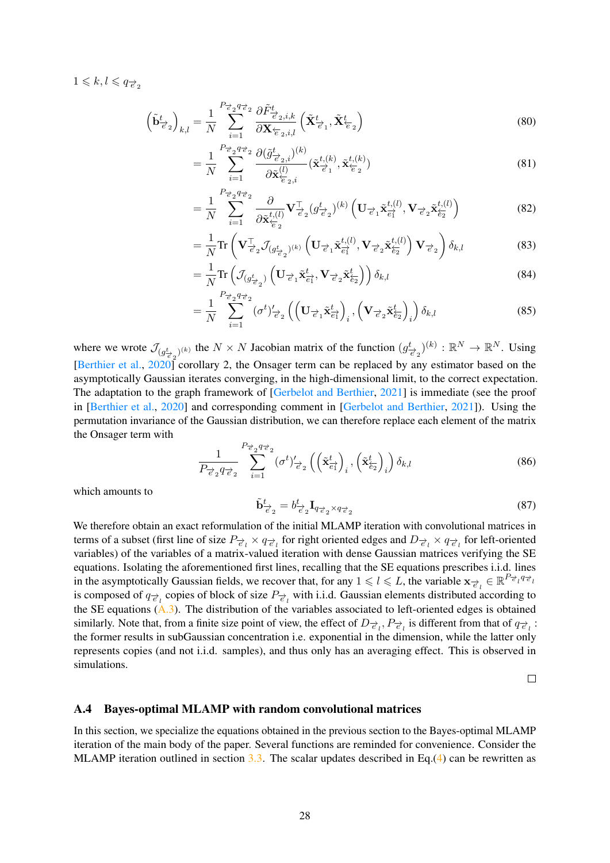$1 \leqslant k, l \leqslant q_{\overrightarrow{e}_2}$ 

$$
\left(\tilde{\mathbf{b}}_{\vec{\epsilon}_{2}}^{t}\right)_{k,l} = \frac{1}{N} \sum_{i=1}^{P_{\vec{\epsilon}_{2}} q_{\vec{\epsilon}_{2}}}\frac{\partial \tilde{F}_{\vec{\epsilon}_{2},i,k}^{t}}{\partial \mathbf{X}_{\vec{\epsilon}_{2},i,l}} \left(\tilde{\mathbf{X}}_{\vec{\epsilon}_{1}}^{t}, \tilde{\mathbf{X}}_{\vec{\epsilon}_{2}}^{t}\right)
$$
\n(80)

$$
=\frac{1}{N}\sum_{i=1}^{P_{\vec{e}_2}q_{\vec{e}_2}}\frac{\partial(\tilde{g}_{\vec{e}_2,i}^t)^{(k)}}{\partial \tilde{\mathbf{x}}_{\vec{e}_2,i}^{(l)}}(\tilde{\mathbf{x}}_{\vec{e}_1}^{t,(k)},\tilde{\mathbf{x}}_{\vec{e}_2}^{t,(k)})
$$
(81)

$$
= \frac{1}{N} \sum_{i=1}^{P_{\vec{e}_2} q_{\vec{e}_2}} \frac{\partial}{\partial \tilde{\mathbf{x}}_{\vec{e}_2}^{t,(l)}} \mathbf{V}_{\vec{e}_2}^{\mathsf{T}} (g_{\vec{e}_2}^t)^{(k)} \left( \mathbf{U}_{\vec{e}_1} \tilde{\mathbf{x}}_{\vec{e}_1}^{t,(l)}, \mathbf{V}_{\vec{e}_2} \tilde{\mathbf{x}}_{\vec{e}_2}^{t,(l)} \right) \tag{82}
$$

$$
= \frac{1}{N} \text{Tr} \left( \mathbf{V}_{\vec{e}_2}^{\top} \mathcal{J}_{(g_{\vec{e}_2}^t)^{(k)}} \left( \mathbf{U}_{\vec{e}_1} \tilde{\mathbf{x}}_{\vec{e}_1}^{t,(l)}, \mathbf{V}_{\vec{e}_2} \tilde{\mathbf{x}}_{\vec{e}_2}^{t,(l)} \right) \mathbf{V}_{\vec{e}_2} \right) \delta_{k,l}
$$
(83)

$$
= \frac{1}{N} \text{Tr} \left( \mathcal{J}_{(g_{\vec{e}_2})} \left( \mathbf{U}_{\vec{e}_1} \tilde{\mathbf{x}}_{\vec{e}_1}^t, \mathbf{V}_{\vec{e}_2} \tilde{\mathbf{x}}_{\vec{e}_2}^t \right) \right) \delta_{k,l} \tag{84}
$$

$$
= \frac{1}{N} \sum_{i=1}^{P_{\vec{e}_2} q_{\vec{e}_2}} (\sigma^t)'_{\vec{e}_2} \left( \left( \mathbf{U}_{\vec{e}_1} \tilde{\mathbf{x}}_{\vec{e}_1}^t \right)_i, \left( \mathbf{V}_{\vec{e}_2} \tilde{\mathbf{x}}_{\vec{e}_2}^t \right)_i \right) \delta_{k,l} \tag{85}
$$

where we wrote  $\mathcal{J}_{(g_{\vec{e}_2}^t)^{(k)}}$  the  $N \times N$  Jacobian matrix of the function  $(g_{\vec{e}_2}^t)^{(k)} : \mathbb{R}^N \to \mathbb{R}^N$ . Using [\[Berthier et al.,](#page-10-8) [2020\]](#page-10-8) corollary 2, the Onsager term can be replaced by any estimator based on the asymptotically Gaussian iterates converging, in the high-dimensional limit, to the correct expectation. The adaptation to the graph framework of [\[Gerbelot and Berthier,](#page-10-3) [2021\]](#page-10-3) is immediate (see the proof in [\[Berthier et al.,](#page-10-8) [2020\]](#page-10-8) and corresponding comment in [\[Gerbelot and Berthier,](#page-10-3) [2021\]](#page-10-3)). Using the permutation invariance of the Gaussian distribution, we can therefore replace each element of the matrix the Onsager term with

$$
\frac{1}{P_{\vec{e}_2} q_{\vec{e}_2}} \sum_{i=1}^{P_{\vec{e}_2} q_{\vec{e}_2}} (\sigma^t)'_{\vec{e}_2} \left( \left( \tilde{\mathbf{x}}_{\vec{e}_1}^t \right)_i, \left( \tilde{\mathbf{x}}_{\vec{e}_2}^t \right)_i \right) \delta_{k,l} \tag{86}
$$

which amounts to

$$
\tilde{\mathbf{b}}_{\vec{e}_2}^t = b_{\vec{e}_2}^t \mathbf{I}_{q_{\vec{e}_2} \times q_{\vec{e}_2}} \tag{87}
$$

We therefore obtain an exact reformulation of the initial MLAMP iteration with convolutional matrices in terms of a subset (first line of size  $P_{\vec{e}_l} \times q_{\vec{e}_l}$  for right oriented edges and  $D_{\vec{e}_l} \times q_{\vec{e}_l}$  for left-oriented variables) of the variables of a matrix-valued iteration with dense Gaussian matrices verifying the SE equations. Isolating the aforementioned first lines, recalling that the SE equations prescribes i.i.d. lines in the asymptotically Gaussian fields, we recover that, for any  $1 \leq l \leq L$ , the variable  $\mathbf{x}_{\vec{e}_l} \in \mathbb{R}^{P_{\vec{e}_l} q_{\vec{e}_l}}$ is composed of  $q_{\vec{e}_l}$  copies of block of size  $P_{\vec{e}_l}$  with i.i.d. Gaussian elements distributed according to the SE equations [\(A.3\)](#page-18-0). The distribution of the variables associated to left-oriented edges is obtained similarly. Note that, from a finite size point of view, the effect of  $D_{\vec{e}_l}, P_{\vec{e}_l}$  is different from that of  $q_{\vec{e}_l}$ : the former results in subGaussian concentration i.e. exponential in the dimension, while the latter only represents copies (and not i.i.d. samples), and thus only has an averaging effect. This is observed in simulations.

 $\Box$ 

### A.4 Bayes-optimal MLAMP with random convolutional matrices

In this section, we specialize the equations obtained in the previous section to the Bayes-optimal MLAMP iteration of the main body of the paper. Several functions are reminded for convenience. Consider the MLAMP iteration outlined in section  $3.3$ . The scalar updates described in Eq.[\(4\)](#page-5-1) can be rewritten as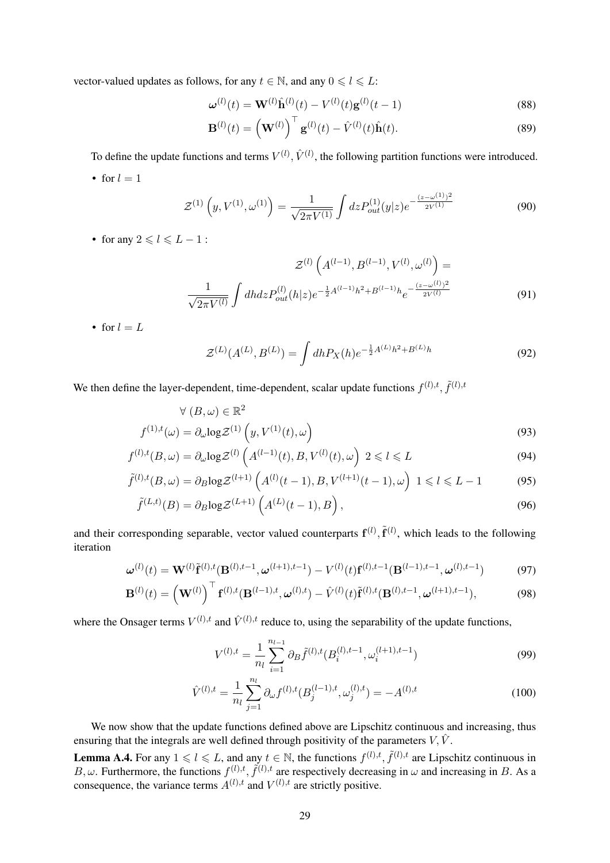vector-valued updates as follows, for any  $t \in \mathbb{N}$ , and any  $0 \le l \le L$ :

$$
\boldsymbol{\omega}^{(l)}(t) = \mathbf{W}^{(l)}\hat{\mathbf{h}}^{(l)}(t) - V^{(l)}(t)\mathbf{g}^{(l)}(t-1)
$$
\n(88)

$$
\mathbf{B}^{(l)}(t) = \left(\mathbf{W}^{(l)}\right)^{\top} \mathbf{g}^{(l)}(t) - \hat{V}^{(l)}(t)\hat{\mathbf{h}}(t).
$$
 (89)

To define the update functions and terms  $V^{(l)}$ ,  $\hat{V}^{(l)}$ , the following partition functions were introduced.

• for  $l = 1$ 

$$
\mathcal{Z}^{(1)}\left(y, V^{(1)}, \omega^{(1)}\right) = \frac{1}{\sqrt{2\pi V^{(1)}}} \int dz P_{out}^{(1)}(y|z) e^{-\frac{(z-\omega^{(1)})^2}{2V^{(1)}}}
$$
(90)

• for any  $2 \leq l \leq L - 1$ :

$$
\mathcal{Z}^{(l)}\left(A^{(l-1)}, B^{(l-1)}, V^{(l)}, \omega^{(l)}\right) = \frac{1}{\sqrt{2\pi V^{(l)}}} \int dh dz P_{out}^{(l)}(h|z) e^{-\frac{1}{2}A^{(l-1)}h^2 + B^{(l-1)}h} e^{-\frac{(z-\omega^{(l)})^2}{2V^{(l)}}}
$$
(91)

• for  $l = L$ 

$$
\mathcal{Z}^{(L)}(A^{(L)}, B^{(L)}) = \int dh P_X(h) e^{-\frac{1}{2}A^{(L)}h^2 + B^{(L)}h}
$$
\n(92)

We then define the layer-dependent, time-dependent, scalar update functions  $f^{(l),t}, \tilde{f}^{(l),t}$ 

$$
\forall (B, \omega) \in \mathbb{R}^2
$$

$$
f^{(1),t}(\omega) = \partial_{\omega} \log \mathcal{Z}^{(1)}\left(y, V^{(1)}(t), \omega\right)
$$
(93)

$$
f^{(l),t}(B,\omega) = \partial_{\omega} \log \mathcal{Z}^{(l)}\left(A^{(l-1)}(t), B, V^{(l)}(t), \omega\right) 2 \leq l \leq L \tag{94}
$$

$$
\tilde{f}^{(l),t}(B,\omega) = \partial_B \log \mathcal{Z}^{(l+1)}\left(A^{(l)}(t-1), B, V^{(l+1)}(t-1), \omega\right) \; 1 \leq l \leq L - 1 \tag{95}
$$

$$
\tilde{f}^{(L,t)}(B) = \partial_B \log \mathcal{Z}^{(L+1)}\left(A^{(L)}(t-1), B\right),\tag{96}
$$

and their corresponding separable, vector valued counterparts  $f^{(l)}$ ,  $\tilde{f}^{(l)}$ , which leads to the following iteration

$$
\boldsymbol{\omega}^{(l)}(t) = \mathbf{W}^{(l)} \tilde{\mathbf{f}}^{(l),t} (\mathbf{B}^{(l),t-1}, \boldsymbol{\omega}^{(l+1),t-1}) - V^{(l)}(t) \mathbf{f}^{(l),t-1} (\mathbf{B}^{(l-1),t-1}, \boldsymbol{\omega}^{(l),t-1})
$$
(97)

$$
\mathbf{B}^{(l)}(t) = \left(\mathbf{W}^{(l)}\right)^{\top} \mathbf{f}^{(l),t}(\mathbf{B}^{(l-1),t},\omega^{(l),t}) - \hat{V}^{(l)}(t)\tilde{\mathbf{f}}^{(l),t}(\mathbf{B}^{(l),t-1},\omega^{(l+1),t-1}), \tag{98}
$$

where the Onsager terms  $V^{(l),t}$  and  $\hat{V}^{(l),t}$  reduce to, using the separability of the update functions,

$$
V^{(l),t} = \frac{1}{n_l} \sum_{i=1}^{n_{l-1}} \partial_B \tilde{f}^{(l),t} (B_i^{(l),t-1}, \omega_i^{(l+1),t-1})
$$
(99)

$$
\hat{V}^{(l),t} = \frac{1}{n_l} \sum_{j=1}^{n_l} \partial_{\omega} f^{(l),t} (B_j^{(l-1),t}, \omega_j^{(l),t}) = -A^{(l),t}
$$
\n(100)

We now show that the update functions defined above are Lipschitz continuous and increasing, thus ensuring that the integrals are well defined through positivity of the parameters  $V, \hat{V}$ .

**Lemma A.4.** For any  $1 \leq l \leq L$ , and any  $t \in \mathbb{N}$ , the functions  $f^{(l),t}, \tilde{f}^{(l),t}$  are Lipschitz continuous in B,  $\omega$ . Furthermore, the functions  $f^{(l),t}$ ,  $\tilde{f}^{(l),t}$  are respectively decreasing in  $\omega$  and increasing in B. As a consequence, the variance terms  $A^{(l),t}$  and  $V^{(l),t}$  are strictly positive.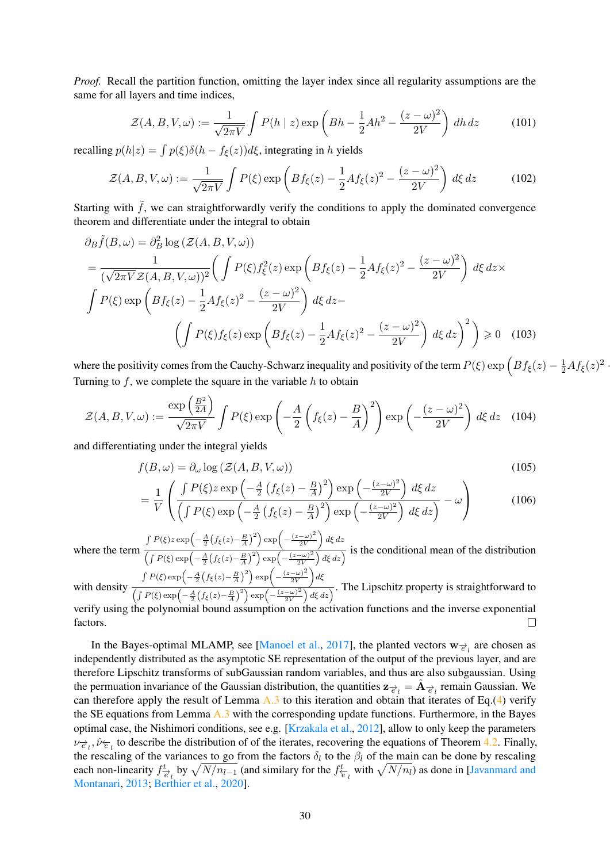*Proof.* Recall the partition function, omitting the layer index since all regularity assumptions are the same for all layers and time indices,

$$
\mathcal{Z}(A, B, V, \omega) := \frac{1}{\sqrt{2\pi V}} \int P(h \mid z) \exp\left(Bh - \frac{1}{2}Ah^2 - \frac{(z - \omega)^2}{2V}\right) dh \, dz \tag{101}
$$

recalling  $p(h|z) = \int p(\xi) \delta(h - f_{\xi}(z)) d\xi$ , integrating in h yields

$$
\mathcal{Z}(A, B, V, \omega) := \frac{1}{\sqrt{2\pi V}} \int P(\xi) \exp\left(Bf_{\xi}(z) - \frac{1}{2}Af_{\xi}(z)^2 - \frac{(z - \omega)^2}{2V}\right) d\xi dz \tag{102}
$$

Starting with  $\tilde{f}$ , we can straightforwardly verify the conditions to apply the dominated convergence theorem and differentiate under the integral to obtain

$$
\partial_B \tilde{f}(B,\omega) = \partial_B^2 \log \left( \mathcal{Z}(A, B, V, \omega) \right)
$$
  
= 
$$
\frac{1}{(\sqrt{2\pi V}\mathcal{Z}(A, B, V, \omega))^2} \left( \int P(\xi) f_{\xi}^2(z) \exp \left( B f_{\xi}(z) - \frac{1}{2} A f_{\xi}(z)^2 - \frac{(z - \omega)^2}{2V} \right) d\xi dz \times
$$
  

$$
\int P(\xi) \exp \left( B f_{\xi}(z) - \frac{1}{2} A f_{\xi}(z)^2 - \frac{(z - \omega)^2}{2V} \right) d\xi dz -
$$
  

$$
\left( \int P(\xi) f_{\xi}(z) \exp \left( B f_{\xi}(z) - \frac{1}{2} A f_{\xi}(z)^2 - \frac{(z - \omega)^2}{2V} \right) d\xi dz \right)^2 \right) \ge 0 \quad (103)
$$

where the positivity comes from the Cauchy-Schwarz inequality and positivity of the term  $P(\xi)$  exp  $\left(Bf_{\xi}(z) - \frac{1}{2}Af_{\xi}(z)^2 - \frac{1}{2}Af_{\xi}(z)^2\right)$ Turning to  $f$ , we complete the square in the variable  $h$  to obtain

$$
\mathcal{Z}(A, B, V, \omega) := \frac{\exp\left(\frac{B^2}{2A}\right)}{\sqrt{2\pi V}} \int P(\xi) \exp\left(-\frac{A}{2}\left(f_{\xi}(z) - \frac{B}{A}\right)^2\right) \exp\left(-\frac{(z - \omega)^2}{2V}\right) d\xi dz \quad (104)
$$

and differentiating under the integral yields

$$
f(B,\omega) = \partial_{\omega} \log \left( \mathcal{Z}(A,B,V,\omega) \right) \tag{105}
$$

$$
= \frac{1}{V} \left( \frac{\int P(\xi) z \exp\left(-\frac{A}{2} \left(f_{\xi}(z) - \frac{B}{A}\right)^2\right) \exp\left(-\frac{(z - \omega)^2}{2V}\right) d\xi dz}{\left(\int P(\xi) \exp\left(-\frac{A}{2} \left(f_{\xi}(z) - \frac{B}{A}\right)^2\right) \exp\left(-\frac{(z - \omega)^2}{2V}\right) d\xi dz\right)} - \omega \right) \tag{106}
$$

where the term  $\int P(\xi) z \exp\left(-\frac{A}{2}\left(f_{\xi}(z) - \frac{B}{A}\right)^2\right) \exp\left(-\frac{(z-\omega)^2}{2V}\right)$  $2V$  $\Big)$  dξ dz  $\frac{1}{\left(\int P(\xi) \exp\left(-\frac{A}{2}\left(f_{\xi}(z)-\frac{B}{A}\right)^2\right) \exp\left(-\frac{(z-\omega)^2}{2V}\right) d\xi dz\right)}$  is the conditional mean of the distribution  $\int P(\xi) \exp \left(-\frac{A}{2} \left(f_{\xi}(z) - \frac{B}{A}\right)^2\right) \exp \left(-\frac{(z-\omega)^2}{2V}\right)$  $\big)_{d\xi}$ 

 $2V$ with density  $\frac{1}{\left(\int P(\xi) \exp\left(-\frac{A}{2}\left(f_{\xi}(z)-\frac{B}{A}\right)^2\right) \exp\left(-\frac{(z-\omega)^2}{2V}\right) d\xi dz\right)}$ . The Lipschitz property is straightforward to verify using the polynomial bound assumption on the activation functions and the inverse exponential factors.  $\Box$ 

In the Bayes-optimal MLAMP, see [\[Manoel et al.,](#page-11-4) [2017\]](#page-11-4), the planted vectors  $w_{\vec{e}_l}$  are chosen as independently distributed as the asymptotic SE representation of the output of the previous layer, and are therefore Lipschitz transforms of subGaussian random variables, and thus are also subgaussian. Using the permuation invariance of the Gaussian distribution, the quantities  $z_{\vec{e}_l} = \hat{A}_{\vec{e}_l}$  remain Gaussian. We can therefore apply the result of Lemma  $A.3$  to this iteration and obtain that iterates of Eq.[\(4\)](#page-5-1) verify the SE equations from Lemma [A.3](#page-20-0) with the corresponding update functions. Furthermore, in the Bayes optimal case, the Nishimori conditions, see e.g. [\[Krzakala et al.,](#page-11-5) [2012\]](#page-11-5), allow to only keep the parameters  $v_{\vec{e}_l}$ ,  $\hat{v}_{\vec{e}_l}$  to describe the distribution of of the iterates, recovering the equations of Theorem [4.2.](#page-7-0) Finally, the rescaling of the variances to go from the factors  $\delta_l$  to the  $\beta_l$  of the main can be done by rescaling each non-linearity  $f_{\vec{e}_l}^t$  by  $\sqrt{N/n_{l-1}}$  (and similary for the  $f_{\vec{e}_l}^t$  with  $\sqrt{N/n_l}$ ) as done in [\[Javanmard and](#page-11-6) [Montanari,](#page-11-6) [2013;](#page-11-6) [Berthier et al.,](#page-10-8) [2020\]](#page-10-8).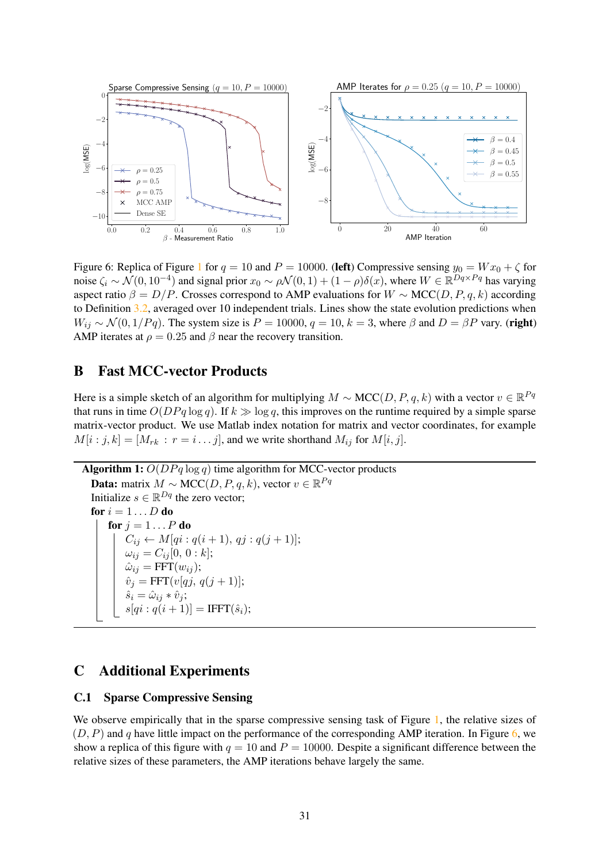<span id="page-30-2"></span>

Figure 6: Replica of Figure [1](#page-1-0) for  $q = 10$  and  $P = 10000$ . (left) Compressive sensing  $y_0 = Wx_0 + \zeta$  for noise  $\zeta_i \sim \mathcal{N}(0, 10^{-4})$  and signal prior  $x_0 \sim \rho \mathcal{N}(0, 1) + (1 - \rho)\delta(x)$ , where  $W \in \mathbb{R}^{Dq \times Pq}$  has varying aspect ratio  $\beta = D/P$ . Crosses correspond to AMP evaluations for  $W \sim \text{MCC}(D, P, q, k)$  according to Definition [3.2,](#page-3-0) averaged over 10 independent trials. Lines show the state evolution predictions when  $W_{ij} \sim \mathcal{N}(0, 1/Pq)$ . The system size is  $P = 10000$ ,  $q = 10$ ,  $k = 3$ , where  $\beta$  and  $D = \beta P$  vary. (right) AMP iterates at  $\rho = 0.25$  and  $\beta$  near the recovery transition.

# <span id="page-30-1"></span>B Fast MCC-vector Products

Here is a simple sketch of an algorithm for multiplying  $M \sim \text{MCC}(D, P, q, k)$  with a vector  $v \in \mathbb{R}^{Pq}$ that runs in time  $O(DPq \log q)$ . If  $k \gg \log q$ , this improves on the runtime required by a simple sparse matrix-vector product. We use Matlab index notation for matrix and vector coordinates, for example  $M[i : j, k] = [M_{rk} : r = i \dots j]$ , and we write shorthand  $M_{ij}$  for  $M[i, j]$ .

```
Algorithm 1: O(DPq \log q) time algorithm for MCC-vector products
   Data: matrix M \sim \text{MCC}(D, P, q, k), vector v \in \mathbb{R}^{Pq}Initialize s \in \mathbb{R}^{Dq} the zero vector;
  for i = 1 \ldots D do
       for j = 1 \dots P do
            C_{ij} \leftarrow M[qi:q(i+1), qj:q(j+1)];\omega_{ij} = C_{ij}[0, 0:k];\hat{\omega}_{ij} = \text{FFT}(w_{ij});\hat{v}_j = \text{FFT}(v[qj, q(j+1)];\hat{s}_i = \hat{\omega}_{ij} * \hat{v}_j;s[q_i : q(i + 1)] = IFFT(\hat{s}_i);
```
# C Additional Experiments

#### <span id="page-30-0"></span>C.1 Sparse Compressive Sensing

We observe empirically that in the sparse compressive sensing task of Figure [1,](#page-1-0) the relative sizes of  $(D, P)$  and q have little impact on the performance of the corresponding AMP iteration. In Figure [6,](#page-30-2) we show a replica of this figure with  $q = 10$  and  $P = 10000$ . Despite a significant difference between the relative sizes of these parameters, the AMP iterations behave largely the same.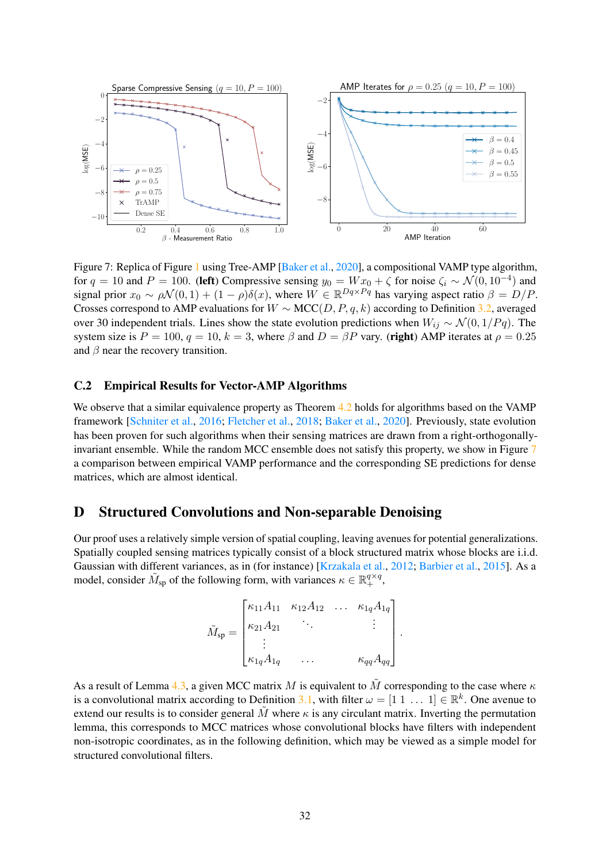<span id="page-31-2"></span>

Figure 7: Replica of Figure [1](#page-1-0) using Tree-AMP [\[Baker et al.,](#page-10-5) [2020\]](#page-10-5), a compositional VAMP type algorithm, for  $q = 10$  and  $P = 100$ . (left) Compressive sensing  $y_0 = W x_0 + \zeta$  for noise  $\zeta_i \sim \mathcal{N}(0, 10^{-4})$  and signal prior  $x_0 \sim \rho \mathcal{N}(0, 1) + (1 - \rho) \delta(x)$ , where  $W \in \mathbb{R}^{Dq \times Pq}$  has varying aspect ratio  $\beta = D/P$ . Crosses correspond to AMP evaluations for  $W \sim \text{MCC}(D, P, q, k)$  according to Definition [3.2,](#page-3-0) averaged over 30 independent trials. Lines show the state evolution predictions when  $W_{ij} \sim \mathcal{N}(0, 1/Pq)$ . The system size is  $P = 100$ ,  $q = 10$ ,  $k = 3$ , where  $\beta$  and  $D = \beta P$  vary. (right) AMP iterates at  $\rho = 0.25$ and  $\beta$  near the recovery transition.

### <span id="page-31-0"></span>C.2 Empirical Results for Vector-AMP Algorithms

We observe that a similar equivalence property as Theorem [4.2](#page-7-0) holds for algorithms based on the VAMP framework [\[Schniter et al.,](#page-12-2) [2016;](#page-12-2) [Fletcher et al.,](#page-10-4) [2018;](#page-10-4) [Baker et al.,](#page-10-5) [2020\]](#page-10-5). Previously, state evolution has been proven for such algorithms when their sensing matrices are drawn from a right-orthogonallyinvariant ensemble. While the random MCC ensemble does not satisfy this property, we show in Figure [7](#page-31-2) a comparison between empirical VAMP performance and the corresponding SE predictions for dense matrices, which are almost identical.

### <span id="page-31-1"></span>D Structured Convolutions and Non-separable Denoising

Our proof uses a relatively simple version of spatial coupling, leaving avenues for potential generalizations. Spatially coupled sensing matrices typically consist of a block structured matrix whose blocks are i.i.d. Gaussian with different variances, as in (for instance) [\[Krzakala et al.,](#page-11-5) [2012;](#page-11-5) [Barbier et al.,](#page-10-10) [2015\]](#page-10-10). As a model, consider  $\tilde{M}_{sp}$  of the following form, with variances  $\kappa \in \mathbb{R}^{q \times q}_+$ ,

$$
\tilde{M}_{sp} = \begin{bmatrix}\n\kappa_{11}A_{11} & \kappa_{12}A_{12} & \cdots & \kappa_{1q}A_{1q} \\
\kappa_{21}A_{21} & \ddots & & \vdots \\
\vdots & & & \kappa_{qq}A_{qq}\n\end{bmatrix}.
$$

As a result of Lemma [4.3,](#page-7-1) a given MCC matrix M is equivalent to  $\tilde{M}$  corresponding to the case where  $\kappa$ is a convolutional matrix according to Definition [3.1,](#page-3-1) with filter  $\omega = [1 \ 1 \dots 1] \in \mathbb{R}^k$ . One avenue to extend our results is to consider general M where  $\kappa$  is any circulant matrix. Inverting the permutation lemma, this corresponds to MCC matrices whose convolutional blocks have filters with independent non-isotropic coordinates, as in the following definition, which may be viewed as a simple model for structured convolutional filters.